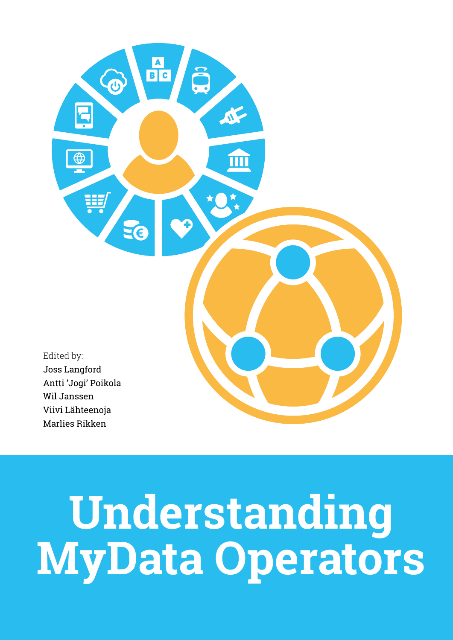

# **Understanding MyData Operators**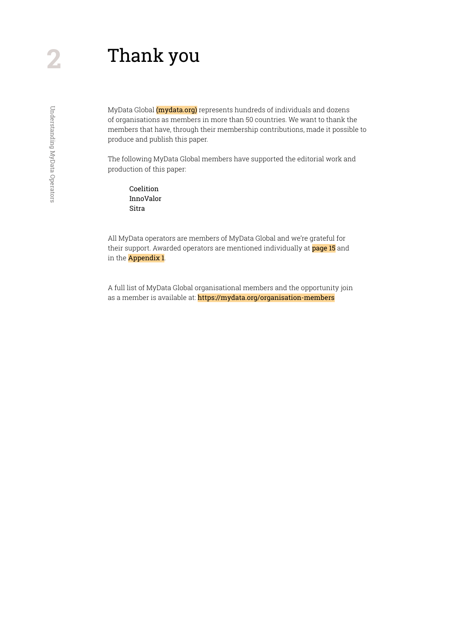# Thank you

MyData Global (*mydata.org*) represents hundreds of individuals and dozens of organisations as members in more than 50 countries. We want to thank the members that have, through their membership contributions, made it possible to produce and publish this paper.

The following MyData Global members have supported the editorial work and production of this paper:

Coelition InnoValor Sitra

All MyData operators are members of MyData Global and we're grateful for their support. Awarded operators are mentioned individually at [page 1](#page-14-0)5 and in the **[Appendix 1](#page-53-0)**.

A full list of MyData Global organisational members and the opportunity join as a member is available at: https://mydata.org/organisation-members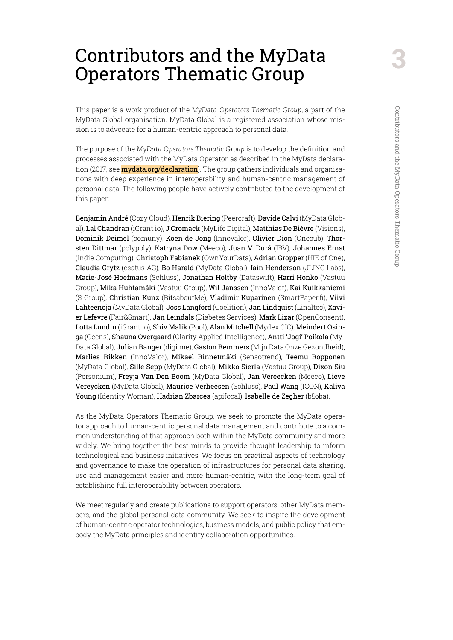# Contributors and the MyData Operators Thematic Group

This paper is a work product of the *MyData Operators Thematic Group*, a part of the MyData Global organisation. MyData Global is a registered association whose mission is to advocate for a human-centric approach to personal data.

The purpose of the *MyData Operators Thematic Group* is to develop the definition and processes associated with the MyData Operator, as described in the MyData declaration (2017, see **mydata.org/declaration**). The group gathers individuals and organisations with deep experience in interoperability and human-centric management of personal data. The following people have actively contributed to the development of this paper:

Benjamin André (Cozy Cloud), Henrik Biering (Peercraft), Davide Calvi (MyData Global), Lal Chandran (iGrant.io), J Cromack (MyLife Digital), Matthias De Bièvre (Visions), Dominik Deimel (comuny), Koen de Jong (Innovalor), Olivier Dion (Onecub), Thorsten Dittmar (polypoly), Katryna Dow (Meeco), Juan V. Durá (IBV), Johannes Ernst (Indie Computing), Christoph Fabianek (OwnYourData), Adrian Gropper (HIE of One), Claudia Grytz (esatus AG), Bo Harald (MyData Global), Iain Henderson (JLINC Labs), Marie-José Hoefmans (Schluss), Jonathan Holtby (Dataswift), Harri Honko (Vastuu Group), Mika Huhtamäki (Vastuu Group), Wil Janssen (InnoValor), Kai Kuikkaniemi (S Group), Christian Kunz (BitsaboutMe), Vladimir Kuparinen (SmartPaper.fi), Viivi Lähteenoja (MyData Global), Joss Langford (Coelition), Jan Lindquist (Linaltec), Xavier Lefevre (Fair&Smart), Jan Leindals (Diabetes Services), Mark Lizar (OpenConsent), Lotta Lundin (iGrant.io), Shiv Malik (Pool), Alan Mitchell (Mydex CIC), Meindert Osinga (Geens), Shauna Overgaard (Clarity Applied Intelligence), Antti 'Jogi' Poikola (My-Data Global), Julian Ranger (digi.me), Gaston Remmers (Mijn Data Onze Gezondheid), Marlies Rikken (InnoValor), Mikael Rinnetmäki (Sensotrend), Teemu Ropponen (MyData Global), Sille Sepp (MyData Global), Mikko Sierla (Vastuu Group), Dixon Siu (Personium), Freyja Van Den Boom (MyData Global), Jan Vereecken (Meeco), Lieve Vereycken (MyData Global), Maurice Verheesen (Schluss), Paul Wang (ICON), Kaliya Young (Identity Woman), Hadrian Zbarcea (apifocal), Isabelle de Zegher (b!loba).

As the MyData Operators Thematic Group, we seek to promote the MyData operator approach to human-centric personal data management and contribute to a common understanding of that approach both within the MyData community and more widely. We bring together the best minds to provide thought leadership to inform technological and business initiatives. We focus on practical aspects of technology and governance to make the operation of infrastructures for personal data sharing, use and management easier and more human-centric, with the long-term goal of establishing full interoperability between operators.

We meet regularly and create publications to support operators, other MyData members, and the global personal data community. We seek to inspire the development of human-centric operator technologies, business models, and public policy that embody the MyData principles and identify collaboration opportunities.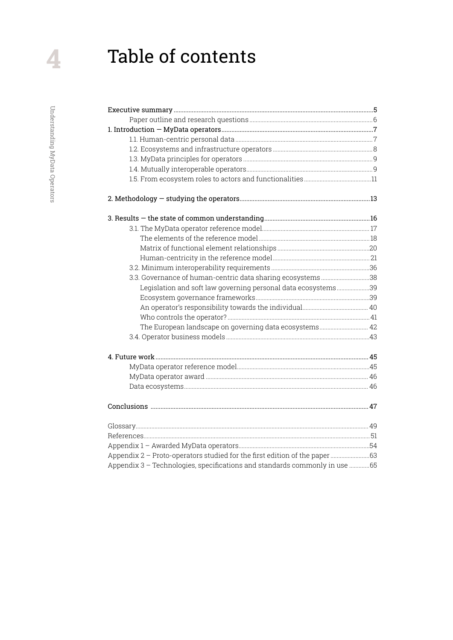# Table of contents

| 3.3. Governance of human-centric data sharing ecosystems38                  |  |
|-----------------------------------------------------------------------------|--|
| Legislation and soft law governing personal data ecosystems39               |  |
|                                                                             |  |
|                                                                             |  |
|                                                                             |  |
| The European landscape on governing data ecosystems 42                      |  |
|                                                                             |  |
|                                                                             |  |
|                                                                             |  |
|                                                                             |  |
|                                                                             |  |
|                                                                             |  |
|                                                                             |  |
|                                                                             |  |
|                                                                             |  |
| Appendix 2 - Proto-operators studied for the first edition of the paper  63 |  |
| Appendix 3 - Technologies, specifications and standards commonly in use  65 |  |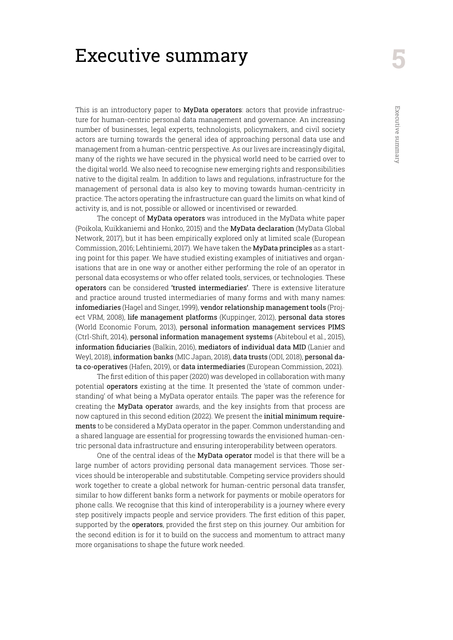# <span id="page-4-0"></span>Executive summary

This is an introductory paper to MyData operators: actors that provide infrastructure for human-centric personal data management and governance. An increasing number of businesses, legal experts, technologists, policymakers, and civil society actors are turning towards the general idea of approaching personal data use and management from a human-centric perspective. As our lives are increasingly digital, many of the rights we have secured in the physical world need to be carried over to the digital world. We also need to recognise new emerging rights and responsibilities native to the digital realm. In addition to laws and regulations, infrastructure for the management of personal data is also key to moving towards human-centricity in practice. The actors operating the infrastructure can guard the limits on what kind of activity is, and is not, possible or allowed or incentivised or rewarded.

The concept of MyData operators was introduced in the MyData white paper (Poikola, Kuikkaniemi and Honko, 2015) and the MyData declaration (MyData Global Network, 2017), but it has been empirically explored only at limited scale (European Commission, 2016; Lehtiniemi, 2017). We have taken the MyData principles as a starting point for this paper. We have studied existing examples of initiatives and organisations that are in one way or another either performing the role of an operator in personal data ecosystems or who offer related tools, services, or technologies. These operators can be considered 'trusted intermediaries'. There is extensive literature and practice around trusted intermediaries of many forms and with many names: infomediaries (Hagel and Singer, 1999), vendor relationship management tools (Project VRM, 2008), life management platforms (Kuppinger, 2012), personal data stores (World Economic Forum, 2013), personal information management services PIMS (Ctrl-Shift, 2014), personal information management systems (Abiteboul et al., 2015), information fiduciaries (Balkin, 2016), mediators of individual data MID (Lanier and Weyl, 2018), information banks (MIC Japan, 2018), data trusts (ODI, 2018), personal data co-operatives (Hafen, 2019), or data intermediaries (European Commission, 2021).

The first edition of this paper (2020) was developed in collaboration with many potential operators existing at the time. It presented the 'state of common understanding' of what being a MyData operator entails. The paper was the reference for creating the MyData operator awards, and the key insights from that process are now captured in this second edition (2022). We present the initial minimum requirements to be considered a MyData operator in the paper. Common understanding and a shared language are essential for progressing towards the envisioned human-centric personal data infrastructure and ensuring interoperability between operators.

One of the central ideas of the MyData operator model is that there will be a large number of actors providing personal data management services. Those services should be interoperable and substitutable. Competing service providers should work together to create a global network for human-centric personal data transfer, similar to how different banks form a network for payments or mobile operators for phone calls. We recognise that this kind of interoperability is a journey where every step positively impacts people and service providers. The first edition of this paper, supported by the operators, provided the first step on this journey. Our ambition for the second edition is for it to build on the success and momentum to attract many more organisations to shape the future work needed.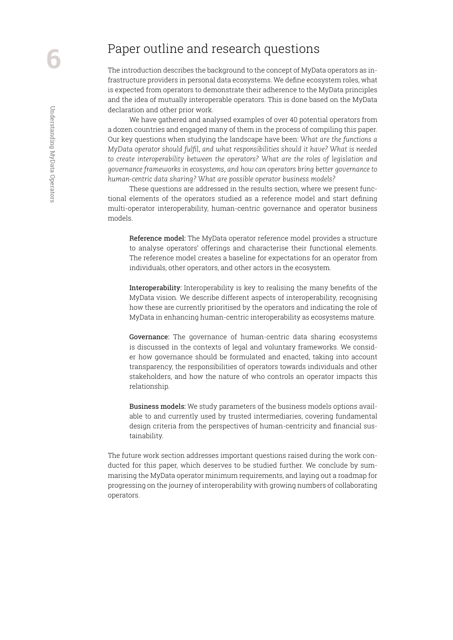# <span id="page-5-0"></span>Paper outline and research questions

The introduction describes the background to the concept of MyData operators as infrastructure providers in personal data ecosystems. We define ecosystem roles, what is expected from operators to demonstrate their adherence to the MyData principles and the idea of mutually interoperable operators. This is done based on the MyData declaration and other prior work.

We have gathered and analysed examples of over 40 potential operators from a dozen countries and engaged many of them in the process of compiling this paper. Our key questions when studying the landscape have been: *What are the functions a MyData operator should fulfil, and what responsibilities should it have? What is needed to create interoperability between the operators? What are the roles of legislation and governance frameworks in ecosystems, and how can operators bring better governance to human-centric data sharing? What are possible operator business models?*

These questions are addressed in the results section, where we present functional elements of the operators studied as a reference model and start defining multi-operator interoperability, human-centric governance and operator business models.

Reference model: The MyData operator reference model provides a structure to analyse operators' offerings and characterise their functional elements. The reference model creates a baseline for expectations for an operator from individuals, other operators, and other actors in the ecosystem.

Interoperability: Interoperability is key to realising the many benefits of the MyData vision. We describe different aspects of interoperability, recognising how these are currently prioritised by the operators and indicating the role of MyData in enhancing human-centric interoperability as ecosystems mature.

Governance: The governance of human-centric data sharing ecosystems is discussed in the contexts of legal and voluntary frameworks. We consider how governance should be formulated and enacted, taking into account transparency, the responsibilities of operators towards individuals and other stakeholders, and how the nature of who controls an operator impacts this relationship.

Business models: We study parameters of the business models options available to and currently used by trusted intermediaries, covering fundamental design criteria from the perspectives of human-centricity and financial sustainability.

The future work section addresses important questions raised during the work conducted for this paper, which deserves to be studied further. We conclude by summarising the MyData operator minimum requirements, and laying out a roadmap for progressing on the journey of interoperability with growing numbers of collaborating operators.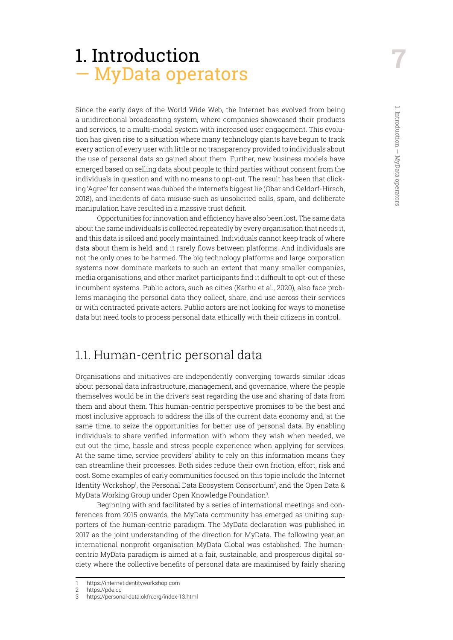# <span id="page-6-0"></span>1. Introduction — MyData operators

Since the early days of the World Wide Web, the Internet has evolved from being a unidirectional broadcasting system, where companies showcased their products and services, to a multi-modal system with increased user engagement. This evolution has given rise to a situation where many technology giants have begun to track every action of every user with little or no transparency provided to individuals about the use of personal data so gained about them. Further, new business models have emerged based on selling data about people to third parties without consent from the individuals in question and with no means to opt-out. The result has been that clicking 'Agree' for consent was dubbed the internet's biggest lie (Obar and Oeldorf-Hirsch, 2018), and incidents of data misuse such as unsolicited calls, spam, and deliberate manipulation have resulted in a massive trust deficit.

Opportunities for innovation and efficiency have also been lost. The same data about the same individuals is collected repeatedly by every organisation that needs it, and this data is siloed and poorly maintained. Individuals cannot keep track of where data about them is held, and it rarely flows between platforms. And individuals are not the only ones to be harmed. The big technology platforms and large corporation systems now dominate markets to such an extent that many smaller companies, media organisations, and other market participants find it difficult to opt-out of these incumbent systems. Public actors, such as cities (Karhu et al., 2020), also face problems managing the personal data they collect, share, and use across their services or with contracted private actors. Public actors are not looking for ways to monetise data but need tools to process personal data ethically with their citizens in control.

# 1.1. Human-centric personal data

Organisations and initiatives are independently converging towards similar ideas about personal data infrastructure, management, and governance, where the people themselves would be in the driver's seat regarding the use and sharing of data from them and about them. This human-centric perspective promises to be the best and most inclusive approach to address the ills of the current data economy and, at the same time, to seize the opportunities for better use of personal data. By enabling individuals to share verified information with whom they wish when needed, we cut out the time, hassle and stress people experience when applying for services. At the same time, service providers' ability to rely on this information means they can streamline their processes. Both sides reduce their own friction, effort, risk and cost. Some examples of early communities focused on this topic include the Internet Identity Workshop<sup>1</sup>, the Personal Data Ecosystem Consortium<sup>2</sup>, and the Open Data & MyData Working Group under Open Knowledge Foundation3 .

Beginning with and facilitated by a series of international meetings and conferences from 2015 onwards, the MyData community has emerged as uniting supporters of the human-centric paradigm. The MyData declaration was published in 2017 as the joint understanding of the direction for MyData. The following year an international nonprofit organisation MyData Global was established. The humancentric MyData paradigm is aimed at a fair, sustainable, and prosperous digital society where the collective benefits of personal data are maximised by fairly sharing

<sup>1</sup> https://internetidentityworkshop.com

<sup>2</sup> https://pde.cc

<sup>3</sup> https://personal-data.okfn.org/index-13.html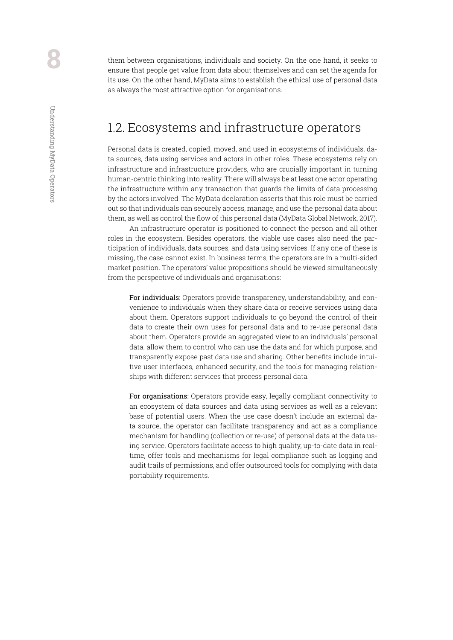<span id="page-7-0"></span>them between organisations, individuals and society. On the one hand, it seeks to ensure that people get value from data about themselves and can set the agenda for its use. On the other hand, MyData aims to establish the ethical use of personal data as always the most attractive option for organisations.

## 1.2. Ecosystems and infrastructure operators

Personal data is created, copied, moved, and used in ecosystems of individuals, data sources, data using services and actors in other roles. These ecosystems rely on infrastructure and infrastructure providers, who are crucially important in turning human-centric thinking into reality. There will always be at least one actor operating the infrastructure within any transaction that guards the limits of data processing by the actors involved. The MyData declaration asserts that this role must be carried out so that individuals can securely access, manage, and use the personal data about them, as well as control the flow of this personal data (MyData Global Network, 2017).

An infrastructure operator is positioned to connect the person and all other roles in the ecosystem. Besides operators, the viable use cases also need the participation of individuals, data sources, and data using services. If any one of these is missing, the case cannot exist. In business terms, the operators are in a multi-sided market position. The operators' value propositions should be viewed simultaneously from the perspective of individuals and organisations:

For individuals: Operators provide transparency, understandability, and convenience to individuals when they share data or receive services using data about them. Operators support individuals to go beyond the control of their data to create their own uses for personal data and to re-use personal data about them. Operators provide an aggregated view to an individuals' personal data, allow them to control who can use the data and for which purpose, and transparently expose past data use and sharing. Other benefits include intuitive user interfaces, enhanced security, and the tools for managing relationships with different services that process personal data.

For organisations: Operators provide easy, legally compliant connectivity to an ecosystem of data sources and data using services as well as a relevant base of potential users. When the use case doesn't include an external data source, the operator can facilitate transparency and act as a compliance mechanism for handling (collection or re-use) of personal data at the data using service. Operators facilitate access to high quality, up-to-date data in realtime, offer tools and mechanisms for legal compliance such as logging and audit trails of permissions, and offer outsourced tools for complying with data portability requirements.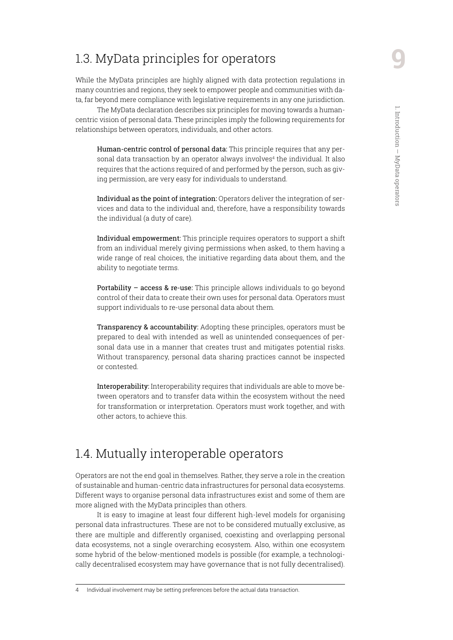# <span id="page-8-0"></span>1.3. MyData principles for operators

While the MyData principles are highly aligned with data protection regulations in many countries and regions, they seek to empower people and communities with data, far beyond mere compliance with legislative requirements in any one jurisdiction.

The MyData declaration describes six principles for moving towards a humancentric vision of personal data. These principles imply the following requirements for relationships between operators, individuals, and other actors.

Human-centric control of personal data: This principle requires that any personal data transaction by an operator always involves<sup>4</sup> the individual. It also requires that the actions required of and performed by the person, such as giving permission, are very easy for individuals to understand.

Individual as the point of integration: Operators deliver the integration of services and data to the individual and, therefore, have a responsibility towards the individual (a duty of care).

Individual empowerment: This principle requires operators to support a shift from an individual merely giving permissions when asked, to them having a wide range of real choices, the initiative regarding data about them, and the ability to negotiate terms.

Portability – access & re-use: This principle allows individuals to go beyond control of their data to create their own uses for personal data. Operators must support individuals to re-use personal data about them.

Transparency & accountability: Adopting these principles, operators must be prepared to deal with intended as well as unintended consequences of personal data use in a manner that creates trust and mitigates potential risks. Without transparency, personal data sharing practices cannot be inspected or contested.

Interoperability: Interoperability requires that individuals are able to move between operators and to transfer data within the ecosystem without the need for transformation or interpretation. Operators must work together, and with other actors, to achieve this.

# 1.4. Mutually interoperable operators

Operators are not the end goal in themselves. Rather, they serve a role in the creation of sustainable and human-centric data infrastructures for personal data ecosystems. Different ways to organise personal data infrastructures exist and some of them are more aligned with the MyData principles than others.

It is easy to imagine at least four different high-level models for organising personal data infrastructures. These are not to be considered mutually exclusive, as there are multiple and differently organised, coexisting and overlapping personal data ecosystems, not a single overarching ecosystem. Also, within one ecosystem some hybrid of the below-mentioned models is possible (for example, a technologically decentralised ecosystem may have governance that is not fully decentralised).

<sup>4</sup> Individual involvement may be setting preferences before the actual data transaction.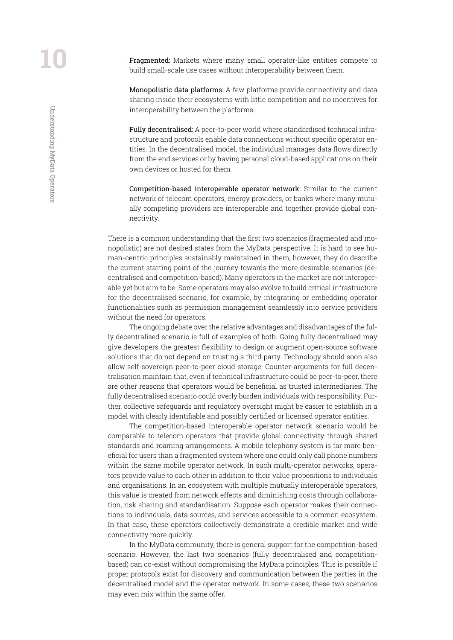Understanding MyData Operators

Understanding MyData Operators

Fragmented: Markets where many small operator-like entities compete to build small-scale use cases without interoperability between them.

Monopolistic data platforms: A few platforms provide connectivity and data sharing inside their ecosystems with little competition and no incentives for interoperability between the platforms.

Fully decentralised: A peer-to-peer world where standardised technical infrastructure and protocols enable data connections without specific operator entities. In the decentralised model, the individual manages data flows directly from the end services or by having personal cloud-based applications on their own devices or hosted for them.

Competition-based interoperable operator network: Similar to the current network of telecom operators, energy providers, or banks where many mutually competing providers are interoperable and together provide global connectivity.

There is a common understanding that the first two scenarios (fragmented and monopolistic) are not desired states from the MyData perspective. It is hard to see human-centric principles sustainably maintained in them, however, they do describe the current starting point of the journey towards the more desirable scenarios (decentralised and competition-based). Many operators in the market are not interoperable yet but aim to be. Some operators may also evolve to build critical infrastructure for the decentralised scenario, for example, by integrating or embedding operator functionalities such as permission management seamlessly into service providers without the need for operators.

The ongoing debate over the relative advantages and disadvantages of the fully decentralised scenario is full of examples of both. Going fully decentralised may give developers the greatest flexibility to design or augment open-source software solutions that do not depend on trusting a third party. Technology should soon also allow self-sovereign peer-to-peer cloud storage. Counter-arguments for full decentralisation maintain that, even if technical infrastructure could be peer-to-peer, there are other reasons that operators would be beneficial as trusted intermediaries. The fully decentralised scenario could overly burden individuals with responsibility. Further, collective safeguards and regulatory oversight might be easier to establish in a model with clearly identifiable and possibly certified or licensed operator entities.

The competition-based interoperable operator network scenario would be comparable to telecom operators that provide global connectivity through shared standards and roaming arrangements. A mobile telephony system is far more beneficial for users than a fragmented system where one could only call phone numbers within the same mobile operator network. In such multi-operator networks, operators provide value to each other in addition to their value propositions to individuals and organisations. In an ecosystem with multiple mutually interoperable operators, this value is created from network effects and diminishing costs through collaboration, risk sharing and standardisation. Suppose each operator makes their connections to individuals, data sources, and services accessible to a common ecosystem. In that case, these operators collectively demonstrate a credible market and wide connectivity more quickly.

In the MyData community, there is general support for the competition-based scenario. However, the last two scenarios (fully decentralised and competitionbased) can co-exist without compromising the MyData principles. This is possible if proper protocols exist for discovery and communication between the parties in the decentralised model and the operator network. In some cases, these two scenarios may even mix within the same offer.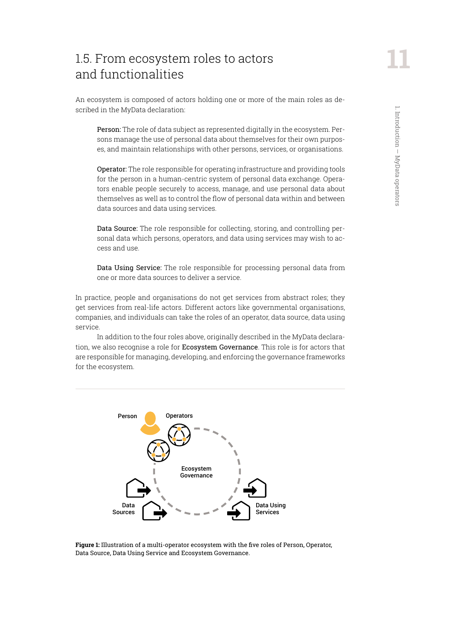# <span id="page-10-0"></span>1.5. From ecosystem roles to actors and functionalities

An ecosystem is composed of actors holding one or more of the main roles as described in the MyData declaration:

Person: The role of data subject as represented digitally in the ecosystem. Persons manage the use of personal data about themselves for their own purposes, and maintain relationships with other persons, services, or organisations.

Operator: The role responsible for operating infrastructure and providing tools for the person in a human-centric system of personal data exchange. Operators enable people securely to access, manage, and use personal data about themselves as well as to control the flow of personal data within and between data sources and data using services.

Data Source: The role responsible for collecting, storing, and controlling personal data which persons, operators, and data using services may wish to access and use.

Data Using Service: The role responsible for processing personal data from one or more data sources to deliver a service.

In practice, people and organisations do not get services from abstract roles; they get services from real-life actors. Different actors like governmental organisations, companies, and individuals can take the roles of an operator, data source, data using service.

In addition to the four roles above, originally described in the MyData declaration, we also recognise a role for Ecosystem Governance. This role is for actors that are responsible for managing, developing, and enforcing the governance frameworks for the ecosystem.



**Figure 1:** Illustration of a multi-operator ecosystem with the five roles of Person, Operator, Data Source, Data Using Service and Ecosystem Governance.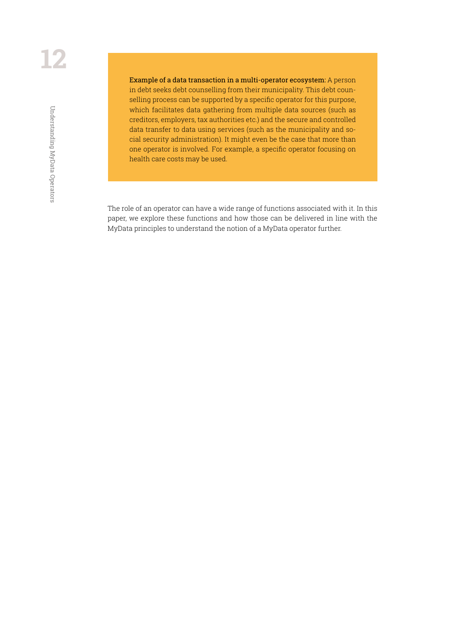Example of a data transaction in a multi-operator ecosystem: A person in debt seeks debt counselling from their municipality. This debt counselling process can be supported by a specific operator for this purpose, which facilitates data gathering from multiple data sources (such as creditors, employers, tax authorities etc.) and the secure and controlled data transfer to data using services (such as the municipality and social security administration). It might even be the case that more than one operator is involved. For example, a specific operator focusing on health care costs may be used.

The role of an operator can have a wide range of functions associated with it. In this paper, we explore these functions and how those can be delivered in line with the MyData principles to understand the notion of a MyData operator further.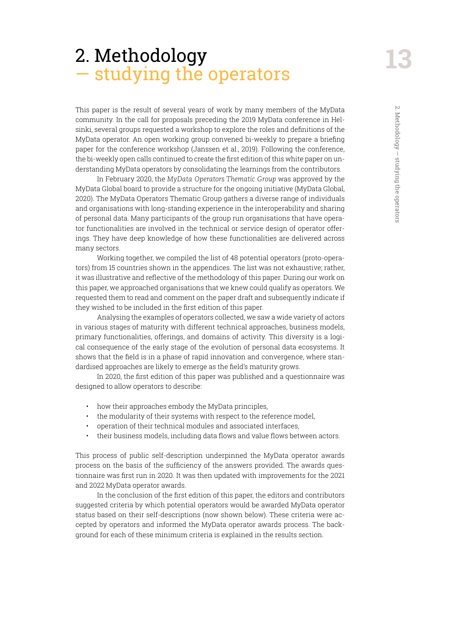# <span id="page-12-0"></span>2. Methodology — studying the operators

This paper is the result of several years of work by many members of the MyData community. In the call for proposals preceding the 2019 MyData conference in Helsinki, several groups requested a workshop to explore the roles and definitions of the MyData operator. An open working group convened bi-weekly to prepare a briefing paper for the conference workshop (Janssen et al., 2019). Following the conference, the bi-weekly open calls continued to create the first edition of this white paper on understanding MyData operators by consolidating the learnings from the contributors.

In February 2020, the *MyData Operators Thematic Group* was approved by the MyData Global board to provide a structure for the ongoing initiative (MyData Global, 2020). The MyData Operators Thematic Group gathers a diverse range of individuals and organisations with long-standing experience in the interoperability and sharing of personal data. Many participants of the group run organisations that have operator functionalities are involved in the technical or service design of operator offerings. They have deep knowledge of how these functionalities are delivered across many sectors.

Working together, we compiled the list of 48 potential operators (proto-operators) from 15 countries shown in the appendices. The list was not exhaustive; rather, it was illustrative and reflective of the methodology of this paper. During our work on this paper, we approached organisations that we knew could qualify as operators. We requested them to read and comment on the paper draft and subsequently indicate if they wished to be included in the first edition of this paper.

Analysing the examples of operators collected, we saw a wide variety of actors in various stages of maturity with different technical approaches, business models, primary functionalities, offerings, and domains of activity. This diversity is a logical consequence of the early stage of the evolution of personal data ecosystems. It shows that the field is in a phase of rapid innovation and convergence, where standardised approaches are likely to emerge as the field's maturity grows.

In 2020, the first edition of this paper was published and a questionnaire was designed to allow operators to describe:

- how their approaches embody the MyData principles,
- the modularity of their systems with respect to the reference model,
- operation of their technical modules and associated interfaces,
- their business models, including data flows and value flows between actors.

This process of public self-description underpinned the MyData operator awards process on the basis of the sufficiency of the answers provided. The awards questionnaire was first run in 2020. It was then updated with improvements for the 2021 and 2022 MyData operator awards.

In the conclusion of the first edition of this paper, the editors and contributors suggested criteria by which potential operators would be awarded MyData operator status based on their self-descriptions (now shown below). These criteria were accepted by operators and informed the MyData operator awards process. The background for each of these minimum criteria is explained in the results section.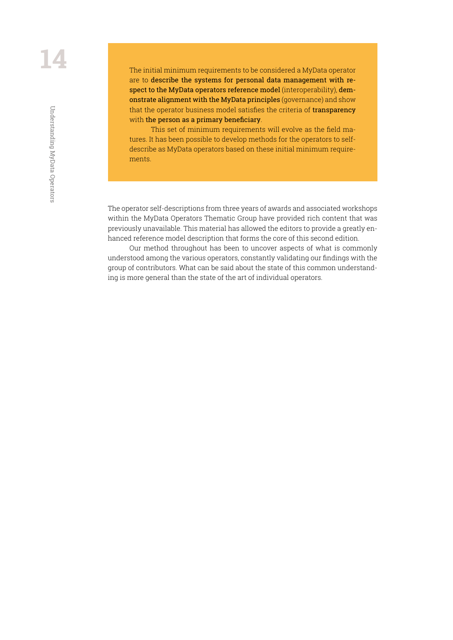The initial minimum requirements to be considered a MyData operator are to describe the systems for personal data management with respect to the MyData operators reference model (interoperability), demonstrate alignment with the MyData principles (governance) and show that the operator business model satisfies the criteria of transparency with the person as a primary beneficiary.

This set of minimum requirements will evolve as the field matures. It has been possible to develop methods for the operators to selfdescribe as MyData operators based on these initial minimum requirements.

The operator self-descriptions from three years of awards and associated workshops within the MyData Operators Thematic Group have provided rich content that was previously unavailable. This material has allowed the editors to provide a greatly enhanced reference model description that forms the core of this second edition.

Our method throughout has been to uncover aspects of what is commonly understood among the various operators, constantly validating our findings with the group of contributors. What can be said about the state of this common understanding is more general than the state of the art of individual operators.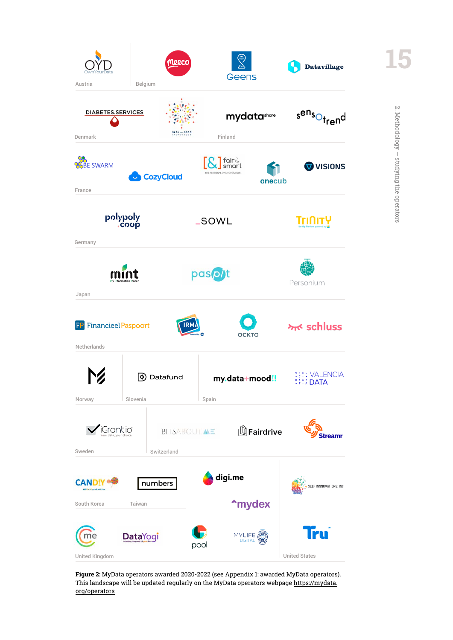<span id="page-14-0"></span>

**Figure 2:** MyData operators awarded 2020-2022 (see Appendix 1: awarded MyData operators). This landscape will be updated regularly on the MyData operators webpage https://mydata. org/operators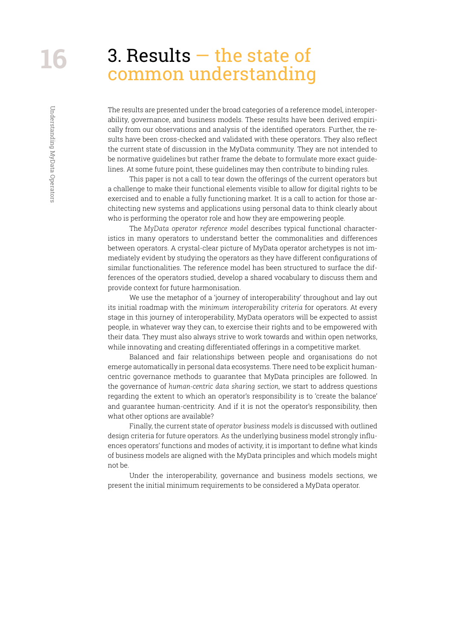Understanding MyData Operators

Understanding MyData Operators

# <span id="page-15-0"></span>3. Results — the state of common understanding

The results are presented under the broad categories of a reference model, interoperability, governance, and business models. These results have been derived empirically from our observations and analysis of the identified operators. Further, the results have been cross-checked and validated with these operators. They also reflect the current state of discussion in the MyData community. They are not intended to be normative guidelines but rather frame the debate to formulate more exact guidelines. At some future point, these guidelines may then contribute to binding rules.

This paper is not a call to tear down the offerings of the current operators but a challenge to make their functional elements visible to allow for digital rights to be exercised and to enable a fully functioning market. It is a call to action for those architecting new systems and applications using personal data to think clearly about who is performing the operator role and how they are empowering people.

The *MyData operator reference model* describes typical functional characteristics in many operators to understand better the commonalities and differences between operators. A crystal-clear picture of MyData operator archetypes is not immediately evident by studying the operators as they have different configurations of similar functionalities. The reference model has been structured to surface the differences of the operators studied, develop a shared vocabulary to discuss them and provide context for future harmonisation.

We use the metaphor of a 'journey of interoperability' throughout and lay out its initial roadmap with the *minimum interoperability criteria* for operators. At every stage in this journey of interoperability, MyData operators will be expected to assist people, in whatever way they can, to exercise their rights and to be empowered with their data. They must also always strive to work towards and within open networks, while innovating and creating differentiated offerings in a competitive market.

Balanced and fair relationships between people and organisations do not emerge automatically in personal data ecosystems. There need to be explicit humancentric governance methods to guarantee that MyData principles are followed. In the governance of *human-centric data sharing section*, we start to address questions regarding the extent to which an operator's responsibility is to 'create the balance' and guarantee human-centricity. And if it is not the operator's responsibility, then what other options are available?

Finally, the current state of *operator business models* is discussed with outlined design criteria for future operators. As the underlying business model strongly influences operators' functions and modes of activity, it is important to define what kinds of business models are aligned with the MyData principles and which models might not be.

Under the interoperability, governance and business models sections, we present the initial minimum requirements to be considered a MyData operator.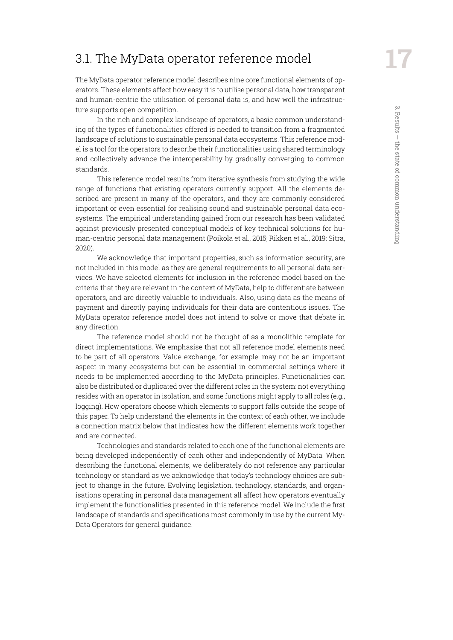# <span id="page-16-0"></span>3.1. The MyData operator reference model

The MyData operator reference model describes nine core functional elements of operators. These elements affect how easy it is to utilise personal data, how transparent and human-centric the utilisation of personal data is, and how well the infrastructure supports open competition.

In the rich and complex landscape of operators, a basic common understanding of the types of functionalities offered is needed to transition from a fragmented landscape of solutions to sustainable personal data ecosystems. This reference model is a tool for the operators to describe their functionalities using shared terminology and collectively advance the interoperability by gradually converging to common standards.

This reference model results from iterative synthesis from studying the wide range of functions that existing operators currently support. All the elements described are present in many of the operators, and they are commonly considered important or even essential for realising sound and sustainable personal data ecosystems. The empirical understanding gained from our research has been validated against previously presented conceptual models of key technical solutions for human-centric personal data management (Poikola et al., 2015; Rikken et al., 2019; Sitra, 2020).

We acknowledge that important properties, such as information security, are not included in this model as they are general requirements to all personal data services. We have selected elements for inclusion in the reference model based on the criteria that they are relevant in the context of MyData, help to differentiate between operators, and are directly valuable to individuals. Also, using data as the means of payment and directly paying individuals for their data are contentious issues. The MyData operator reference model does not intend to solve or move that debate in any direction.

The reference model should not be thought of as a monolithic template for direct implementations. We emphasise that not all reference model elements need to be part of all operators. Value exchange, for example, may not be an important aspect in many ecosystems but can be essential in commercial settings where it needs to be implemented according to the MyData principles. Functionalities can also be distributed or duplicated over the different roles in the system: not everything resides with an operator in isolation, and some functions might apply to all roles (e.g., logging). How operators choose which elements to support falls outside the scope of this paper. To help understand the elements in the context of each other, we include a connection matrix below that indicates how the different elements work together and are connected.

Technologies and standards related to each one of the functional elements are being developed independently of each other and independently of MyData. When describing the functional elements, we deliberately do not reference any particular technology or standard as we acknowledge that today's technology choices are subject to change in the future. Evolving legislation, technology, standards, and organisations operating in personal data management all affect how operators eventually implement the functionalities presented in this reference model. We include the first landscape of standards and specifications most commonly in use by the current My-Data Operators for general guidance.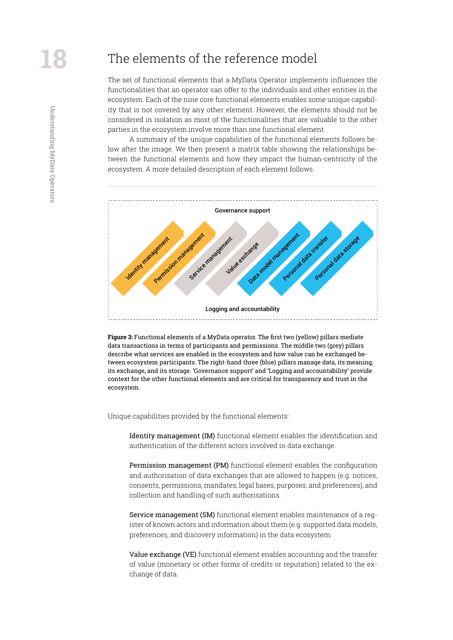Understanding MyData Operators

<span id="page-17-0"></span>Understanding MyData Operators

# The elements of the reference model

The set of functional elements that a MyData Operator implements influences the functionalities that an operator can offer to the individuals and other entities in the ecosystem. Each of the nine core functional elements enables some unique capability that is not covered by any other element. However, the elements should not be considered in isolation as most of the functionalities that are valuable to the other parties in the ecosystem involve more than one functional element.

A summary of the unique capabilities of the functional elements follows below after the image. We then present a matrix table showing the relationships between the functional elements and how they impact the human-centricity of the ecosystem. A more detailed description of each element follows.



**Figure 3:** Functional elements of a MyData operator. The first two (yellow) pillars mediate data transactions in terms of participants and permissions. The middle two (grey) pillars describe what services are enabled in the ecosystem and how value can be exchanged between ecosystem participants. The right-hand three (blue) pillars manage data, its meaning, its exchange, and its storage. 'Governance support' and 'Logging and accountability' provide context for the other functional elements and are critical for transparency and trust in the ecosystem.

Unique capabilities provided by the functional elements:

Identity management (IM) functional element enables the identification and authentication of the different actors involved in data exchange.

Permission management (PM) functional element enables the configuration and authorisation of data exchanges that are allowed to happen (e.g. notices, consents, permissions, mandates, legal bases, purposes, and preferences), and collection and handling of such authorisations.

Service management (SM) functional element enables maintenance of a register of known actors and information about them (e.g. supported data models, preferences, and discovery information) in the data ecosystem.

Value exchange (VE) functional element enables accounting and the transfer of value (monetary or other forms of credits or reputation) related to the exchange of data.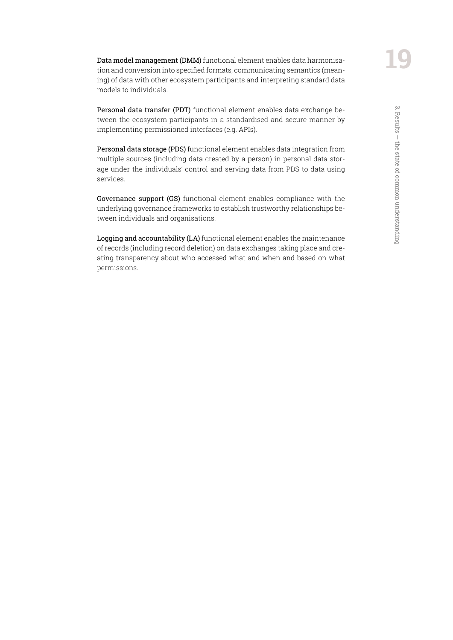Personal data transfer (PDT) functional element enables data exchange between the ecosystem participants in a standardised and secure manner by implementing permissioned interfaces (e.g. APIs).

Personal data storage (PDS) functional element enables data integration from multiple sources (including data created by a person) in personal data storage under the individuals' control and serving data from PDS to data using services.

Governance support (GS) functional element enables compliance with the underlying governance frameworks to establish trustworthy relationships between individuals and organisations.

Logging and accountability (LA) functional element enables the maintenance of records (including record deletion) on data exchanges taking place and creating transparency about who accessed what and when and based on what permissions.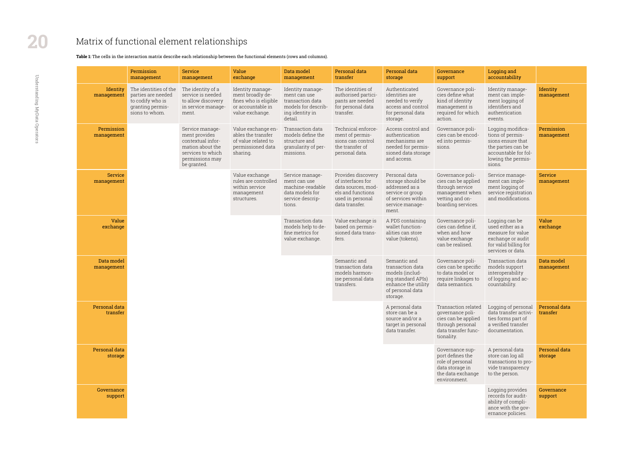|                              | Permission<br>management                                                                              | <b>Service</b><br>management                                                                                                     | Value<br>exchange                                                                                     | Data model<br>management                                                                                  | Personal data<br>transfer                                                                                                | Personal data<br>storage                                                                                                         | Governance<br>support                                                                                                   |
|------------------------------|-------------------------------------------------------------------------------------------------------|----------------------------------------------------------------------------------------------------------------------------------|-------------------------------------------------------------------------------------------------------|-----------------------------------------------------------------------------------------------------------|--------------------------------------------------------------------------------------------------------------------------|----------------------------------------------------------------------------------------------------------------------------------|-------------------------------------------------------------------------------------------------------------------------|
| Identity<br>management       | The identities of the<br>parties are needed<br>to codify who is<br>granting permis-<br>sions to whom. | The identity of a<br>service is needed<br>to allow discovery<br>in service manage-<br>ment.                                      | Identity manage-<br>ment broadly de-<br>fines who is eligible<br>or accountable in<br>value exchange. | Identity manage-<br>ment can use<br>transaction data<br>models for describ-<br>ing identity in<br>detail. | The identities of<br>authorised partici-<br>pants are needed<br>for personal data<br>transfer.                           | Authenticated<br>identities are<br>needed to verify<br>access and control<br>for personal data<br>storage.                       | Governance poli-<br>cies define what<br>kind of identity<br>management is<br>required for which<br>action.              |
| Permission<br>management     |                                                                                                       | Service manage-<br>ment provides<br>contextual infor-<br>mation about the<br>services to which<br>permissions may<br>be granted. | Value exchange en-<br>ables the transfer<br>of value related to<br>permissioned data<br>sharing.      | Transaction data<br>models define the<br>structure and<br>granularity of per-<br>missions.                | Technical enforce-<br>ment of permis-<br>sions can control<br>the transfer of<br>personal data.                          | Access control and<br>authentication<br>mechanisms are<br>needed for permis-<br>sioned data storage<br>and access.               | Governance poli-<br>cies can be encod-<br>ed into permis-<br>sions.                                                     |
| <b>Service</b><br>management |                                                                                                       |                                                                                                                                  | Value exchange<br>rules are controlled<br>within service<br>management<br>structures.                 | Service manage-<br>ment can use<br>machine-readable<br>data models for<br>service descrip-<br>tions.      | Provides discovery<br>of interfaces for<br>data sources, mod-<br>els and functions<br>used in personal<br>data transfer. | Personal data<br>storage should be<br>addressed as a<br>service or group<br>of services within<br>service manage-<br>ment.       | Governance poli-<br>cies can be applied<br>through service<br>management when<br>vetting and on-<br>boarding services.  |
| Value<br>exchange            |                                                                                                       |                                                                                                                                  |                                                                                                       | Transaction data<br>models help to de-<br>fine metrics for<br>value exchange.                             | Value exchange is<br>based on permis-<br>sioned data trans-<br>fers.                                                     | A PDS containing<br>wallet function-<br>alities can store<br>value (tokens).                                                     | Governance poli-<br>cies can define if,<br>when and how<br>value exchange<br>can be realised.                           |
| Data model<br>management     |                                                                                                       |                                                                                                                                  |                                                                                                       |                                                                                                           | Semantic and<br>transaction data<br>models harmon-<br>ise personal data<br>transfers.                                    | Semantic and<br>transaction data<br>models (includ-<br>ing standard APIs)<br>enhance the utility<br>of personal data<br>storage. | Governance poli-<br>cies can be specific<br>to data model or<br>require linkages to<br>data semantics.                  |
| Personal data<br>transfer    |                                                                                                       |                                                                                                                                  |                                                                                                       |                                                                                                           |                                                                                                                          | A personal data<br>store can be a<br>source and/or a<br>target in personal<br>data transfer.                                     | Transaction related<br>governance poli-<br>cies can be applied<br>through personal<br>data transfer func-<br>tionality. |
| Personal data<br>storage     |                                                                                                       |                                                                                                                                  |                                                                                                       |                                                                                                           |                                                                                                                          |                                                                                                                                  | Governance sup-<br>port defines the<br>role of personal<br>data storage in<br>the data exchange<br>environment.         |
| Governance<br>support        |                                                                                                       |                                                                                                                                  |                                                                                                       |                                                                                                           |                                                                                                                          |                                                                                                                                  |                                                                                                                         |

| Logging and<br>accountability                                                                                                            |                           |
|------------------------------------------------------------------------------------------------------------------------------------------|---------------------------|
| Identity manage-<br>ment can imple-<br>ment logging of<br>identifiers and<br>authentication<br>events.                                   | Identity<br>management    |
| Logging modifica-<br>tions of permis-<br>sions ensure that<br>the parties can be<br>accountable for fol-<br>lowing the permis-<br>sions. | Permission<br>management  |
| Service manage-<br>ment can imple-<br>ment logging of<br>service registration<br>and modifications.                                      | Service<br>management     |
| Logging can be<br>used either as a<br>measure for value<br>exchange or audit<br>for valid billing for<br>services or data.               | Value<br>exchange         |
| Transaction data<br>models support<br>interoperability<br>of logging and ac-<br>countability.                                            | Data model<br>management  |
| Logging of personal<br>data transfer activi-<br>ties forms part of<br>a verified transfer<br>documentation.                              | Personal data<br>transfer |
| A personal data<br>store can log all<br>transactions to pro-<br>vide transparency<br>to the person.                                      | Personal data<br>storage  |
| Logging provides<br>records for audit-<br>ability of compli-<br>ance with the gov-<br>ernance policies.                                  | Governance<br>support     |

# <span id="page-19-0"></span>Matrix of functional element relationships

#### **Table 1:** The cells in the interaction matrix describe each relationship between the functional elements (rows and columns).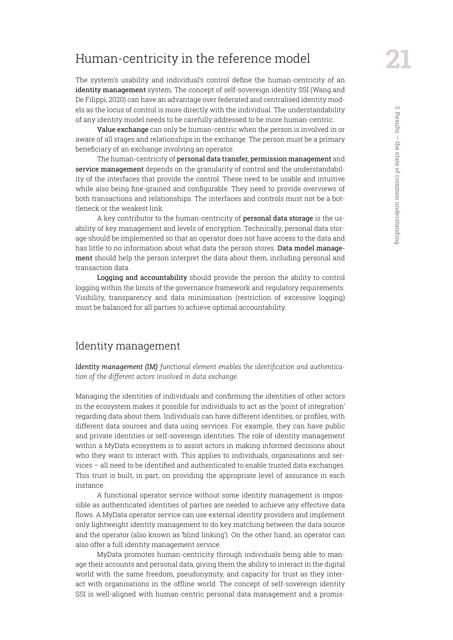# <span id="page-20-0"></span>Human-centricity in the reference model

The system's usability and individual's control define the human-centricity of an identity management system. The concept of self-sovereign identity SSI (Wang and De Filippi, 2020) can have an advantage over federated and centralised identity models as the locus of control is more directly with the individual. The understandability of any identity model needs to be carefully addressed to be more human-centric.

Value exchange can only be human-centric when the person is involved in or aware of all stages and relationships in the exchange. The person must be a primary beneficiary of an exchange involving an operator.

The human-centricity of personal data transfer, permission management and service management depends on the granularity of control and the understandability of the interfaces that provide the control. These need to be usable and intuitive while also being fine-grained and configurable. They need to provide overviews of both transactions and relationships. The interfaces and controls must not be a bottleneck or the weakest link.

A key contributor to the human-centricity of personal data storage is the usability of key management and levels of encryption. Technically, personal data storage should be implemented so that an operator does not have access to the data and has little to no information about what data the person stores. Data model management should help the person interpret the data about them, including personal and transaction data.

Logging and accountability should provide the person the ability to control logging within the limits of the governance framework and regulatory requirements. Visibility, transparency and data minimisation (restriction of excessive logging) must be balanced for all parties to achieve optimal accountability.

#### Identity management

*Identity management (IM) functional element enables the identification and authentication of the different actors involved in data exchange.*

Managing the identities of individuals and confirming the identities of other actors in the ecosystem makes it possible for individuals to act as the 'point of integration' regarding data about them. Individuals can have different identities, or profiles, with different data sources and data using services. For example, they can have public and private identities or self-sovereign identities. The role of identity management within a MyData ecosystem is to assist actors in making informed decisions about who they want to interact with. This applies to individuals, organisations and services – all need to be identified and authenticated to enable trusted data exchanges. This trust is built, in part, on providing the appropriate level of assurance in each instance.

A functional operator service without some identity management is impossible as authenticated identities of parties are needed to achieve any effective data flows. A MyData operator service can use external identity providers and implement only lightweight identity management to do key matching between the data source and the operator (also known as 'blind linking'). On the other hand, an operator can also offer a full identity management service.

MyData promotes human-centricity through individuals being able to manage their accounts and personal data, giving them the ability to interact in the digital world with the same freedom, pseudonymity, and capacity for trust as they interact with organisations in the offline world. The concept of self-sovereign identity SSI is well-aligned with human-centric personal data management and a promis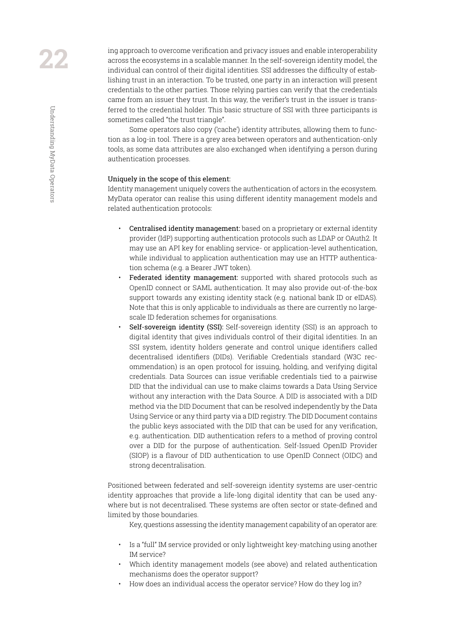ing approach to overcome verification and privacy issues and enable interoperability across the ecosystems in a scalable manner. In the self-sovereign identity model, the individual can control of their digital identities. SSI addresses the difficulty of establishing trust in an interaction. To be trusted, one party in an interaction will present credentials to the other parties. Those relying parties can verify that the credentials came from an issuer they trust. In this way, the verifier's trust in the issuer is transferred to the credential holder. This basic structure of SSI with three participants is sometimes called "the trust triangle".

Some operators also copy ('cache') identity attributes, allowing them to function as a log-in tool. There is a grey area between operators and authentication-only tools, as some data attributes are also exchanged when identifying a person during authentication processes.

#### Uniquely in the scope of this element:

Identity management uniquely covers the authentication of actors in the ecosystem. MyData operator can realise this using different identity management models and related authentication protocols:

- Centralised identity management: based on a proprietary or external identity provider (IdP) supporting authentication protocols such as LDAP or OAuth2. It may use an API key for enabling service- or application-level authentication, while individual to application authentication may use an HTTP authentication schema (e.g. a Bearer JWT token).
- Federated identity management: supported with shared protocols such as OpenID connect or SAML authentication. It may also provide out-of-the-box support towards any existing identity stack (e.g. national bank ID or eIDAS). Note that this is only applicable to individuals as there are currently no largescale ID federation schemes for organisations.
- Self-sovereign identity (SSI): Self-sovereign identity (SSI) is an approach to digital identity that gives individuals control of their digital identities. In an SSI system, identity holders generate and control unique identifiers called decentralised identifiers (DIDs). Verifiable Credentials standard (W3C recommendation) is an open protocol for issuing, holding, and verifying digital credentials. Data Sources can issue verifiable credentials tied to a pairwise DID that the individual can use to make claims towards a Data Using Service without any interaction with the Data Source. A DID is associated with a DID method via the DID Document that can be resolved independently by the Data Using Service or any third party via a DID registry. The DID Document contains the public keys associated with the DID that can be used for any verification, e.g. authentication. DID authentication refers to a method of proving control over a DID for the purpose of authentication. Self-Issued OpenID Provider (SIOP) is a flavour of DID authentication to use OpenID Connect (OIDC) and strong decentralisation.

Positioned between federated and self-sovereign identity systems are user-centric identity approaches that provide a life-long digital identity that can be used anywhere but is not decentralised. These systems are often sector or state-defined and limited by those boundaries.

Key, questions assessing the identity management capability of an operator are:

- Is a "full" IM service provided or only lightweight key-matching using another IM service?
- Which identity management models (see above) and related authentication mechanisms does the operator support?
- How does an individual access the operator service? How do they log in?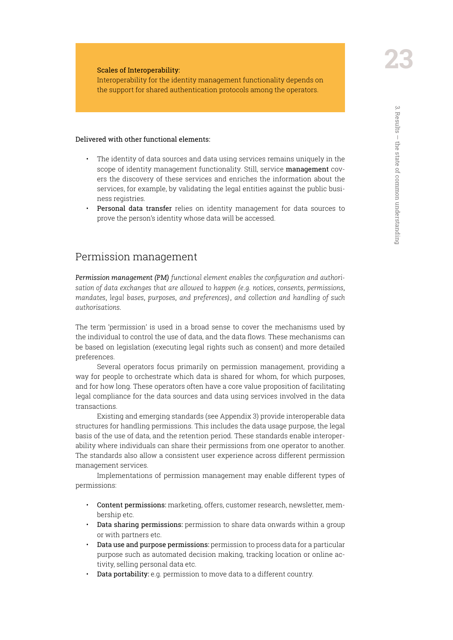Scales of Interoperability:

Interoperability for the identity management functionality depends on the support for shared authentication protocols among the operators.

#### Delivered with other functional elements:

- The identity of data sources and data using services remains uniquely in the scope of identity management functionality. Still, service management covers the discovery of these services and enriches the information about the services, for example, by validating the legal entities against the public business registries.
- Personal data transfer relies on identity management for data sources to prove the person's identity whose data will be accessed.

#### Permission management

*Permission management (PM) functional element enables the configuration and authorisation of data exchanges that are allowed to happen (e.g. notices, consents, permissions, mandates, legal bases, purposes, and preferences), and collection and handling of such authorisations.*

The term 'permission' is used in a broad sense to cover the mechanisms used by the individual to control the use of data, and the data flows. These mechanisms can be based on legislation (executing legal rights such as consent) and more detailed preferences.

Several operators focus primarily on permission management, providing a way for people to orchestrate which data is shared for whom, for which purposes, and for how long. These operators often have a core value proposition of facilitating legal compliance for the data sources and data using services involved in the data transactions.

Existing and emerging standards (see Appendix 3) provide interoperable data structures for handling permissions. This includes the data usage purpose, the legal basis of the use of data, and the retention period. These standards enable interoperability where individuals can share their permissions from one operator to another. The standards also allow a consistent user experience across different permission management services.

Implementations of permission management may enable different types of permissions:

- Content permissions: marketing, offers, customer research, newsletter, membership etc.
- Data sharing permissions: permission to share data onwards within a group or with partners etc.
- Data use and purpose permissions: permission to process data for a particular purpose such as automated decision making, tracking location or online activity, selling personal data etc.
- Data portability: e.g. permission to move data to a different country.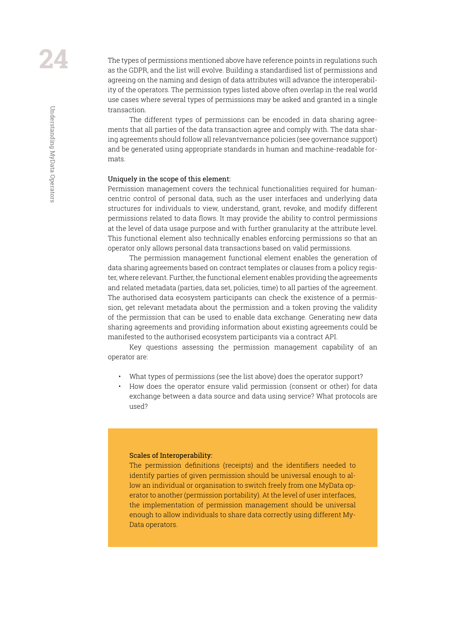The types of permissions mentioned above have reference points in regulations such as the GDPR, and the list will evolve. Building a standardised list of permissions and agreeing on the naming and design of data attributes will advance the interoperability of the operators. The permission types listed above often overlap in the real world use cases where several types of permissions may be asked and granted in a single transaction.

The different types of permissions can be encoded in data sharing agreements that all parties of the data transaction agree and comply with. The data sharing agreements should follow all relevantvernance policies (see governance support) and be generated using appropriate standards in human and machine-readable formats.

#### Uniquely in the scope of this element:

Permission management covers the technical functionalities required for humancentric control of personal data, such as the user interfaces and underlying data structures for individuals to view, understand, grant, revoke, and modify different permissions related to data flows. It may provide the ability to control permissions at the level of data usage purpose and with further granularity at the attribute level. This functional element also technically enables enforcing permissions so that an operator only allows personal data transactions based on valid permissions.

The permission management functional element enables the generation of data sharing agreements based on contract templates or clauses from a policy register, where relevant. Further, the functional element enables providing the agreements and related metadata (parties, data set, policies, time) to all parties of the agreement. The authorised data ecosystem participants can check the existence of a permission, get relevant metadata about the permission and a token proving the validity of the permission that can be used to enable data exchange. Generating new data sharing agreements and providing information about existing agreements could be manifested to the authorised ecosystem participants via a contract API.

Key questions assessing the permission management capability of an operator are:

- What types of permissions (see the list above) does the operator support?
- How does the operator ensure valid permission (consent or other) for data exchange between a data source and data using service? What protocols are used?

#### Scales of Interoperability:

The permission definitions (receipts) and the identifiers needed to identify parties of given permission should be universal enough to allow an individual or organisation to switch freely from one MyData operator to another (permission portability). At the level of user interfaces, the implementation of permission management should be universal enough to allow individuals to share data correctly using different My-Data operators.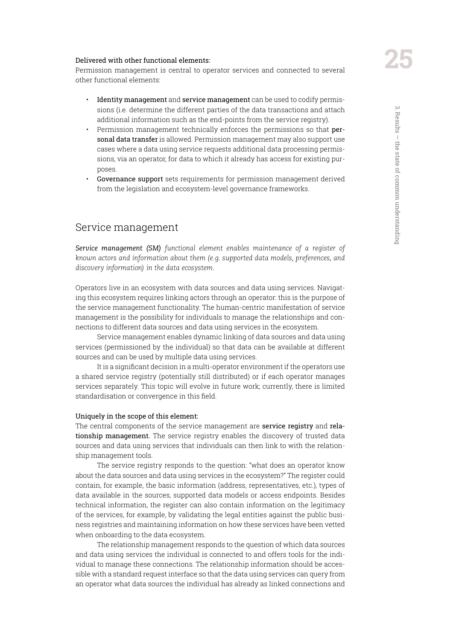#### Delivered with other functional elements:

Permission management is central to operator services and connected to several other functional elements:

- Identity management and service management can be used to codify permissions (i.e. determine the different parties of the data transactions and attach additional information such as the end-points from the service registry).
- Permission management technically enforces the permissions so that **per**sonal data transfer is allowed. Permission management may also support use cases where a data using service requests additional data processing permissions, via an operator, for data to which it already has access for existing purposes.
- Governance support sets requirements for permission management derived from the legislation and ecosystem-level governance frameworks.

#### Service management

*Service management (SM) functional element enables maintenance of a register of known actors and information about them (e.g. supported data models, preferences, and discovery information) in the data ecosystem.*

Operators live in an ecosystem with data sources and data using services. Navigating this ecosystem requires linking actors through an operator: this is the purpose of the service management functionality. The human-centric manifestation of service management is the possibility for individuals to manage the relationships and connections to different data sources and data using services in the ecosystem.

Service management enables dynamic linking of data sources and data using services (permissioned by the individual) so that data can be available at different sources and can be used by multiple data using services.

It is a significant decision in a multi-operator environment if the operators use a shared service registry (potentially still distributed) or if each operator manages services separately. This topic will evolve in future work; currently, there is limited standardisation or convergence in this field.

#### Uniquely in the scope of this element:

The central components of the service management are service registry and relationship management. The service registry enables the discovery of trusted data sources and data using services that individuals can then link to with the relationship management tools.

The service registry responds to the question: "what does an operator know about the data sources and data using services in the ecosystem?" The register could contain, for example, the basic information (address, representatives, etc.), types of data available in the sources, supported data models or access endpoints. Besides technical information, the register can also contain information on the legitimacy of the services, for example, by validating the legal entities against the public business registries and maintaining information on how these services have been vetted when onboarding to the data ecosystem.

The relationship management responds to the question of which data sources and data using services the individual is connected to and offers tools for the individual to manage these connections. The relationship information should be accessible with a standard request interface so that the data using services can query from an operator what data sources the individual has already as linked connections and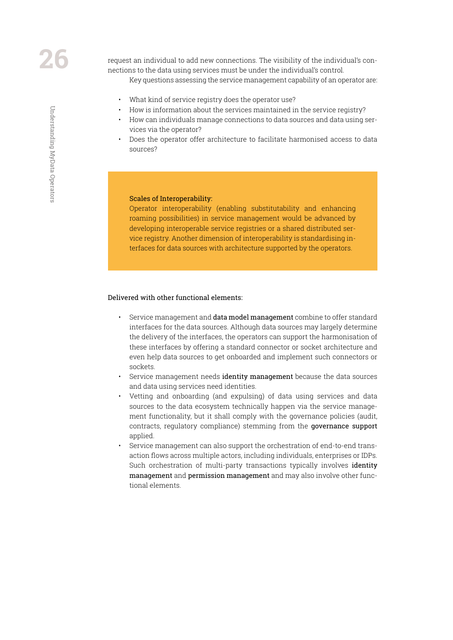Understanding MyData Operators

Understanding MyData Operators

request an individual to add new connections. The visibility of the individual's connections to the data using services must be under the individual's control.

Key questions assessing the service management capability of an operator are:

- What kind of service registry does the operator use?
- How is information about the services maintained in the service registry?
- How can individuals manage connections to data sources and data using services via the operator?
- Does the operator offer architecture to facilitate harmonised access to data sources?

#### Scales of Interoperability:

Operator interoperability (enabling substitutability and enhancing roaming possibilities) in service management would be advanced by developing interoperable service registries or a shared distributed service registry. Another dimension of interoperability is standardising interfaces for data sources with architecture supported by the operators.

#### Delivered with other functional elements:

- Service management and data model management combine to offer standard interfaces for the data sources. Although data sources may largely determine the delivery of the interfaces, the operators can support the harmonisation of these interfaces by offering a standard connector or socket architecture and even help data sources to get onboarded and implement such connectors or sockets.
- Service management needs identity management because the data sources and data using services need identities.
- Vetting and onboarding (and expulsing) of data using services and data sources to the data ecosystem technically happen via the service management functionality, but it shall comply with the governance policies (audit, contracts, regulatory compliance) stemming from the governance support applied.
- Service management can also support the orchestration of end-to-end transaction flows across multiple actors, including individuals, enterprises or IDPs. Such orchestration of multi-party transactions typically involves *identity* management and permission management and may also involve other functional elements.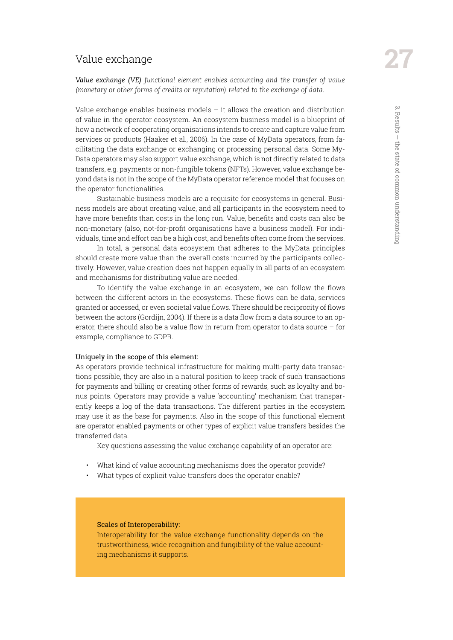#### Value exchange

*Value exchange (VE) functional element enables accounting and the transfer of value (monetary or other forms of credits or reputation) related to the exchange of data.*

Value exchange enables business models  $-$  it allows the creation and distribution of value in the operator ecosystem. An ecosystem business model is a blueprint of how a network of cooperating organisations intends to create and capture value from services or products (Haaker et al., 2006). In the case of MyData operators, from facilitating the data exchange or exchanging or processing personal data. Some My-Data operators may also support value exchange, which is not directly related to data transfers, e.g. payments or non-fungible tokens (NFTs). However, value exchange beyond data is not in the scope of the MyData operator reference model that focuses on the operator functionalities.

Sustainable business models are a requisite for ecosystems in general. Business models are about creating value, and all participants in the ecosystem need to have more benefits than costs in the long run. Value, benefits and costs can also be non-monetary (also, not-for-profit organisations have a business model). For individuals, time and effort can be a high cost, and benefits often come from the services.

In total, a personal data ecosystem that adheres to the MyData principles should create more value than the overall costs incurred by the participants collectively. However, value creation does not happen equally in all parts of an ecosystem and mechanisms for distributing value are needed.

To identify the value exchange in an ecosystem, we can follow the flows between the different actors in the ecosystems. These flows can be data, services granted or accessed, or even societal value flows. There should be reciprocity of flows between the actors (Gordijn, 2004). If there is a data flow from a data source to an operator, there should also be a value flow in return from operator to data source – for example, compliance to GDPR.

#### Uniquely in the scope of this element:

As operators provide technical infrastructure for making multi-party data transactions possible, they are also in a natural position to keep track of such transactions for payments and billing or creating other forms of rewards, such as loyalty and bonus points. Operators may provide a value 'accounting' mechanism that transparently keeps a log of the data transactions. The different parties in the ecosystem may use it as the base for payments. Also in the scope of this functional element are operator enabled payments or other types of explicit value transfers besides the transferred data.

Key questions assessing the value exchange capability of an operator are:

- What kind of value accounting mechanisms does the operator provide?
- What types of explicit value transfers does the operator enable?

#### Scales of Interoperability:

Interoperability for the value exchange functionality depends on the trustworthiness, wide recognition and fungibility of the value accounting mechanisms it supports.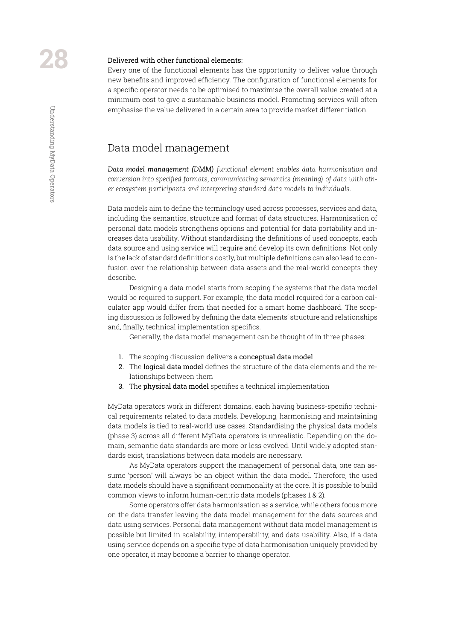#### Delivered with other functional elements:

Every one of the functional elements has the opportunity to deliver value through new benefits and improved efficiency. The configuration of functional elements for a specific operator needs to be optimised to maximise the overall value created at a minimum cost to give a sustainable business model. Promoting services will often emphasise the value delivered in a certain area to provide market differentiation.

#### Data model management

*Data model management (DMM) functional element enables data harmonisation and conversion into specified formats, communicating semantics (meaning) of data with other ecosystem participants and interpreting standard data models to individuals.*

Data models aim to define the terminology used across processes, services and data, including the semantics, structure and format of data structures. Harmonisation of personal data models strengthens options and potential for data portability and increases data usability. Without standardising the definitions of used concepts, each data source and using service will require and develop its own definitions. Not only is the lack of standard definitions costly, but multiple definitions can also lead to confusion over the relationship between data assets and the real-world concepts they describe.

Designing a data model starts from scoping the systems that the data model would be required to support. For example, the data model required for a carbon calculator app would differ from that needed for a smart home dashboard. The scoping discussion is followed by defining the data elements' structure and relationships and, finally, technical implementation specifics.

Generally, the data model management can be thought of in three phases:

- 1. The scoping discussion delivers a conceptual data model
- 2. The logical data model defines the structure of the data elements and the relationships between them
- 3. The physical data model specifies a technical implementation

MyData operators work in different domains, each having business-specific technical requirements related to data models. Developing, harmonising and maintaining data models is tied to real-world use cases. Standardising the physical data models (phase 3) across all different MyData operators is unrealistic. Depending on the domain, semantic data standards are more or less evolved. Until widely adopted standards exist, translations between data models are necessary.

As MyData operators support the management of personal data, one can assume 'person' will always be an object within the data model. Therefore, the used data models should have a significant commonality at the core. It is possible to build common views to inform human-centric data models (phases 1 & 2).

Some operators offer data harmonisation as a service, while others focus more on the data transfer leaving the data model management for the data sources and data using services. Personal data management without data model management is possible but limited in scalability, interoperability, and data usability. Also, if a data using service depends on a specific type of data harmonisation uniquely provided by one operator, it may become a barrier to change operator.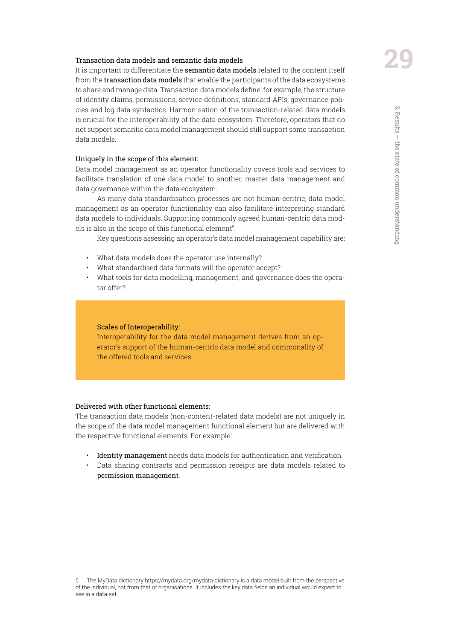#### Transaction data models and semantic data models

It is important to differentiate the semantic data models related to the content itself from the transaction data models that enable the participants of the data ecosystems to share and manage data. Transaction data models define, for example, the structure of identity claims, permissions, service definitions, standard APIs, governance policies and log data syntactics. Harmonisation of the transaction-related data models is crucial for the interoperability of the data ecosystem. Therefore, operators that do not support semantic data model management should still support some transaction data models.

#### Uniquely in the scope of this element:

Data model management as an operator functionality covers tools and services to facilitate translation of one data model to another, master data management and data governance within the data ecosystem.

As many data standardisation processes are not human-centric, data model management as an operator functionality can also facilitate interpreting standard data models to individuals. Supporting commonly agreed human-centric data models is also in the scope of this functional element5.

Key questions assessing an operator's data model management capability are:

- What data models does the operator use internally?
- What standardised data formats will the operator accept?
- What tools for data modelling, management, and governance does the operator offer?

#### Scales of Interoperability:

Interoperability for the data model management derives from an operator's support of the human-centric data model and commonality of the offered tools and services.

#### Delivered with other functional elements:

The transaction data models (non-content-related data models) are not uniquely in the scope of the data model management functional element but are delivered with the respective functional elements. For example:

- Identity management needs data models for authentication and verification.
- Data sharing contracts and permission receipts are data models related to permission management.

5 The MyData dictionary https://mydata.org/mydata-dictionary is a data model built from the perspective of the individual, not from that of organisations. It includes the key data fields an individual would expect to see in a data-set.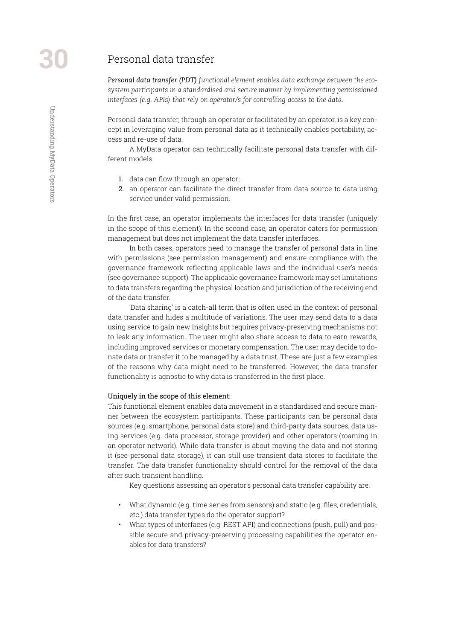#### Personal data transfer

*Personal data transfer (PDT) functional element enables data exchange between the ecosystem participants in a standardised and secure manner by implementing permissioned interfaces (e.g. APIs) that rely on operator/s for controlling access to the data.*

Personal data transfer, through an operator or facilitated by an operator, is a key concept in leveraging value from personal data as it technically enables portability, access and re-use of data.

A MyData operator can technically facilitate personal data transfer with different models:

- 1. data can flow through an operator;
- 2. an operator can facilitate the direct transfer from data source to data using service under valid permission.

In the first case, an operator implements the interfaces for data transfer (uniquely in the scope of this element). In the second case, an operator caters for permission management but does not implement the data transfer interfaces.

In both cases, operators need to manage the transfer of personal data in line with permissions (see permission management) and ensure compliance with the governance framework reflecting applicable laws and the individual user's needs (see governance support). The applicable governance framework may set limitations to data transfers regarding the physical location and jurisdiction of the receiving end of the data transfer.

'Data sharing' is a catch-all term that is often used in the context of personal data transfer and hides a multitude of variations. The user may send data to a data using service to gain new insights but requires privacy-preserving mechanisms not to leak any information. The user might also share access to data to earn rewards, including improved services or monetary compensation. The user may decide to donate data or transfer it to be managed by a data trust. These are just a few examples of the reasons why data might need to be transferred. However, the data transfer functionality is agnostic to why data is transferred in the first place.

#### Uniquely in the scope of this element:

This functional element enables data movement in a standardised and secure manner between the ecosystem participants. These participants can be personal data sources (e.g. smartphone, personal data store) and third-party data sources, data using services (e.g. data processor, storage provider) and other operators (roaming in an operator network). While data transfer is about moving the data and not storing it (see personal data storage), it can still use transient data stores to facilitate the transfer. The data transfer functionality should control for the removal of the data after such transient handling.

Key questions assessing an operator's personal data transfer capability are:

- What dynamic (e.g. time series from sensors) and static (e.g. files, credentials, etc.) data transfer types do the operator support?
- What types of interfaces (e.g. REST API) and connections (push, pull) and possible secure and privacy-preserving processing capabilities the operator enables for data transfers?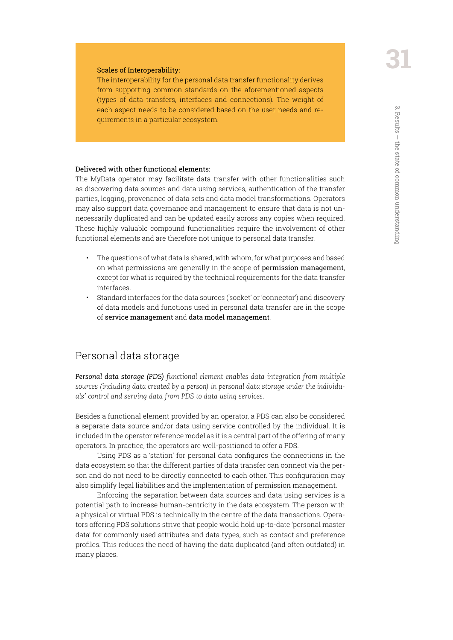#### Scales of Interoperability:

The interoperability for the personal data transfer functionality derives from supporting common standards on the aforementioned aspects (types of data transfers, interfaces and connections). The weight of each aspect needs to be considered based on the user needs and requirements in a particular ecosystem.

#### Delivered with other functional elements:

The MyData operator may facilitate data transfer with other functionalities such as discovering data sources and data using services, authentication of the transfer parties, logging, provenance of data sets and data model transformations. Operators may also support data governance and management to ensure that data is not unnecessarily duplicated and can be updated easily across any copies when required. These highly valuable compound functionalities require the involvement of other functional elements and are therefore not unique to personal data transfer.

- The questions of what data is shared, with whom, for what purposes and based on what permissions are generally in the scope of permission management, except for what is required by the technical requirements for the data transfer interfaces.
- Standard interfaces for the data sources ('socket' or 'connector') and discovery of data models and functions used in personal data transfer are in the scope of service management and data model management.

#### Personal data storage

*Personal data storage (PDS) functional element enables data integration from multiple sources (including data created by a person) in personal data storage under the individuals' control and serving data from PDS to data using services.*

Besides a functional element provided by an operator, a PDS can also be considered a separate data source and/or data using service controlled by the individual. It is included in the operator reference model as it is a central part of the offering of many operators. In practice, the operators are well-positioned to offer a PDS.

Using PDS as a 'station' for personal data configures the connections in the data ecosystem so that the different parties of data transfer can connect via the person and do not need to be directly connected to each other. This configuration may also simplify legal liabilities and the implementation of permission management.

Enforcing the separation between data sources and data using services is a potential path to increase human-centricity in the data ecosystem. The person with a physical or virtual PDS is technically in the centre of the data transactions. Operators offering PDS solutions strive that people would hold up-to-date 'personal master data' for commonly used attributes and data types, such as contact and preference profiles. This reduces the need of having the data duplicated (and often outdated) in many places.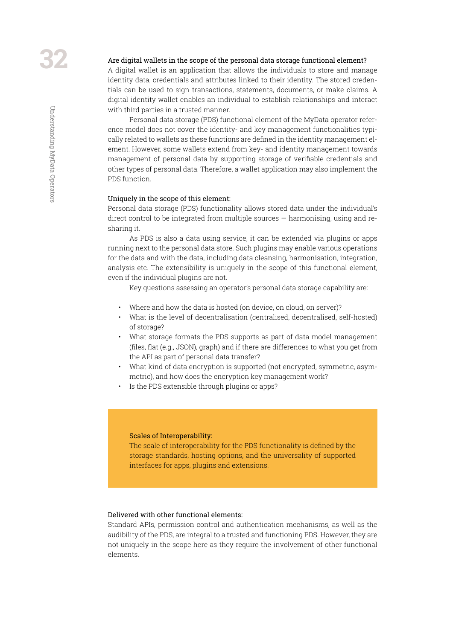#### Are digital wallets in the scope of the personal data storage functional element?

A digital wallet is an application that allows the individuals to store and manage identity data, credentials and attributes linked to their identity. The stored credentials can be used to sign transactions, statements, documents, or make claims. A digital identity wallet enables an individual to establish relationships and interact with third parties in a trusted manner.

Personal data storage (PDS) functional element of the MyData operator reference model does not cover the identity- and key management functionalities typically related to wallets as these functions are defined in the identity management element. However, some wallets extend from key- and identity management towards management of personal data by supporting storage of verifiable credentials and other types of personal data. Therefore, a wallet application may also implement the PDS function.

#### Uniquely in the scope of this element:

Personal data storage (PDS) functionality allows stored data under the individual's direct control to be integrated from multiple sources — harmonising, using and resharing it.

As PDS is also a data using service, it can be extended via plugins or apps running next to the personal data store. Such plugins may enable various operations for the data and with the data, including data cleansing, harmonisation, integration, analysis etc. The extensibility is uniquely in the scope of this functional element, even if the individual plugins are not.

Key questions assessing an operator's personal data storage capability are:

- Where and how the data is hosted (on device, on cloud, on server)?
- What is the level of decentralisation (centralised, decentralised, self-hosted) of storage?
- What storage formats the PDS supports as part of data model management (files, flat (e.g., JSON), graph) and if there are differences to what you get from the API as part of personal data transfer?
- What kind of data encryption is supported (not encrypted, symmetric, asymmetric), and how does the encryption key management work?
- Is the PDS extensible through plugins or apps?

#### Scales of Interoperability:

The scale of interoperability for the PDS functionality is defined by the storage standards, hosting options, and the universality of supported interfaces for apps, plugins and extensions.

#### Delivered with other functional elements:

Standard APIs, permission control and authentication mechanisms, as well as the audibility of the PDS, are integral to a trusted and functioning PDS. However, they are not uniquely in the scope here as they require the involvement of other functional elements.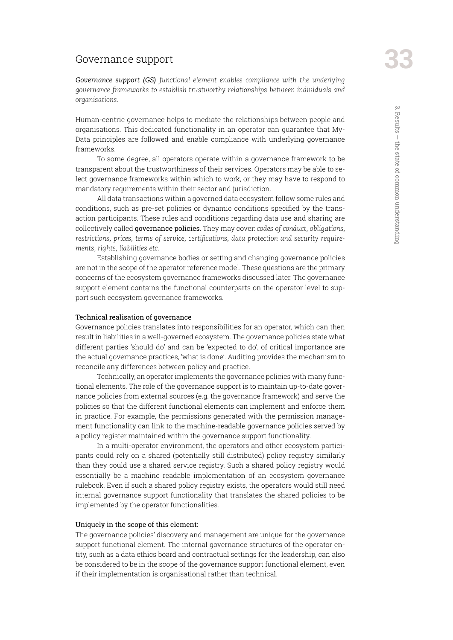#### Governance support

*Governance support (GS) functional element enables compliance with the underlying governance frameworks to establish trustworthy relationships between individuals and organisations.*

Human-centric governance helps to mediate the relationships between people and organisations. This dedicated functionality in an operator can guarantee that My-Data principles are followed and enable compliance with underlying governance frameworks.

To some degree, all operators operate within a governance framework to be transparent about the trustworthiness of their services. Operators may be able to select governance frameworks within which to work, or they may have to respond to mandatory requirements within their sector and jurisdiction.

All data transactions within a governed data ecosystem follow some rules and conditions, such as pre-set policies or dynamic conditions specified by the transaction participants. These rules and conditions regarding data use and sharing are collectively called governance policies. They may cover: *codes of conduct, obligations, restrictions, prices, terms of service, certifications, data protection and security requirements, rights, liabilities etc*.

Establishing governance bodies or setting and changing governance policies are not in the scope of the operator reference model. These questions are the primary concerns of the ecosystem governance frameworks discussed later. The governance support element contains the functional counterparts on the operator level to support such ecosystem governance frameworks.

#### Technical realisation of governance

Governance policies translates into responsibilities for an operator, which can then result in liabilities in a well-governed ecosystem. The governance policies state what different parties 'should do' and can be 'expected to do', of critical importance are the actual governance practices, 'what is done'. Auditing provides the mechanism to reconcile any differences between policy and practice.

Technically, an operator implements the governance policies with many functional elements. The role of the governance support is to maintain up-to-date governance policies from external sources (e.g. the governance framework) and serve the policies so that the different functional elements can implement and enforce them in practice. For example, the permissions generated with the permission management functionality can link to the machine-readable governance policies served by a policy register maintained within the governance support functionality.

In a multi-operator environment, the operators and other ecosystem participants could rely on a shared (potentially still distributed) policy registry similarly than they could use a shared service registry. Such a shared policy registry would essentially be a machine readable implementation of an ecosystem governance rulebook. Even if such a shared policy registry exists, the operators would still need internal governance support functionality that translates the shared policies to be implemented by the operator functionalities.

#### Uniquely in the scope of this element:

The governance policies' discovery and management are unique for the governance support functional element. The internal governance structures of the operator entity, such as a data ethics board and contractual settings for the leadership, can also be considered to be in the scope of the governance support functional element, even if their implementation is organisational rather than technical.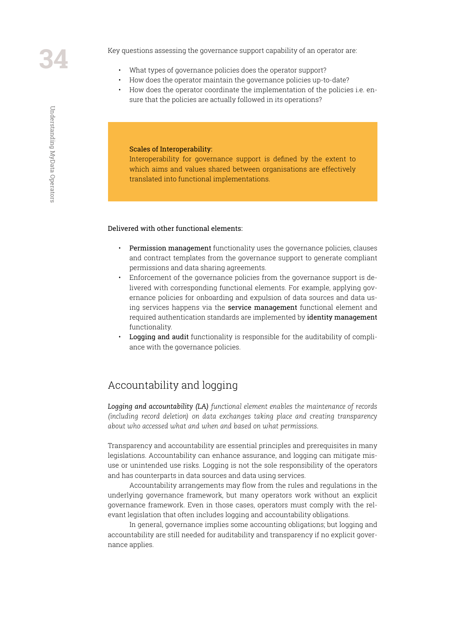Key questions assessing the governance support capability of an operator are:

- What types of governance policies does the operator support?
- How does the operator maintain the governance policies up-to-date?
- How does the operator coordinate the implementation of the policies i.e. ensure that the policies are actually followed in its operations?

#### Scales of Interoperability:

Interoperability for governance support is defined by the extent to which aims and values shared between organisations are effectively translated into functional implementations.

#### Delivered with other functional elements:

- Permission management functionality uses the governance policies, clauses and contract templates from the governance support to generate compliant permissions and data sharing agreements.
- Enforcement of the governance policies from the governance support is delivered with corresponding functional elements. For example, applying governance policies for onboarding and expulsion of data sources and data using services happens via the service management functional element and required authentication standards are implemented by identity management functionality.
- Logging and audit functionality is responsible for the auditability of compliance with the governance policies.

#### Accountability and logging

*Logging and accountability (LA) functional element enables the maintenance of records (including record deletion) on data exchanges taking place and creating transparency about who accessed what and when and based on what permissions.*

Transparency and accountability are essential principles and prerequisites in many legislations. Accountability can enhance assurance, and logging can mitigate misuse or unintended use risks. Logging is not the sole responsibility of the operators and has counterparts in data sources and data using services.

Accountability arrangements may flow from the rules and regulations in the underlying governance framework, but many operators work without an explicit governance framework. Even in those cases, operators must comply with the relevant legislation that often includes logging and accountability obligations.

In general, governance implies some accounting obligations; but logging and accountability are still needed for auditability and transparency if no explicit governance applies.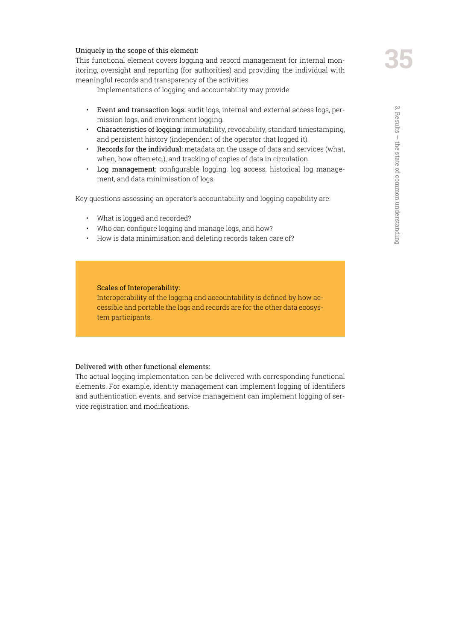This functional element covers logging and record management for internal monitoring, oversight and reporting (for authorities) and providing the individual with meaningful records and transparency of the activities.

Implementations of logging and accountability may provide:

- Event and transaction logs: audit logs, internal and external access logs, permission logs, and environment logging.
- Characteristics of logging: immutability, revocability, standard timestamping, and persistent history (independent of the operator that logged it).
- Records for the individual: metadata on the usage of data and services (what, when, how often etc.), and tracking of copies of data in circulation.
- Log management: configurable logging, log access, historical log management, and data minimisation of logs.

Key questions assessing an operator's accountability and logging capability are:

- What is logged and recorded?
- Who can configure logging and manage logs, and how?
- How is data minimisation and deleting records taken care of?

#### Scales of Interoperability:

Interoperability of the logging and accountability is defined by how accessible and portable the logs and records are for the other data ecosystem participants.

#### Delivered with other functional elements:

The actual logging implementation can be delivered with corresponding functional elements. For example, identity management can implement logging of identifiers and authentication events, and service management can implement logging of service registration and modifications.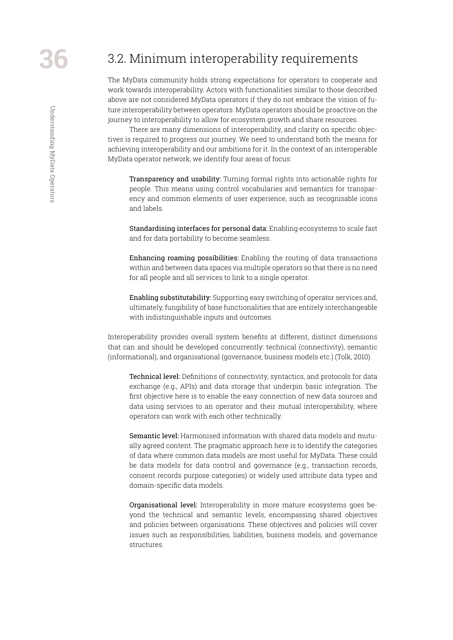# <span id="page-35-0"></span>3.2. Minimum interoperability requirements

The MyData community holds strong expectations for operators to cooperate and work towards interoperability. Actors with functionalities similar to those described above are not considered MyData operators if they do not embrace the vision of future interoperability between operators. MyData operators should be proactive on the journey to interoperability to allow for ecosystem growth and share resources.

There are many dimensions of interoperability, and clarity on specific objectives is required to progress our journey. We need to understand both the means for achieving interoperability and our ambitions for it. In the context of an interoperable MyData operator network, we identify four areas of focus:

Transparency and usability: Turning formal rights into actionable rights for people. This means using control vocabularies and semantics for transparency and common elements of user experience, such as recognisable icons and labels.

Standardising interfaces for personal data: Enabling ecosystems to scale fast and for data portability to become seamless.

Enhancing roaming possibilities: Enabling the routing of data transactions within and between data spaces via multiple operators so that there is no need for all people and all services to link to a single operator.

Enabling substitutability: Supporting easy switching of operator services and, ultimately, fungibility of base functionalities that are entirely interchangeable with indistinguishable inputs and outcomes.

Interoperability provides overall system benefits at different, distinct dimensions that can and should be developed concurrently: technical (connectivity), semantic (informational), and organisational (governance, business models etc.) (Tolk, 2010).

Technical level: Definitions of connectivity, syntactics, and protocols for data exchange (e.g., APIs) and data storage that underpin basic integration. The first objective here is to enable the easy connection of new data sources and data using services to an operator and their mutual interoperability, where operators can work with each other technically.

Semantic level: Harmonised information with shared data models and mutually agreed content. The pragmatic approach here is to identify the categories of data where common data models are most useful for MyData. These could be data models for data control and governance (e.g., transaction records, consent records purpose categories) or widely used attribute data types and domain-specific data models.

Organisational level: Interoperability in more mature ecosystems goes beyond the technical and semantic levels, encompassing shared objectives and policies between organisations. These objectives and policies will cover issues such as responsibilities, liabilities, business models, and governance structures.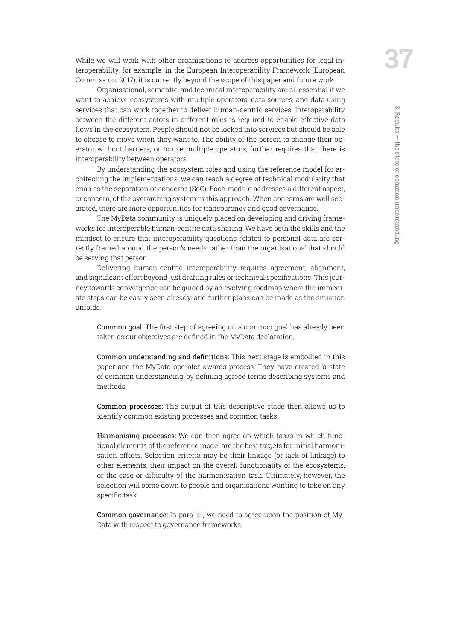While we will work with other organisations to address opportunities for legal interoperability, for example, in the European Interoperability Framework (European Commission, 2017), it is currently beyond the scope of this paper and future work.

Organisational, semantic, and technical interoperability are all essential if we want to achieve ecosystems with multiple operators, data sources, and data using services that can work together to deliver human-centric services. Interoperability between the different actors in different roles is required to enable effective data flows in the ecosystem. People should not be locked into services but should be able to choose to move when they want to. The ability of the person to change their operator without barriers, or to use multiple operators, further requires that there is interoperability between operators.

By understanding the ecosystem roles and using the reference model for architecting the implementations, we can reach a degree of technical modularity that enables the separation of concerns (SoC). Each module addresses a different aspect, or concern, of the overarching system in this approach. When concerns are well separated, there are more opportunities for transparency and good governance.

The MyData community is uniquely placed on developing and driving frameworks for interoperable human-centric data sharing. We have both the skills and the mindset to ensure that interoperability questions related to personal data are correctly framed around the person's needs rather than the organisations' that should be serving that person.

Delivering human-centric interoperability requires agreement, alignment, and significant effort beyond just drafting rules or technical specifications. This journey towards convergence can be guided by an evolving roadmap where the immediate steps can be easily seen already, and further plans can be made as the situation unfolds.

Common goal: The first step of agreeing on a common goal has already been taken as our objectives are defined in the MyData declaration.

Common understanding and definitions: This next stage is embodied in this paper and the MyData operator awards process. They have created 'a state of common understanding' by defining agreed terms describing systems and methods.

Common processes: The output of this descriptive stage then allows us to identify common existing processes and common tasks.

Harmonising processes: We can then agree on which tasks in which functional elements of the reference model are the best targets for initial harmonisation efforts. Selection criteria may be their linkage (or lack of linkage) to other elements, their impact on the overall functionality of the ecosystems, or the ease or difficulty of the harmonisation task. Ultimately, however, the selection will come down to people and organisations wanting to take on any specific task.

Common governance: In parallel, we need to agree upon the position of My-Data with respect to governance frameworks.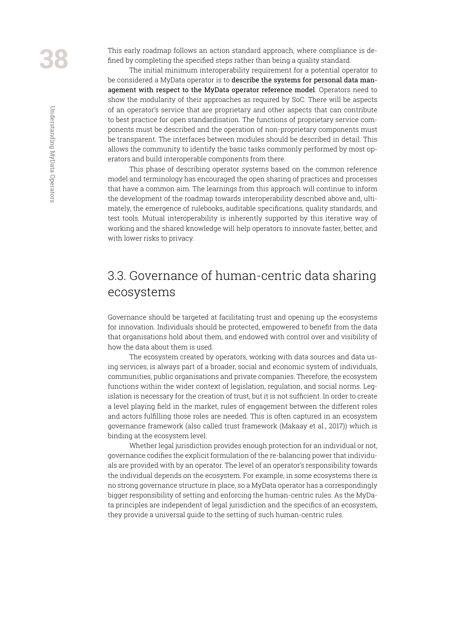<span id="page-37-0"></span>This early roadmap follows an action standard approach, where compliance is defined by completing the specified steps rather than being a quality standard.

The initial minimum interoperability requirement for a potential operator to be considered a MyData operator is to describe the systems for personal data management with respect to the MyData operator reference model. Operators need to show the modularity of their approaches as required by SoC. There will be aspects of an operator's service that are proprietary and other aspects that can contribute to best practice for open standardisation. The functions of proprietary service components must be described and the operation of non-proprietary components must be transparent. The interfaces between modules should be described in detail. This allows the community to identify the basic tasks commonly performed by most operators and build interoperable components from there.

This phase of describing operator systems based on the common reference model and terminology has encouraged the open sharing of practices and processes that have a common aim. The learnings from this approach will continue to inform the development of the roadmap towards interoperability described above and, ultimately, the emergence of rulebooks, auditable specifications, quality standards, and test tools. Mutual interoperability is inherently supported by this iterative way of working and the shared knowledge will help operators to innovate faster, better, and with lower risks to privacy.

# 3.3. Governance of human-centric data sharing ecosystems

Governance should be targeted at facilitating trust and opening up the ecosystems for innovation. Individuals should be protected, empowered to benefit from the data that organisations hold about them, and endowed with control over and visibility of how the data about them is used.

The ecosystem created by operators, working with data sources and data using services, is always part of a broader, social and economic system of individuals, communities, public organisations and private companies. Therefore, the ecosystem functions within the wider context of legislation, regulation, and social norms. Legislation is necessary for the creation of trust, but it is not sufficient. In order to create a level playing field in the market, rules of engagement between the different roles and actors fulfilling those roles are needed. This is often captured in an ecosystem governance framework (also called trust framework (Makaay et al., 2017)) which is binding at the ecosystem level.

Whether legal jurisdiction provides enough protection for an individual or not, governance codifies the explicit formulation of the re-balancing power that individuals are provided with by an operator. The level of an operator's responsibility towards the individual depends on the ecosystem. For example, in some ecosystems there is no strong governance structure in place, so a MyData operator has a correspondingly bigger responsibility of setting and enforcing the human-centric rules. As the MyData principles are independent of legal jurisdiction and the specifics of an ecosystem, they provide a universal guide to the setting of such human-centric rules.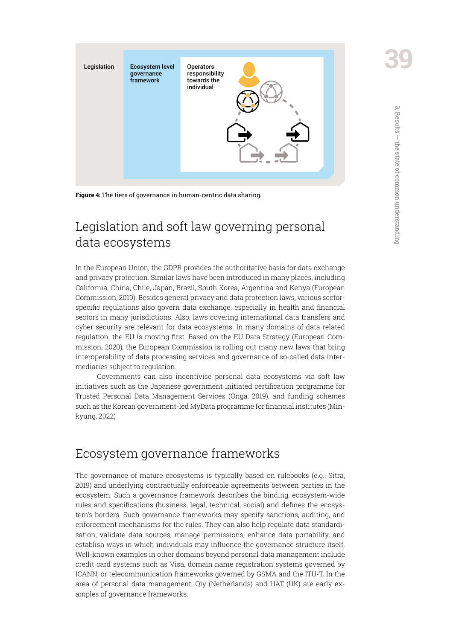<span id="page-38-0"></span>

**Figure 4:** The tiers of governance in human-centric data sharing.

# Legislation and soft law governing personal data ecosystems

In the European Union, the GDPR provides the authoritative basis for data exchange and privacy protection. Similar laws have been introduced in many places, including California, China, Chile, Japan, Brazil, South Korea, Argentina and Kenya (European Commission, 2019). Besides general privacy and data protection laws, various sectorspecific regulations also govern data exchange, especially in health and financial sectors in many jurisdictions. Also, laws covering international data transfers and cyber security are relevant for data ecosystems. In many domains of data related regulation, the EU is moving first. Based on the EU Data Strategy (European Commission, 2020), the European Commission is rolling out many new laws that bring interoperability of data processing services and governance of so-called data intermediaries subject to regulation.

Governments can also incentivise personal data ecosystems via soft law initiatives such as the Japanese government initiated certification programme for Trusted Personal Data Management Services (Onga, 2019), and funding schemes such as the Korean government-led MyData programme for financial institutes (Minkyung, 2022)

# Ecosystem governance frameworks

The governance of mature ecosystems is typically based on rulebooks (e.g., Sitra, 2019) and underlying contractually enforceable agreements between parties in the ecosystem. Such a governance framework describes the binding, ecosystem-wide rules and specifications (business, legal, technical, social) and defines the ecosystem's borders. Such governance frameworks may specify sanctions, auditing, and enforcement mechanisms for the rules. They can also help regulate data standardisation, validate data sources, manage permissions, enhance data portability, and establish ways in which individuals may influence the governance structure itself. Well-known examples in other domains beyond personal data management include credit card systems such as Visa, domain name registration systems governed by ICANN, or telecommunication frameworks governed by GSMA and the ITU-T. In the area of personal data management, Qiy (Netherlands) and HAT (UK) are early examples of governance frameworks.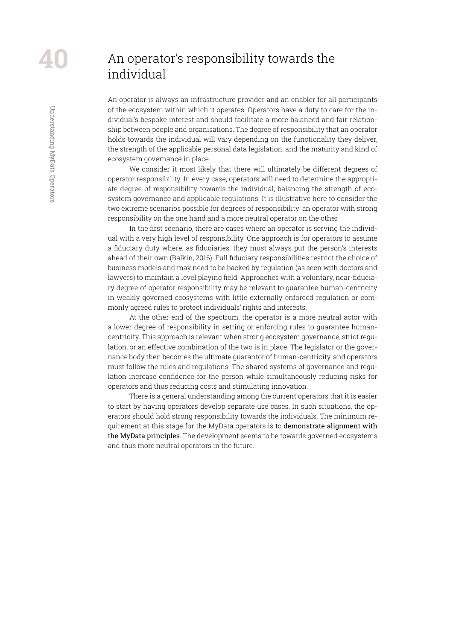Understanding MyData Operators

<span id="page-39-0"></span>Understanding MyData Operators

# An operator's responsibility towards the individual

An operator is always an infrastructure provider and an enabler for all participants of the ecosystem within which it operates. Operators have a duty to care for the individual's bespoke interest and should facilitate a more balanced and fair relationship between people and organisations. The degree of responsibility that an operator holds towards the individual will vary depending on the functionality they deliver, the strength of the applicable personal data legislation, and the maturity and kind of ecosystem governance in place.

We consider it most likely that there will ultimately be different degrees of operator responsibility. In every case, operators will need to determine the appropriate degree of responsibility towards the individual, balancing the strength of ecosystem governance and applicable regulations. It is illustrative here to consider the two extreme scenarios possible for degrees of responsibility: an operator with strong responsibility on the one hand and a more neutral operator on the other.

In the first scenario, there are cases where an operator is serving the individual with a very high level of responsibility. One approach is for operators to assume a fiduciary duty where, as fiduciaries, they must always put the person's interests ahead of their own (Balkin, 2016). Full fiduciary responsibilities restrict the choice of business models and may need to be backed by regulation (as seen with doctors and lawyers) to maintain a level playing field. Approaches with a voluntary, near-fiduciary degree of operator responsibility may be relevant to guarantee human-centricity in weakly governed ecosystems with little externally enforced regulation or commonly agreed rules to protect individuals' rights and interests.

At the other end of the spectrum, the operator is a more neutral actor with a lower degree of responsibility in setting or enforcing rules to guarantee humancentricity. This approach is relevant when strong ecosystem governance, strict regulation, or an effective combination of the two is in place. The legislator or the governance body then becomes the ultimate guarantor of human-centricity, and operators must follow the rules and regulations. The shared systems of governance and regulation increase confidence for the person while simultaneously reducing risks for operators and thus reducing costs and stimulating innovation.

There is a general understanding among the current operators that it is easier to start by having operators develop separate use cases. In such situations, the operators should hold strong responsibility towards the individuals. The minimum requirement at this stage for the MyData operators is to demonstrate alignment with the MyData principles. The development seems to be towards governed ecosystems and thus more neutral operators in the future.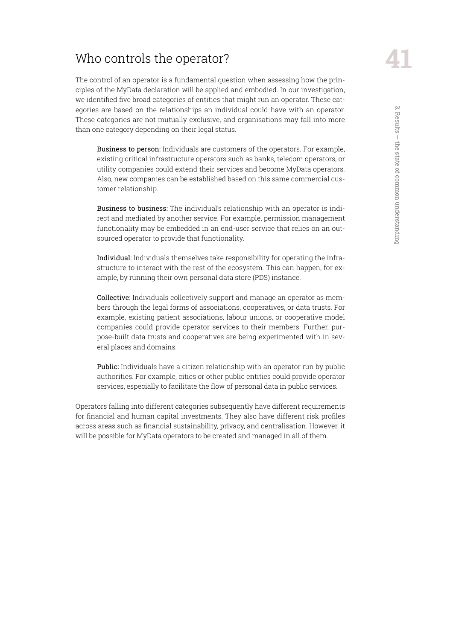# <span id="page-40-0"></span>Who controls the operator?

The control of an operator is a fundamental question when assessing how the principles of the MyData declaration will be applied and embodied. In our investigation, we identified five broad categories of entities that might run an operator. These categories are based on the relationships an individual could have with an operator. These categories are not mutually exclusive, and organisations may fall into more than one category depending on their legal status.

Business to person: Individuals are customers of the operators. For example, existing critical infrastructure operators such as banks, telecom operators, or utility companies could extend their services and become MyData operators. Also, new companies can be established based on this same commercial customer relationship.

Business to business: The individual's relationship with an operator is indirect and mediated by another service. For example, permission management functionality may be embedded in an end-user service that relies on an outsourced operator to provide that functionality.

Individual: Individuals themselves take responsibility for operating the infrastructure to interact with the rest of the ecosystem. This can happen, for example, by running their own personal data store (PDS) instance.

Collective: Individuals collectively support and manage an operator as members through the legal forms of associations, cooperatives, or data trusts. For example, existing patient associations, labour unions, or cooperative model companies could provide operator services to their members. Further, purpose-built data trusts and cooperatives are being experimented with in several places and domains.

Public: Individuals have a citizen relationship with an operator run by public authorities. For example, cities or other public entities could provide operator services, especially to facilitate the flow of personal data in public services.

Operators falling into different categories subsequently have different requirements for financial and human capital investments. They also have different risk profiles across areas such as financial sustainability, privacy, and centralisation. However, it will be possible for MyData operators to be created and managed in all of them.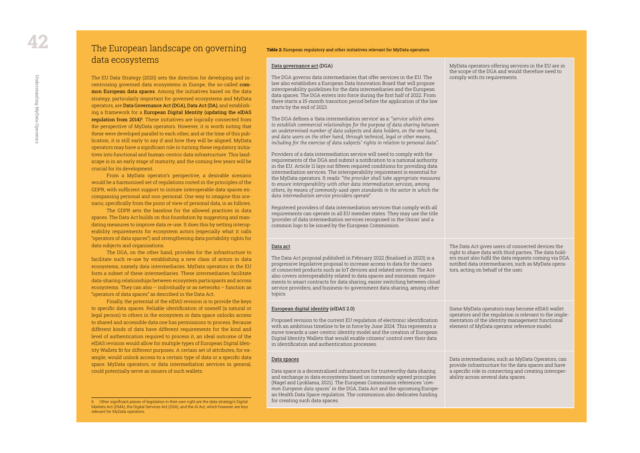#### **Table 2:** European regulatory and other initiatives relevant for MyData operators.

#### [Data governance act](https://data.consilium.europa.eu/doc/document/ST-14606-2021-INIT/en/pdf) (DGA)

The DGA governs data intermediaries that offer services in the EU. The law also establishes a European Data Innovation Board that will propose interoperability guidelines for the data intermediaries and the European data spaces. The DGA enters into force during the first half of 2022. From there starts a 15-month transition period before the application of the law starts by the end of 2023.

The DGA defines a 'data intermediation service' as a: *"service which aims to establish commercial relationships for the purpose of data sharing between an undetermined number of data subjects and data holders, on the one hand, and data users on the other hand, through technical, legal or other means, including for the exercise of data subjects' rights in relation to personal data"*.

Providers of a data intermediation service will need to comply with the requirements of the DGA and submit a notification to a national authority in the EU. Article 11 lays out fifteen required conditions for providing data intermediation services. The interoperability requirement is essential for the MyData operators. It reads: *"the provider shall take appropriate measures to ensure interoperability with other data intermediation services, among others, by means of commonly-used open standards in the sector in which the data intermediation service providers operate*".

> The Data Act gives users of connected devices the right to share data with third parties. The data holders must also fulfil the data requests coming via DGA notified data intermediaries, such as MyData operators, acting on behalf of the user.

Registered providers of data intermediation services that comply with all requirements can operate in all EU member states. They may use the title 'provider of data intermediation services recognised in the Union' and a common logo to be issued by the European Commission.

MyData operators offering services in the EU are in the scope of the DGA and would therefore need to comply with its requirements.

#### [Data act](https://ec.europa.eu/commission/presscorner/detail/en/ip_22_1113)

The Data Act proposal published in February 2022 (finalised in 2023) is a progressive legislative proposal to increase access to data for the users of connected products such as IoT devices and related services. The Act also covers interoperability related to data spaces and minimum requirements to smart contracts for data sharing, easier switching between cloud service providers, and business-to-government data sharing, among other topics.

#### [European digital identity](https://eur-lex.europa.eu/legal-content/EN/TXT/HTML/?uri=CELEX:52021PC0281&from=EN) (eIDAS 2.0)

Proposed revision to the current EU regulation of electronic identification with an ambitious timeline to be in force by June 2024. This represents a move towards a user-centric identity model and the creation of European Digital Identity Wallets that would enable citizens' control over their data in identification and authentication processes.

Some MyData operators may become eIDAS wallet operators and the regulation is relevant to the implementation of the identity management functional element of MyData operator reference model.

#### [Data spaces](https://design-principles-for-data-spaces.org/)

Data space is a decentralised infrastructure for trustworthy data sharing and exchange in data ecosystems based on commonly agreed principles (Nagel and Lycklama, 2021). The European Commission references *'common European data spaces'* in the DGA, Data Act and the upcoming European Health Data Space regulation. The commission also dedicates funding for creating such data spaces.

Data intermediaries, such as MyData Operators, can provide infrastructure for the data spaces and have a specific role in connecting and creating interoperability across several data spaces.

# <span id="page-41-0"></span>The European landscape on governing data ecosystems

The EU Data Strategy (2020) sets the direction for developing and incentivising governed data ecosystems in Europe, the so-called common European data spaces. Among the initiatives based on the data strategy, particularly important for governed ecosystems and MyData operators, are Data Governance Act (DGA), Data Act (DA), and establishing a framework for a European Digital Identity (updating the eIDAS **regulation from 2014)**6. These initiatives are logically connected from the perspective of MyData operators. However, it is worth noting that these were developed parallel to each other, and at the time of this publication, it is still early to say if and how they will be aligned. MyData operators may have a significant role in turning these regulatory initiatives into functional and human-centric data infrastructure. This landscape is in an early stage of maturity, and the coming few years will be crucial for its development.

From a MyData operator's perspective, a desirable scenario would be a harmonised set of regulations rooted in the principles of the GDPR, with sufficient support to initiate interoperable data spaces encompassing personal and non-personal. One way to imagine this scenario, specifically from the point of view of personal data, is as follows.

The GDPR sets the baseline for the allowed practices in data spaces. The Data Act builds on this foundation by suggesting and mandating measures to improve data re-use. It does this by setting interoperability requirements for ecosystem actors (especially what it calls "operators of data spaces") and strengthening data portability rights for data subjects and organisations.

The DGA, on the other hand, provides for the infrastructure to facilitate such re-use by establishing a new class of actors in data ecosystems, namely data intermediaries. MyData operators in the EU form a subset of these intermediaries. These intermediaries facilitate data-sharing relationships between ecosystem participants and across ecosystems. They can also – individually or as networks – function as "operators of data spaces" as described in the Data Act.

Finally, the potential of the eIDAS revision is to provide the keys to specific data spaces. Reliable identification of oneself (a natural or legal person) to others in the ecosystem or data space unlocks access to shared and accessible data one has permissions to process. Because different kinds of data have different requirements for the kind and level of authentication required to process it, an ideal outcome of the eIDAS revision would allow for multiple types of European Digital Identity Wallets fit for different purposes. A certain set of attributes, for example, would unlock access to a certain type of data or a specific data space. MyData operators, or data intermediation services in general, could potentially serve as issuers of such wallets.

6 Other significant pieces of legislation in their own right are the data strategy's Digital Markets Act (DMA), the Digital Services Act (DSA), and the AI Act, which however are less relevant for MyData operators.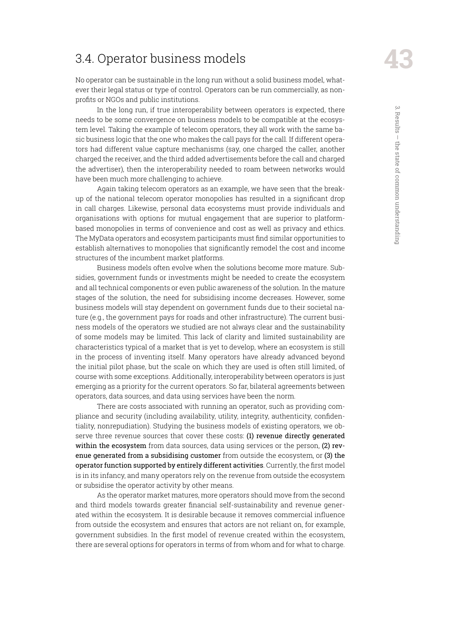# <span id="page-42-0"></span>3.4. Operator business models

No operator can be sustainable in the long run without a solid business model, whatever their legal status or type of control. Operators can be run commercially, as nonprofits or NGOs and public institutions.

In the long run, if true interoperability between operators is expected, there needs to be some convergence on business models to be compatible at the ecosystem level. Taking the example of telecom operators, they all work with the same basic business logic that the one who makes the call pays for the call. If different operators had different value capture mechanisms (say, one charged the caller, another charged the receiver, and the third added advertisements before the call and charged the advertiser), then the interoperability needed to roam between networks would have been much more challenging to achieve.

Again taking telecom operators as an example, we have seen that the breakup of the national telecom operator monopolies has resulted in a significant drop in call charges. Likewise, personal data ecosystems must provide individuals and organisations with options for mutual engagement that are superior to platformbased monopolies in terms of convenience and cost as well as privacy and ethics. The MyData operators and ecosystem participants must find similar opportunities to establish alternatives to monopolies that significantly remodel the cost and income structures of the incumbent market platforms.

Business models often evolve when the solutions become more mature. Subsidies, government funds or investments might be needed to create the ecosystem and all technical components or even public awareness of the solution. In the mature stages of the solution, the need for subsidising income decreases. However, some business models will stay dependent on government funds due to their societal nature (e.g., the government pays for roads and other infrastructure). The current business models of the operators we studied are not always clear and the sustainability of some models may be limited. This lack of clarity and limited sustainability are characteristics typical of a market that is yet to develop, where an ecosystem is still in the process of inventing itself. Many operators have already advanced beyond the initial pilot phase, but the scale on which they are used is often still limited, of course with some exceptions. Additionally, interoperability between operators is just emerging as a priority for the current operators. So far, bilateral agreements between operators, data sources, and data using services have been the norm.

There are costs associated with running an operator, such as providing compliance and security (including availability, utility, integrity, authenticity, confidentiality, nonrepudiation). Studying the business models of existing operators, we observe three revenue sources that cover these costs: (1) revenue directly generated within the ecosystem from data sources, data using services or the person, (2) revenue generated from a subsidising customer from outside the ecosystem, or (3) the operator function supported by entirely different activities. Currently, the first model is in its infancy, and many operators rely on the revenue from outside the ecosystem or subsidise the operator activity by other means.

As the operator market matures, more operators should move from the second and third models towards greater financial self-sustainability and revenue generated within the ecosystem. It is desirable because it removes commercial influence from outside the ecosystem and ensures that actors are not reliant on, for example, government subsidies. In the first model of revenue created within the ecosystem, there are several options for operators in terms of from whom and for what to charge.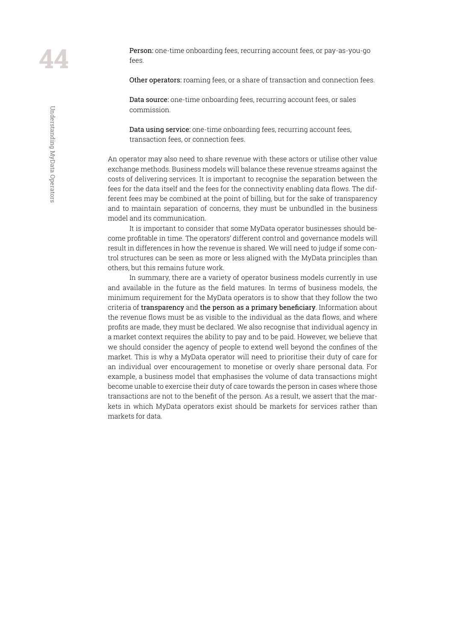Person: one-time onboarding fees, recurring account fees, or pay-as-you-go fees.

Other operators: roaming fees, or a share of transaction and connection fees.

Data source: one-time onboarding fees, recurring account fees, or sales commission.

Data using service: one-time onboarding fees, recurring account fees, transaction fees, or connection fees.

An operator may also need to share revenue with these actors or utilise other value exchange methods. Business models will balance these revenue streams against the costs of delivering services. It is important to recognise the separation between the fees for the data itself and the fees for the connectivity enabling data flows. The different fees may be combined at the point of billing, but for the sake of transparency and to maintain separation of concerns, they must be unbundled in the business model and its communication.

It is important to consider that some MyData operator businesses should become profitable in time. The operators' different control and governance models will result in differences in how the revenue is shared. We will need to judge if some control structures can be seen as more or less aligned with the MyData principles than others, but this remains future work.

In summary, there are a variety of operator business models currently in use and available in the future as the field matures. In terms of business models, the minimum requirement for the MyData operators is to show that they follow the two criteria of transparency and the person as a primary beneficiary. Information about the revenue flows must be as visible to the individual as the data flows, and where profits are made, they must be declared. We also recognise that individual agency in a market context requires the ability to pay and to be paid. However, we believe that we should consider the agency of people to extend well beyond the confines of the market. This is why a MyData operator will need to prioritise their duty of care for an individual over encouragement to monetise or overly share personal data. For example, a business model that emphasises the volume of data transactions might become unable to exercise their duty of care towards the person in cases where those transactions are not to the benefit of the person. As a result, we assert that the markets in which MyData operators exist should be markets for services rather than markets for data.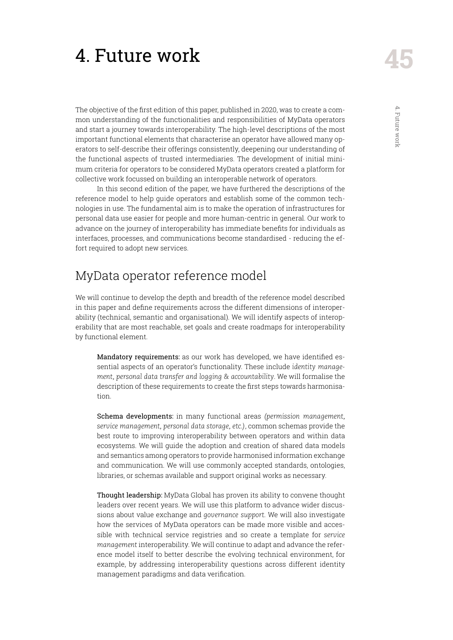# <span id="page-44-0"></span>4. Future work

The objective of the first edition of this paper, published in 2020, was to create a common understanding of the functionalities and responsibilities of MyData operators and start a journey towards interoperability. The high-level descriptions of the most important functional elements that characterise an operator have allowed many operators to self-describe their offerings consistently, deepening our understanding of the functional aspects of trusted intermediaries. The development of initial minimum criteria for operators to be considered MyData operators created a platform for collective work focussed on building an interoperable network of operators.

In this second edition of the paper, we have furthered the descriptions of the reference model to help guide operators and establish some of the common technologies in use. The fundamental aim is to make the operation of infrastructures for personal data use easier for people and more human-centric in general. Our work to advance on the journey of interoperability has immediate benefits for individuals as interfaces, processes, and communications become standardised - reducing the effort required to adopt new services.

# MyData operator reference model

We will continue to develop the depth and breadth of the reference model described in this paper and define requirements across the different dimensions of interoperability (technical, semantic and organisational). We will identify aspects of interoperability that are most reachable, set goals and create roadmaps for interoperability by functional element.

Mandatory requirements: as our work has developed, we have identified essential aspects of an operator's functionality. These include *identity management, personal data transfer and logging & accountability*. We will formalise the description of these requirements to create the first steps towards harmonisation.

Schema developments: in many functional areas *(permission management, service management, personal data storage, etc.)*, common schemas provide the best route to improving interoperability between operators and within data ecosystems. We will guide the adoption and creation of shared data models and semantics among operators to provide harmonised information exchange and communication. We will use commonly accepted standards, ontologies, libraries, or schemas available and support original works as necessary.

Thought leadership: MyData Global has proven its ability to convene thought leaders over recent years. We will use this platform to advance wider discussions about value exchange and *governance support*. We will also investigate how the services of MyData operators can be made more visible and accessible with technical service registries and so create a template for *service management* interoperability. We will continue to adapt and advance the reference model itself to better describe the evolving technical environment, for example, by addressing interoperability questions across different identity management paradigms and data verification.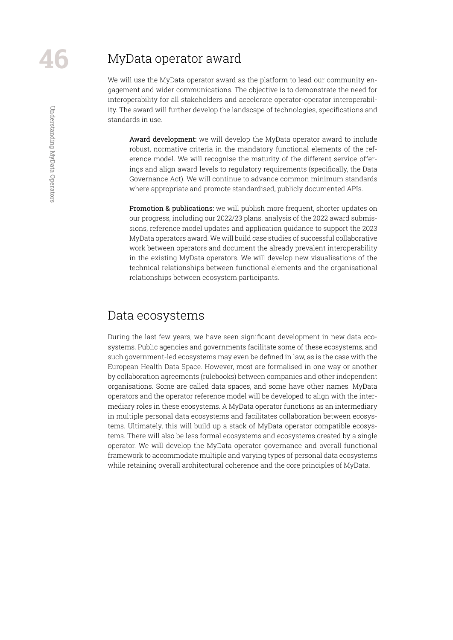# <span id="page-45-0"></span>Understanding MyData Operators Understanding MyData Operators

## MyData operator award

We will use the MyData operator award as the platform to lead our community engagement and wider communications. The objective is to demonstrate the need for interoperability for all stakeholders and accelerate operator-operator interoperability. The award will further develop the landscape of technologies, specifications and standards in use.

Award development: we will develop the MyData operator award to include robust, normative criteria in the mandatory functional elements of the reference model. We will recognise the maturity of the different service offerings and align award levels to regulatory requirements (specifically, the Data Governance Act). We will continue to advance common minimum standards where appropriate and promote standardised, publicly documented APIs.

Promotion & publications: we will publish more frequent, shorter updates on our progress, including our 2022/23 plans, analysis of the 2022 award submissions, reference model updates and application guidance to support the 2023 MyData operators award. We will build case studies of successful collaborative work between operators and document the already prevalent interoperability in the existing MyData operators. We will develop new visualisations of the technical relationships between functional elements and the organisational relationships between ecosystem participants.

#### Data ecosystems

During the last few years, we have seen significant development in new data ecosystems. Public agencies and governments facilitate some of these ecosystems, and such government-led ecosystems may even be defined in law, as is the case with the European Health Data Space. However, most are formalised in one way or another by collaboration agreements (rulebooks) between companies and other independent organisations. Some are called data spaces, and some have other names. MyData operators and the operator reference model will be developed to align with the intermediary roles in these ecosystems. A MyData operator functions as an intermediary in multiple personal data ecosystems and facilitates collaboration between ecosystems. Ultimately, this will build up a stack of MyData operator compatible ecosystems. There will also be less formal ecosystems and ecosystems created by a single operator. We will develop the MyData operator governance and overall functional framework to accommodate multiple and varying types of personal data ecosystems while retaining overall architectural coherence and the core principles of MyData.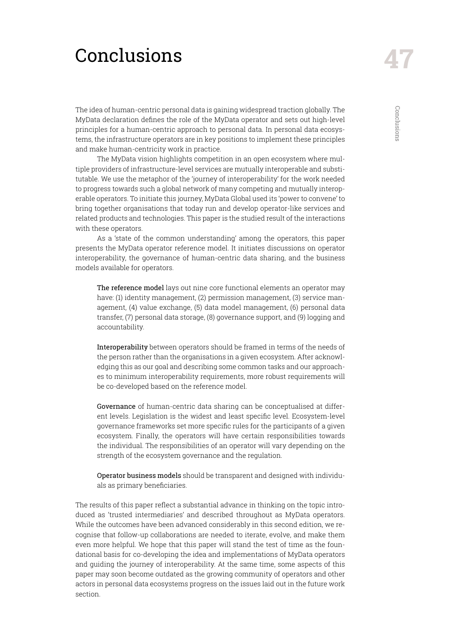# <span id="page-46-0"></span>**Conclusions**

The idea of human-centric personal data is gaining widespread traction globally. The MyData declaration defines the role of the MyData operator and sets out high-level principles for a human-centric approach to personal data. In personal data ecosystems, the infrastructure operators are in key positions to implement these principles and make human-centricity work in practice.

The MyData vision highlights competition in an open ecosystem where multiple providers of infrastructure-level services are mutually interoperable and substitutable. We use the metaphor of the 'journey of interoperability' for the work needed to progress towards such a global network of many competing and mutually interoperable operators. To initiate this journey, MyData Global used its 'power to convene' to bring together organisations that today run and develop operator-like services and related products and technologies. This paper is the studied result of the interactions with these operators.

As a 'state of the common understanding' among the operators, this paper presents the MyData operator reference model. It initiates discussions on operator interoperability, the governance of human-centric data sharing, and the business models available for operators.

The reference model lays out nine core functional elements an operator may have: (1) identity management, (2) permission management, (3) service management, (4) value exchange, (5) data model management, (6) personal data transfer, (7) personal data storage, (8) governance support, and (9) logging and accountability.

Interoperability between operators should be framed in terms of the needs of the person rather than the organisations in a given ecosystem. After acknowledging this as our goal and describing some common tasks and our approaches to minimum interoperability requirements, more robust requirements will be co-developed based on the reference model.

Governance of human-centric data sharing can be conceptualised at different levels. Legislation is the widest and least specific level. Ecosystem-level governance frameworks set more specific rules for the participants of a given ecosystem. Finally, the operators will have certain responsibilities towards the individual. The responsibilities of an operator will vary depending on the strength of the ecosystem governance and the regulation.

Operator business models should be transparent and designed with individuals as primary beneficiaries.

The results of this paper reflect a substantial advance in thinking on the topic introduced as 'trusted intermediaries' and described throughout as MyData operators. While the outcomes have been advanced considerably in this second edition, we recognise that follow-up collaborations are needed to iterate, evolve, and make them even more helpful. We hope that this paper will stand the test of time as the foundational basis for co-developing the idea and implementations of MyData operators and guiding the journey of interoperability. At the same time, some aspects of this paper may soon become outdated as the growing community of operators and other actors in personal data ecosystems progress on the issues laid out in the future work section.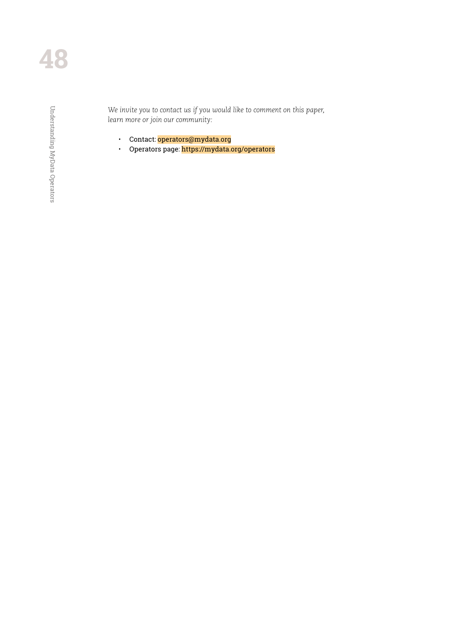Understanding MyData Operators Understanding MyData Operators

*We invite you to contact us if you would like to comment on this paper, learn more or join our community:*

- Contact: operators@mydata.org
- Operators page: https://mydata.org/operators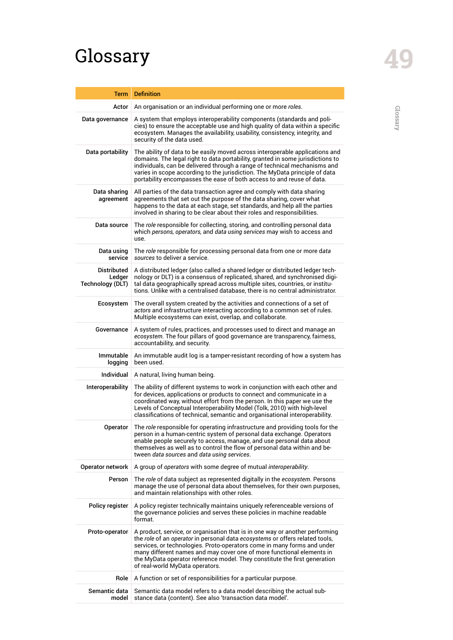# <span id="page-48-0"></span>Glossary **49**

| <b>Term</b>                               | <b>Definition</b>                                                                                                                                                                                                                                                                                                                                                                                                                |
|-------------------------------------------|----------------------------------------------------------------------------------------------------------------------------------------------------------------------------------------------------------------------------------------------------------------------------------------------------------------------------------------------------------------------------------------------------------------------------------|
| Actor                                     | An organisation or an individual performing one or more roles.                                                                                                                                                                                                                                                                                                                                                                   |
| Data governance                           | A system that employs interoperability components (standards and poli-<br>cies) to ensure the acceptable use and high quality of data within a specific<br>ecosystem. Manages the availability, usability, consistency, integrity, and<br>security of the data used.                                                                                                                                                             |
| Data portability                          | The ability of data to be easily moved across interoperable applications and<br>domains. The legal right to data portability, granted in some jurisdictions to<br>individuals, can be delivered through a range of technical mechanisms and<br>varies in scope according to the jurisdiction. The MyData principle of data<br>portability encompasses the ease of both access to and reuse of data.                              |
| Data sharing<br>agreement                 | All parties of the data transaction agree and comply with data sharing<br>agreements that set out the purpose of the data sharing, cover what<br>happens to the data at each stage, set standards, and help all the parties<br>involved in sharing to be clear about their roles and responsibilities.                                                                                                                           |
| Data source                               | The role responsible for collecting, storing, and controlling personal data<br>which persons, operators, and data using services may wish to access and<br>use.                                                                                                                                                                                                                                                                  |
| Data using<br>service                     | The role responsible for processing personal data from one or more data<br>sources to deliver a service.                                                                                                                                                                                                                                                                                                                         |
| Distributed<br>Ledger<br>Technology (DLT) | A distributed ledger (also called a shared ledger or distributed ledger tech-<br>nology or DLT) is a consensus of replicated, shared, and synchronised digi-<br>tal data geographically spread across multiple sites, countries, or institu-<br>tions. Unlike with a centralised database, there is no central administrator.                                                                                                    |
| Ecosystem                                 | The overall system created by the activities and connections of a set of<br>actors and infrastructure interacting according to a common set of rules.<br>Multiple ecosystems can exist, overlap, and collaborate.                                                                                                                                                                                                                |
| Governance                                | A system of rules, practices, and processes used to direct and manage an<br>ecosystem. The four pillars of good governance are transparency, fairness,<br>accountability, and security.                                                                                                                                                                                                                                          |
| Immutable<br>logging                      | An immutable audit log is a tamper-resistant recording of how a system has<br>been used.                                                                                                                                                                                                                                                                                                                                         |
| Individual                                | A natural, living human being.                                                                                                                                                                                                                                                                                                                                                                                                   |
| Interoperability                          | The ability of different systems to work in conjunction with each other and<br>for devices, applications or products to connect and communicate in a<br>coordinated way, without effort from the person. In this paper we use the<br>Levels of Conceptual Interoperability Model (Tolk, 2010) with high-level<br>classifications of technical, semantic and organisational interoperability.                                     |
| Operator                                  | The role responsible for operating infrastructure and providing tools for the<br>person in a human-centric system of personal data exchange. Operators<br>enable people securely to access, manage, and use personal data about<br>themselves as well as to control the flow of personal data within and be-<br>tween data sources and data using services.                                                                      |
| Operator network                          | A group of operators with some degree of mutual interoperability.                                                                                                                                                                                                                                                                                                                                                                |
| Person                                    | The role of data subject as represented digitally in the ecosystem. Persons<br>manage the use of personal data about themselves, for their own purposes,<br>and maintain relationships with other roles.                                                                                                                                                                                                                         |
| Policy register                           | A policy register technically maintains uniquely referenceable versions of<br>the governance policies and serves these policies in machine readable<br>format.                                                                                                                                                                                                                                                                   |
| Proto-operator                            | A product, service, or organisation that is in one way or another performing<br>the role of an operator in personal data ecosystems or offers related tools,<br>services, or technologies. Proto-operators come in many forms and under<br>many different names and may cover one of more functional elements in<br>the MyData operator reference model. They constitute the first generation<br>of real-world MyData operators. |
| Role                                      | A function or set of responsibilities for a particular purpose.                                                                                                                                                                                                                                                                                                                                                                  |
| Semantic data<br>model                    | Semantic data model refers to a data model describing the actual sub-<br>stance data (content). See also 'transaction data model'.                                                                                                                                                                                                                                                                                               |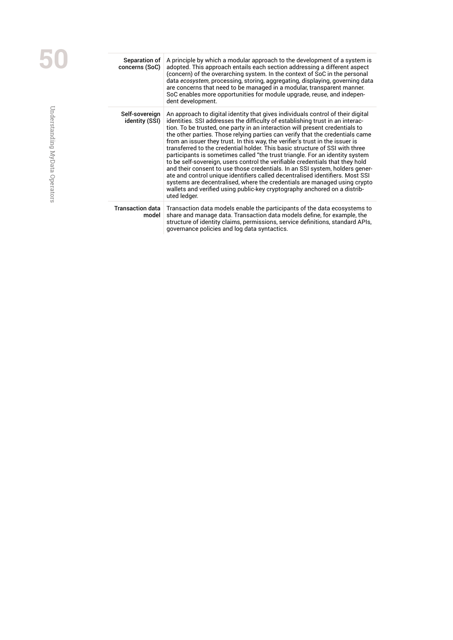| Separation of<br>concerns (SoC)  | A principle by which a modular approach to the development of a system is<br>adopted. This approach entails each section addressing a different aspect<br>(concern) of the overarching system. In the context of SoC in the personal<br>data ecosystem, processing, storing, aggregating, displaying, governing data<br>are concerns that need to be managed in a modular, transparent manner.<br>SoC enables more opportunities for module upgrade, reuse, and indepen-<br>dent development.                                                                                                                                                                                                                                                                                                                                                                                                                                                                                                                  |
|----------------------------------|----------------------------------------------------------------------------------------------------------------------------------------------------------------------------------------------------------------------------------------------------------------------------------------------------------------------------------------------------------------------------------------------------------------------------------------------------------------------------------------------------------------------------------------------------------------------------------------------------------------------------------------------------------------------------------------------------------------------------------------------------------------------------------------------------------------------------------------------------------------------------------------------------------------------------------------------------------------------------------------------------------------|
| Self-sovereign<br>identity (SSI) | An approach to digital identity that gives individuals control of their digital<br>identities. SSI addresses the difficulty of establishing trust in an interac-<br>tion. To be trusted, one party in an interaction will present credentials to<br>the other parties. Those relying parties can verify that the credentials came<br>from an issuer they trust. In this way, the verifier's trust in the issuer is<br>transferred to the credential holder. This basic structure of SSI with three<br>participants is sometimes called "the trust triangle. For an identity system<br>to be self-sovereign, users control the verifiable credentials that they hold<br>and their consent to use those credentials. In an SSI system, holders gener-<br>ate and control unique identifiers called decentralised identifiers. Most SSI<br>systems are decentralised, where the credentials are managed using crypto<br>wallets and verified using public-key cryptography anchored on a distrib-<br>uted ledger. |
| <b>Transaction data</b><br>model | Transaction data models enable the participants of the data ecosystems to<br>share and manage data. Transaction data models define, for example, the<br>structure of identity claims, permissions, service definitions, standard APIs,<br>governance policies and log data syntactics.                                                                                                                                                                                                                                                                                                                                                                                                                                                                                                                                                                                                                                                                                                                         |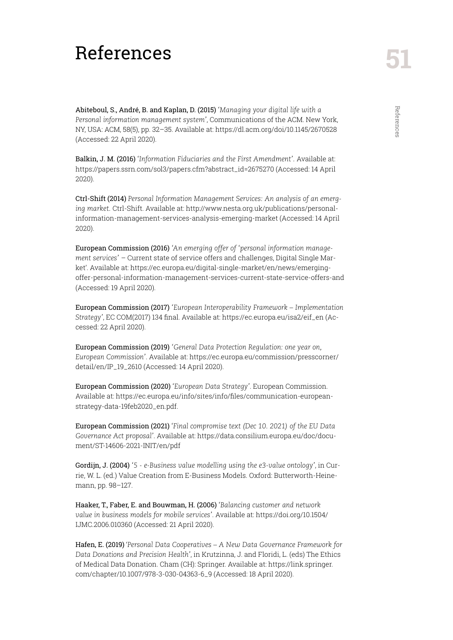# <span id="page-50-0"></span>**51** References

Abiteboul, S., André, B. and Kaplan, D. (2015) *'Managing your digital life with a Personal information management system'*, Communications of the ACM. New York, NY, USA: ACM, 58(5), pp. 32–35. Available at: https://dl.acm.org/doi/10.1145/2670528 (Accessed: 22 April 2020).

Balkin, J. M. (2016) *'Information Fiduciaries and the First Amendment'.* Available at: https://papers.ssrn.com/sol3/papers.cfm?abstract\_id=2675270 (Accessed: 14 April 2020).

Ctrl-Shift (2014) *Personal Information Management Services: An analysis of an emerging market.* Ctrl-Shift. Available at: http://www.nesta.org.uk/publications/personalinformation-management-services-analysis-emerging-market (Accessed: 14 April 2020).

European Commission (2016) *'An emerging offer of 'personal information management services'* – Current state of service offers and challenges, Digital Single Market'. Available at: https://ec.europa.eu/digital-single-market/en/news/emergingoffer-personal-information-management-services-current-state-service-offers-and (Accessed: 19 April 2020).

European Commission (2017) *'European Interoperability Framework – Implementation Strategy'*, EC COM(2017) 134 final. Available at: https://ec.europa.eu/isa2/eif\_en (Accessed: 22 April 2020).

European Commission (2019) *'General Data Protection Regulation: one year on, European Commission'*. Available at: https://ec.europa.eu/commission/presscorner/ detail/en/IP\_19\_2610 (Accessed: 14 April 2020).

European Commission (2020) *'European Data Strategy'*. European Commission. Available at: https://ec.europa.eu/info/sites/info/files/communication-europeanstrategy-data-19feb2020\_en.pdf.

European Commission (2021) *'Final compromise text (Dec 10. 2021) of the EU Data Governance Act proposal'*. Available at: https://data.consilium.europa.eu/doc/document/ST-14606-2021-INIT/en/pdf

Gordijn, J. (2004) *'5 - e-Business value modelling using the e3-value ontology'*, in Currie, W. L. (ed.) Value Creation from E-Business Models. Oxford: Butterworth-Heinemann, pp. 98–127.

Haaker, T., Faber, E. and Bouwman, H. (2006) *'Balancing customer and network value in business models for mobile services'*. Available at: https://doi.org/10.1504/ IJMC.2006.010360 (Accessed: 21 April 2020).

Hafen, E. (2019) '*Personal Data Cooperatives – A New Data Governance Framework for Data Donations and Precision Health'*, in Krutzinna, J. and Floridi, L. (eds) The Ethics of Medical Data Donation. Cham (CH): Springer. Available at: https://link.springer. com/chapter/10.1007/978-3-030-04363-6\_9 (Accessed: 18 April 2020).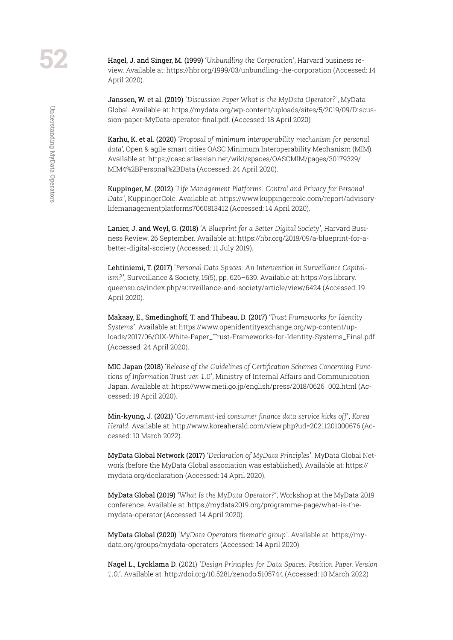Hagel, J. and Singer, M. (1999) *'Unbundling the Corporation'*, Harvard business review. Available at: https://hbr.org/1999/03/unbundling-the-corporation (Accessed: 14 April 2020).

Janssen, W. et al. (2019) *'Discussion Paper What is the MyData Operator?'*, MyData Global. Available at: https://mydata.org/wp-content/uploads/sites/5/2019/09/Discussion-paper-MyData-operator-final.pdf. (Accessed: 18 April 2020)

Karhu, K. et al. (2020) *'Proposal of minimum interoperability mechanism for personal data*', Open & agile smart cities OASC Minimum Interoperability Mechanism (MIM). Available at: https://oasc.atlassian.net/wiki/spaces/OASCMIM/pages/30179329/ MIM4%2BPersonal%2BData (Accessed: 24 April 2020).

Kuppinger, M. (2012) *'Life Management Platforms: Control and Privacy for Personal Data'*, KuppingerCole. Available at: https://www.kuppingercole.com/report/advisorylifemanagementplatforms7060813412 (Accessed: 14 April 2020).

Lanier, J. and Weyl, G. (2018) *'A Blueprint for a Better Digital Society'*, Harvard Business Review, 26 September. Available at: https://hbr.org/2018/09/a-blueprint-for-abetter-digital-society (Accessed: 11 July 2019).

Lehtiniemi, T. (2017) *'Personal Data Spaces: An Intervention in Surveillance Capitalism?'*, Surveillance & Society, 15(5), pp. 626–639. Available at: https://ojs.library. queensu.ca/index.php/surveillance-and-society/article/view/6424 (Accessed: 19 April 2020).

Makaay, E., Smedinghoff, T. and Thibeau, D. (2017) *'Trust Frameworks for Identity Systems'*. Available at: https://www.openidentityexchange.org/wp-content/uploads/2017/06/OIX-White-Paper\_Trust-Frameworks-for-Identity-Systems\_Final.pdf (Accessed: 24 April 2020).

MIC Japan (2018) *'Release of the Guidelines of Certification Schemes Concerning Functions of Information Trust ver. 1.0'*, Ministry of Internal Affairs and Communication Japan. Available at: https://www.meti.go.jp/english/press/2018/0626\_002.html (Accessed: 18 April 2020).

Min-kyung, J. (2021) *'Government-led consumer finance data service kicks off', Korea Herald.* Available at: http://www.koreaherald.com/view.php?ud=20211201000676 (Accessed: 10 March 2022).

MyData Global Network (2017) *'Declaration of MyData Principles'*. MyData Global Network (before the MyData Global association was established). Available at: https:// mydata.org/declaration (Accessed: 14 April 2020).

MyData Global (2019) *'What Is the MyData Operator?'*, Workshop at the MyData 2019 conference. Available at: https://mydata2019.org/programme-page/what-is-themydata-operator (Accessed: 14 April 2020).

MyData Global (2020) *'MyData Operators thematic group'*. Available at: https://mydata.org/groups/mydata-operators (Accessed: 14 April 2020).

Nagel L., Lycklama D. (2021) *'Design Principles for Data Spaces. Position Paper. Version 1.0.'*. Available at: http://doi.org/10.5281/zenodo.5105744 (Accessed: 10 March 2022).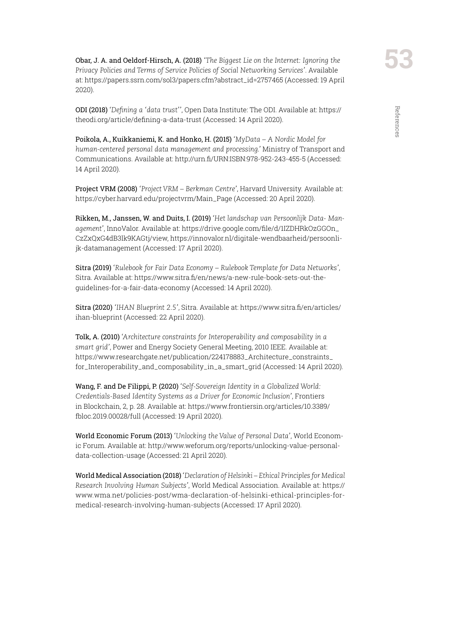ODI (2018) *'Defining a 'data trust''*, Open Data Institute: The ODI. Available at: https:// theodi.org/article/defining-a-data-trust (Accessed: 14 April 2020).

Poikola, A., Kuikkaniemi, K. and Honko, H. (2015) *'MyData – A Nordic Model for human-centered personal data management and processing.'* Ministry of Transport and Communications. Available at: http://urn.fi/URN:ISBN:978-952-243-455-5 (Accessed: 14 April 2020).

Project VRM (2008) *'Project VRM – Berkman Centre'*, Harvard University. Available at: https://cyber.harvard.edu/projectvrm/Main\_Page (Accessed: 20 April 2020).

Rikken, M., Janssen, W. and Duits, I. (2019) *'Het landschap van Persoonlijk Data- Management'*, InnoValor. Available at: https://drive.google.com/file/d/1IZDHRkOzGGOn\_ CzZxQxG4dB3lk9KAGtj/view, https://innovalor.nl/digitale-wendbaarheid/persoonlijk-datamanagement (Accessed: 17 April 2020).

Sitra (2019) *'Rulebook for Fair Data Economy – Rulebook Template for Data Networks'*, Sitra. Available at: https://www.sitra.fi/en/news/a-new-rule-book-sets-out-theguidelines-for-a-fair-data-economy (Accessed: 14 April 2020).

Sitra (2020) *'IHAN Blueprint 2.5'*, Sitra. Available at: https://www.sitra.fi/en/articles/ ihan-blueprint (Accessed: 22 April 2020).

Tolk, A. (2010) *'Architecture constraints for Interoperability and composability in a smart grid'*, Power and Energy Society General Meeting, 2010 IEEE. Available at: https://www.researchgate.net/publication/224178883\_Architecture\_constraints\_ for\_Interoperability\_and\_composability\_in\_a\_smart\_grid (Accessed: 14 April 2020).

Wang, F. and De Filippi, P. (2020) *'Self-Sovereign Identity in a Globalized World: Credentials-Based Identity Systems as a Driver for Economic Inclusion'*, Frontiers in Blockchain, 2, p. 28. Available at: https://www.frontiersin.org/articles/10.3389/ fbloc.2019.00028/full (Accessed: 19 April 2020).

World Economic Forum (2013) *'Unlocking the Value of Personal Data'*, World Economic Forum. Available at: http://www.weforum.org/reports/unlocking-value-personaldata-collection-usage (Accessed: 21 April 2020).

World Medical Association (2018) *'Declaration of Helsinki – Ethical Principles for Medical Research Involving Human Subjects'*, World Medical Association. Available at: https:// www.wma.net/policies-post/wma-declaration-of-helsinki-ethical-principles-formedical-research-involving-human-subjects (Accessed: 17 April 2020).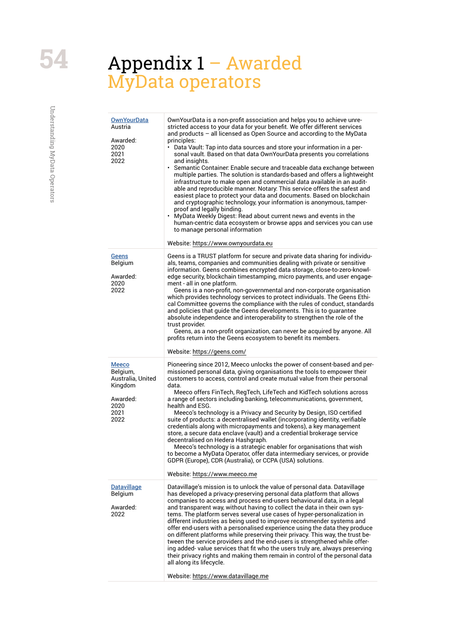# <span id="page-53-0"></span>Appendix 1 – Awarded MyData operators

| <b>OwnYourData</b><br>Austria<br>Awarded:<br>2020<br>2021<br>2022                            | OwnYourData is a non-profit association and helps you to achieve unre-<br>stricted access to your data for your benefit. We offer different services<br>and products $-$ all licensed as Open Source and according to the MyData<br>principles:<br>Data Vault: Tap into data sources and store your information in a per-<br>sonal vault. Based on that data OwnYourData presents you correlations<br>and insights.<br>Semantic Container. Enable secure and traceable data exchange between<br>multiple parties. The solution is standards-based and offers a lightweight<br>infrastructure to make open and commercial data available in an audit-<br>able and reproducible manner. Notary: This service offers the safest and<br>easiest place to protect your data and documents. Based on blockchain<br>and cryptographic technology, your information is anonymous, tamper-<br>proof and legally binding.<br>• MyData Weekly Digest: Read about current news and events in the<br>human-centric data ecosystem or browse apps and services you can use<br>to manage personal information<br>Website: https://www.ownyourdata.eu |
|----------------------------------------------------------------------------------------------|---------------------------------------------------------------------------------------------------------------------------------------------------------------------------------------------------------------------------------------------------------------------------------------------------------------------------------------------------------------------------------------------------------------------------------------------------------------------------------------------------------------------------------------------------------------------------------------------------------------------------------------------------------------------------------------------------------------------------------------------------------------------------------------------------------------------------------------------------------------------------------------------------------------------------------------------------------------------------------------------------------------------------------------------------------------------------------------------------------------------------------------|
| <u>Geens</u><br>Belgium<br>Awarded:<br>2020<br>2022                                          | Geens is a TRUST platform for secure and private data sharing for individu-<br>als, teams, companies and communities dealing with private or sensitive<br>information. Geens combines encrypted data storage, close-to-zero-knowl-<br>edge security, blockchain timestamping, micro payments, and user engage-<br>ment - all in one platform.<br>Geens is a non-profit, non-governmental and non-corporate organisation<br>which provides technology services to protect individuals. The Geens Ethi-<br>cal Committee governs the compliance with the rules of conduct, standards<br>and policies that quide the Geens developments. This is to quarantee<br>absolute independence and interoperability to strengthen the role of the<br>trust provider.<br>Geens, as a non-profit organization, can never be acquired by anyone. All<br>profits return into the Geens ecosystem to benefit its members.                                                                                                                                                                                                                             |
|                                                                                              | Website: https://geens.com/                                                                                                                                                                                                                                                                                                                                                                                                                                                                                                                                                                                                                                                                                                                                                                                                                                                                                                                                                                                                                                                                                                           |
| <u>Meeco</u><br>Belgium,<br>Australia, United<br>Kingdom<br>Awarded:<br>2020<br>2021<br>2022 | Pioneering since 2012, Meeco unlocks the power of consent-based and per-<br>missioned personal data, giving organisations the tools to empower their<br>customers to access, control and create mutual value from their personal<br>data.<br>Meeco offers FinTech, RegTech, LifeTech and KidTech solutions across<br>a range of sectors including banking, telecommunications, government,<br>health and ESG.<br>Meeco's technology is a Privacy and Security by Design, ISO certified<br>suite of products: a decentralised wallet (incorporating identity, verifiable<br>credentials along with micropayments and tokens), a key management<br>store, a secure data enclave (vault) and a credential brokerage service<br>decentralised on Hedera Hashgraph.<br>Meeco's technology is a strategic enabler for organisations that wish<br>to become a MyData Operator, offer data intermediary services, or provide<br>GDPR (Europe), CDR (Australia), or CCPA (USA) solutions.<br>Website: https://www.meeco.me                                                                                                                     |
| <b>Datavillage</b><br>Belgium<br>Awarded:<br>2022                                            | Datavillage's mission is to unlock the value of personal data. Datavillage<br>has developed a privacy-preserving personal data platform that allows<br>companies to access and process end-users behavioural data, in a legal<br>and transparent way, without having to collect the data in their own sys-<br>tems. The platform serves several use cases of hyper-personalization in<br>different industries as being used to improve recommender systems and<br>offer end-users with a personalised experience using the data they produce<br>on different platforms while preserving their privacy. This way, the trust be-<br>tween the service providers and the end-users is strengthened while offer-<br>ing added-value services that fit who the users truly are, always preserving<br>their privacy rights and making them remain in control of the personal data<br>all along its lifecycle.<br>Website: https://www.datavillage.me                                                                                                                                                                                        |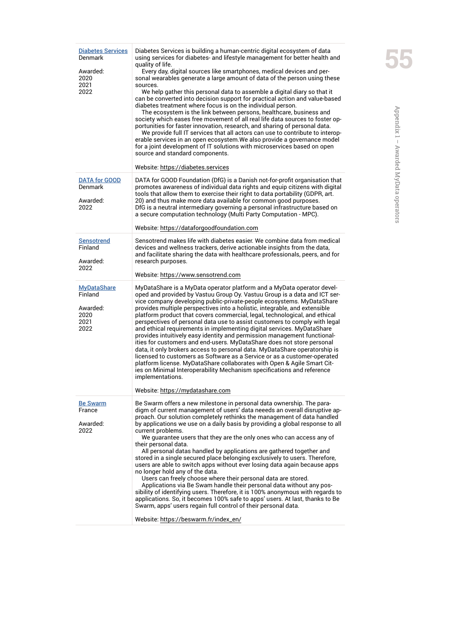| <b>Diabetes Services</b><br>Denmark<br>Awarded:<br>2020<br>2021<br>2022 | Diabetes Services is building a human-centric digital ecosystem of data<br>using services for diabetes- and lifestyle management for better health and<br>quality of life.<br>Every day, digital sources like smartphones, medical devices and per-<br>sonal wearables generate a large amount of data of the person using these<br>sources.<br>We help gather this personal data to assemble a digital diary so that it<br>can be converted into decision support for practical action and value-based<br>diabetes treatment where focus is on the individual person.<br>The ecosystem is the link between persons, healthcare, business and<br>society which eases free movement of all real life data sources to foster op-<br>portunities for faster innovation, research, and sharing of personal data.<br>We provide full IT services that all actors can use to contribute to interop-<br>erable services in an open ecosystem. We also provide a governance model<br>for a joint development of IT solutions with microservices based on open<br>source and standard components.<br>Website: https://diabetes.services    |
|-------------------------------------------------------------------------|-----------------------------------------------------------------------------------------------------------------------------------------------------------------------------------------------------------------------------------------------------------------------------------------------------------------------------------------------------------------------------------------------------------------------------------------------------------------------------------------------------------------------------------------------------------------------------------------------------------------------------------------------------------------------------------------------------------------------------------------------------------------------------------------------------------------------------------------------------------------------------------------------------------------------------------------------------------------------------------------------------------------------------------------------------------------------------------------------------------------------------------|
| <b>DATA for GOOD</b><br>Denmark<br>Awarded:<br>2022                     | DATA for GOOD Foundation (DfG) is a Danish not-for-profit organisation that<br>promotes awareness of individual data rights and equip citizens with digital<br>tools that allow them to exercise their right to data portability (GDPR, art.<br>20) and thus make more data available for common good purposes.<br>DfG is a neutral intermediary governing a personal infrastructure based on<br>a secure computation technology (Multi Party Computation - MPC).<br>Website: https://dataforgoodfoundation.com                                                                                                                                                                                                                                                                                                                                                                                                                                                                                                                                                                                                                   |
| <b>Sensotrend</b><br>Finland<br>Awarded:<br>2022                        | Sensotrend makes life with diabetes easier. We combine data from medical<br>devices and wellness trackers, derive actionable insights from the data,<br>and facilitate sharing the data with healthcare professionals, peers, and for<br>research purposes.<br>Website: https://www.sensotrend.com                                                                                                                                                                                                                                                                                                                                                                                                                                                                                                                                                                                                                                                                                                                                                                                                                                |
| <b>MyDataShare</b><br>Finland<br>Awarded:<br>2020<br>2021<br>2022       | MyDataShare is a MyData operator platform and a MyData operator devel-<br>oped and provided by Vastuu Group Oy. Vastuu Group is a data and ICT ser-<br>vice company developing public-private-people ecosystems. MyDataShare<br>provides multiple perspectives into a holistic, integrable, and extensible<br>platform product that covers commercial, legal, technological, and ethical<br>perspectives of personal data use to assist customers to comply with legal<br>and ethical requirements in implementing digital services. MyDataShare<br>provides intuitively easy identity and permission management functional-<br>ities for customers and end-users. MyDataShare does not store personal<br>data, it only brokers access to personal data. MyDataShare operatorship is<br>licensed to customers as Software as a Service or as a customer-operated<br>platform license. MyDataShare collaborates with Open & Agile Smart Cit-<br>ies on Minimal Interoperability Mechanism specifications and reference<br>implementations.<br>Website: https://mydatashare.com                                                     |
| <b>Be Swarm</b><br>France<br>Awarded:<br>2022                           | Be Swarm offers a new milestone in personal data ownership. The para-<br>digm of current management of users' data neeeds an overall disruptive ap-<br>proach. Our solution completely rethinks the management of data handled<br>by applications we use on a daily basis by providing a global response to all<br>current problems.<br>We guarantee users that they are the only ones who can access any of<br>their personal data.<br>All personal datas handled by applications are gathered together and<br>stored in a single secured place belonging exclusively to users. Therefore,<br>users are able to switch apps without ever losing data again because apps<br>no longer hold any of the data.<br>Users can freely choose where their personal data are stored.<br>Applications via Be Swam handle their personal data without any pos-<br>sibility of identifying users. Therefore, it is 100% anonymous with regards to<br>applications. So, it becomes 100% safe to apps' users. At last, thanks to Be<br>Swarm, apps' users regain full control of their personal data.<br>Website: https://beswarm.fr/index_en/ |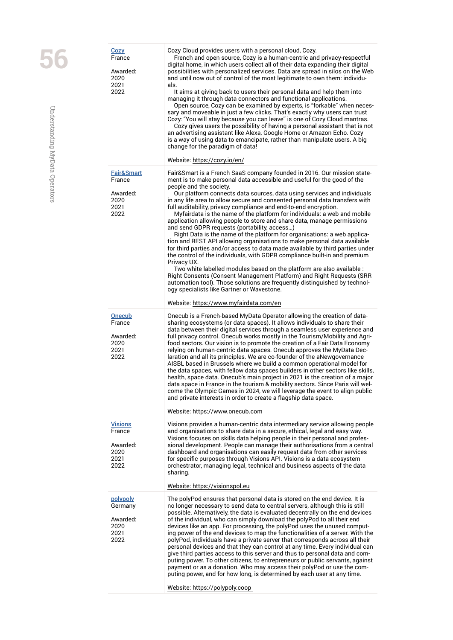|  | <u>Cozy</u><br>France<br>Awarded:<br>2020<br>2021<br>2022           | Cozy Cloud provides users with a personal cloud, Cozy.<br>French and open source, Cozy is a human-centric and privacy-respectful<br>digital home, in which users collect all of their data expanding their digital<br>possibilities with personalized services. Data are spread in silos on the Web<br>and until now out of control of the most legitimate to own them: individu-<br>als.<br>It aims at giving back to users their personal data and help them into<br>managing it through data connectors and functional applications.<br>Open source, Cozy can be examined by experts, is "forkable" when neces-<br>sary and moveable in just a few clicks. That's exactly why users can trust<br>Cozy: "You will stay because you can leave" is one of Cozy Cloud mantras.<br>Cozy gives users the possibility of having a personal assistant that is not<br>an advertising assistant like Alexa, Google Home or Amazon Echo. Cozy<br>is a way of using data to emancipate, rather than manipulate users. A big<br>change for the paradigm of data!<br>Website: https://cozy.io/en/                                                                                                                                               |
|--|---------------------------------------------------------------------|--------------------------------------------------------------------------------------------------------------------------------------------------------------------------------------------------------------------------------------------------------------------------------------------------------------------------------------------------------------------------------------------------------------------------------------------------------------------------------------------------------------------------------------------------------------------------------------------------------------------------------------------------------------------------------------------------------------------------------------------------------------------------------------------------------------------------------------------------------------------------------------------------------------------------------------------------------------------------------------------------------------------------------------------------------------------------------------------------------------------------------------------------------------------------------------------------------------------------------------|
|  | <b>Fair&amp;Smart</b><br>France<br>Awarded:<br>2020<br>2021<br>2022 | Fair&Smart is a French SaaS company founded in 2016. Our mission state-<br>ment is to make personal data accessible and useful for the good of the<br>people and the society.<br>Our platform connects data sources, data using services and individuals<br>in any life area to allow secure and consented personal data transfers with<br>full auditability, privacy compliance and end-to-end encryption.<br>Myfairdata is the name of the platform for individuals: a web and mobile<br>application allowing people to store and share data, manage permissions<br>and send GDPR requests (portability, access)<br>Right Data is the name of the platform for organisations: a web applica-<br>tion and REST API allowing organisations to make personal data available<br>for third parties and/or access to data made available by third parties under<br>the control of the individuals, with GDPR compliance built-in and premium<br>Privacy UX.<br>Two white labelled modules based on the platform are also available :<br>Right Consents (Consent Management Platform) and Right Requests (SRR<br>automation tool). Those solutions are frequently distinguished by technol-<br>ogy specialists like Gartner or Wavestone. |
|  |                                                                     | Website: https://www.myfairdata.com/en                                                                                                                                                                                                                                                                                                                                                                                                                                                                                                                                                                                                                                                                                                                                                                                                                                                                                                                                                                                                                                                                                                                                                                                               |
|  | <b>Onecub</b><br>France<br>Awarded:<br>2020<br>2021<br>2022         | Onecub is a French-based MyData Operator allowing the creation of data-<br>sharing ecosystems (or data spaces). It allows individuals to share their<br>data between their digital services through a seamless user experience and<br>full privacy control. Onecub works mostly in the Tourism/Mobility and Agri-<br>food sectors. Our vision is to promote the creation of a Fair Data Economy<br>relying on human-centric data spaces. Onecub approves the MyData Dec-<br>laration and all its principles. We are co-founder of the aNewgovernance<br>AISBL based in Brussels where we build a common operational model for<br>the data spaces, with fellow data spaces builders in other sectors like skills,<br>health, space data. Onecub's main project in 2021 is the creation of a major<br>data space in France in the tourism & mobility sectors. Since Paris will wel-<br>come the Olympic Games in 2024, we will leverage the event to align public<br>and private interests in order to create a flagship data space.<br>Website: https://www.onecub.com                                                                                                                                                                |
|  | <b>Visions</b><br>France<br>Awarded:<br>2020<br>2021<br>2022        | Visions provides a human-centric data intermediary service allowing people<br>and organisations to share data in a secure, ethical, legal and easy way.<br>Visions focuses on skills data helping people in their personal and profes-<br>sional development. People can manage their authorisations from a central<br>dashboard and organisations can easily request data from other services<br>for specific purposes through Visions API. Visions is a data ecosystem<br>orchestrator, managing legal, technical and business aspects of the data<br>sharing.<br>Website: https://visionspol.eu                                                                                                                                                                                                                                                                                                                                                                                                                                                                                                                                                                                                                                   |
|  |                                                                     |                                                                                                                                                                                                                                                                                                                                                                                                                                                                                                                                                                                                                                                                                                                                                                                                                                                                                                                                                                                                                                                                                                                                                                                                                                      |
|  | polypoly<br>Germany<br>Awarded:<br>2020<br>2021<br>2022             | The polyPod ensures that personal data is stored on the end device. It is<br>no longer necessary to send data to central servers, although this is still<br>possible. Alternatively, the data is evaluated decentrally on the end devices<br>of the individual, who can simply download the polyPod to all their end<br>devices like an app. For processing, the polyPod uses the unused comput-<br>ing power of the end devices to map the functionalities of a server. With the<br>polyPod, individuals have a private server that corresponds across all their<br>personal devices and that they can control at any time. Every individual can<br>give third parties access to this server and thus to personal data and com-<br>puting power. To other citizens, to entrepreneurs or public servants, against<br>payment or as a donation. Who may access their polyPod or use the com-<br>puting power, and for how long, is determined by each user at any time.                                                                                                                                                                                                                                                               |
|  |                                                                     | Website: https://polypoly.coop                                                                                                                                                                                                                                                                                                                                                                                                                                                                                                                                                                                                                                                                                                                                                                                                                                                                                                                                                                                                                                                                                                                                                                                                       |

Understanding MyData Operators Understanding MyData Operators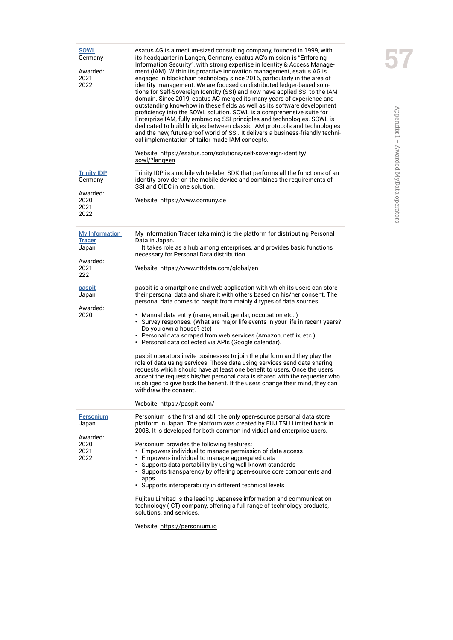| <b>SOWL</b><br>Germany<br>Awarded:<br>2021<br>2022                         | esatus AG is a medium-sized consulting company, founded in 1999, with<br>its headquarter in Langen, Germany. esatus AG's mission is "Enforcing<br>Information Security", with strong expertise in Identity & Access Manage-<br>ment (IAM). Within its proactive innovation management, esatus AG is<br>engaged in blockchain technology since 2016, particularly in the area of<br>identity management. We are focused on distributed ledger-based solu-<br>tions for Self-Sovereign Identity (SSI) and now have applied SSI to the IAM<br>domain. Since 2019, esatus AG merged its many years of experience and<br>outstanding know-how in these fields as well as its software development<br>proficiency into the SOWL solution. SOWL is a comprehensive suite for<br>Enterprise IAM, fully embracing SSI principles and technologies. SOWL is<br>dedicated to build bridges between classic IAM protocols and technologies<br>and the new, future-proof world of SSI. It delivers a business-friendly techni-<br>cal implementation of tailor-made IAM concepts.<br>Website: https://esatus.com/solutions/self-sovereign-identity/<br>sowl/?lang=en |
|----------------------------------------------------------------------------|---------------------------------------------------------------------------------------------------------------------------------------------------------------------------------------------------------------------------------------------------------------------------------------------------------------------------------------------------------------------------------------------------------------------------------------------------------------------------------------------------------------------------------------------------------------------------------------------------------------------------------------------------------------------------------------------------------------------------------------------------------------------------------------------------------------------------------------------------------------------------------------------------------------------------------------------------------------------------------------------------------------------------------------------------------------------------------------------------------------------------------------------------------|
| <b>Trinity IDP</b><br>Germany<br>Awarded:<br>2020<br>2021<br>2022          | Trinity IDP is a mobile white-label SDK that performs all the functions of an<br>identity provider on the mobile device and combines the requirements of<br>SSI and OIDC in one solution.<br>Website: https://www.comuny.de                                                                                                                                                                                                                                                                                                                                                                                                                                                                                                                                                                                                                                                                                                                                                                                                                                                                                                                             |
| <b>My Information</b><br><b>Tracer</b><br>Japan<br>Awarded:<br>2021<br>222 | My Information Tracer (aka mint) is the platform for distributing Personal<br>Data in Japan.<br>It takes role as a hub among enterprises, and provides basic functions<br>necessary for Personal Data distribution.<br>Website: https://www.nttdata.com/global/en                                                                                                                                                                                                                                                                                                                                                                                                                                                                                                                                                                                                                                                                                                                                                                                                                                                                                       |
| paspit<br>Japan<br>Awarded:<br>2020                                        | paspit is a smartphone and web application with which its users can store<br>their personal data and share it with others based on his/her consent. The<br>personal data comes to paspit from mainly 4 types of data sources.<br>• Manual data entry (name, email, gendar, occupation etc)<br>• Survey responses. (What are major life events in your life in recent years?<br>Do you own a house? etc)<br>· Personal data scraped from web services (Amazon, netflix, etc.).<br>• Personal data collected via APIs (Google calendar).<br>paspit operators invite businesses to join the platform and they play the<br>role of data using services. Those data using services send data sharing<br>requests which should have at least one benefit to users. Once the users<br>accept the requests his/her personal data is shared with the requester who<br>is obliged to give back the benefit. If the users change their mind, they can<br>withdraw the consent.<br>Website: https://paspit.com/                                                                                                                                                     |
| <b>Personium</b><br>Japan<br>Awarded:<br>2020<br>2021<br>2022              | Personium is the first and still the only open-source personal data store<br>platform in Japan. The platform was created by FUJITSU Limited back in<br>2008. It is developed for both common individual and enterprise users.<br>Personium provides the following features:<br>• Empowers individual to manage permission of data access<br>• Empowers individual to manage aggregated data<br>• Supports data portability by using well-known standards<br>• Supports transparency by offering open-source core components and<br>apps<br>· Supports interoperability in different technical levels<br>Fujitsu Limited is the leading Japanese information and communication<br>technology (ICT) company, offering a full range of technology products,<br>solutions, and services.<br>Website: https://personium.io                                                                                                                                                                                                                                                                                                                                   |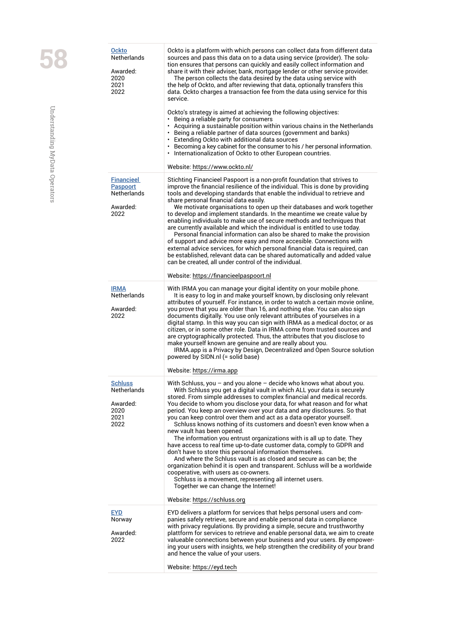| <b>Ockto</b><br><b>Netherlands</b><br>Awarded:<br>2020<br>2021<br>2022  | Ockto is a platform with which persons can collect data from different data<br>sources and pass this data on to a data using service (provider). The solu-<br>tion ensures that persons can quickly and easily collect information and<br>share it with their adviser, bank, mortgage lender or other service provider.<br>The person collects the data desired by the data using service with<br>the help of Ockto, and after reviewing that data, optionally transfers this<br>data. Ockto charges a transaction fee from the data using service for this<br>service<br>Ockto's strategy is aimed at achieving the following objectives:<br>• Being a reliable party for consumers<br>• Acquiring a sustainable position within various chains in the Netherlands<br>• Being a reliable partner of data sources (government and banks)<br>• Extending Ockto with additional data sources<br>• Becoming a key cabinet for the consumer to his / her personal information.<br>• Internationalization of Ockto to other European countries.<br>Website: https://www.ockto.nl/                                       |
|-------------------------------------------------------------------------|--------------------------------------------------------------------------------------------------------------------------------------------------------------------------------------------------------------------------------------------------------------------------------------------------------------------------------------------------------------------------------------------------------------------------------------------------------------------------------------------------------------------------------------------------------------------------------------------------------------------------------------------------------------------------------------------------------------------------------------------------------------------------------------------------------------------------------------------------------------------------------------------------------------------------------------------------------------------------------------------------------------------------------------------------------------------------------------------------------------------|
| <b>Financieel</b><br>Paspoort<br><b>Netherlands</b><br>Awarded:<br>2022 | Stichting Financieel Paspoort is a non-profit foundation that strives to<br>improve the financial resilience of the individual. This is done by providing<br>tools and developing standards that enable the individual to retrieve and<br>share personal financial data easily.<br>We motivate organisations to open up their databases and work together<br>to develop and implement standards. In the meantime we create value by<br>enabling individuals to make use of secure methods and techniques that<br>are currently available and which the individual is entitled to use today.<br>Personal financial information can also be shared to make the provision<br>of support and advice more easy and more accesible. Connections with<br>external advice services, for which personal financial data is required, can<br>be established, relevant data can be shared automatically and added value<br>can be created, all under control of the individual.                                                                                                                                                |
| <b>IRMA</b><br><b>Netherlands</b><br>Awarded:<br>2022                   | Website: https://financieelpaspoort.nl<br>With IRMA you can manage your digital identity on your mobile phone.<br>It is easy to log in and make yourself known, by disclosing only relevant<br>attributes of yourself. For instance, in order to watch a certain movie online,<br>you prove that you are older than 16, and nothing else. You can also sign<br>documents digitally. You use only relevant attributes of yourselves in a<br>digital stamp. In this way you can sign with IRMA as a medical doctor, or as<br>citizen, or in some other role. Data in IRMA come from trusted sources and<br>are cryptographically protected. Thus, the attributes that you disclose to<br>make yourself known are genuine and are really about you.<br>IRMA.app is a Privacy by Design, Decentralized and Open Source solution<br>powered by SIDN.nl (= solid base)<br>Website: https://irma.app                                                                                                                                                                                                                      |
| Schluss<br>Netherlands<br>Awarded:<br>2020<br>2021<br>2022              | With Schluss, you $-$ and you alone $-$ decide who knows what about you.<br>With Schluss you get a digital vault in which ALL your data is securely<br>stored. From simple addresses to complex financial and medical records.<br>You decide to whom you disclose your data, for what reason and for what<br>period. You keep an overview over your data and any disclosures. So that<br>you can keep control over them and act as a data operator yourself.<br>Schluss knows nothing of its customers and doesn't even know when a<br>new vault has been opened.<br>The information you entrust organizations with is all up to date. They<br>have access to real time up-to-date customer data, comply to GDPR and<br>don't have to store this personal information themselves.<br>And where the Schluss vault is as closed and secure as can be; the<br>organization behind it is open and transparent. Schluss will be a worldwide<br>cooperative, with users as co-owners.<br>Schluss is a movement, representing all internet users.<br>Together we can change the Internet!<br>Website: https://schluss.org |
| <b>EYD</b><br>Norway<br>Awarded:<br>2022                                | EYD delivers a platform for services that helps personal users and com-<br>panies safely retrieve, secure and enable personal data in compliance<br>with privacy regulations. By providing a simple, secure and trusthworthy<br>plattform for services to retrieve and enable personal data, we aim to create<br>valueable connections between your business and your users. By empower-<br>ing your users with insights, we help strengthen the credibility of your brand<br>and hence the value of your users.<br>Website: https://eyd.tech                                                                                                                                                                                                                                                                                                                                                                                                                                                                                                                                                                      |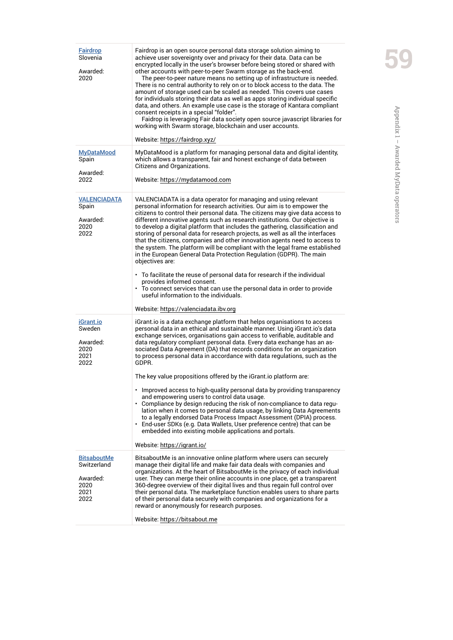| <b>Fairdrop</b><br>Slovenia<br>Awarded:<br>2020                       | Fairdrop is an open source personal data storage solution aiming to<br>achieve user sovereignty over and privacy for their data. Data can be<br>encrypted locally in the user's browser before being stored or shared with<br>other accounts with peer-to-peer Swarm storage as the back-end.<br>The peer-to-peer nature means no setting up of infrastructure is needed.<br>There is no central authority to rely on or to block access to the data. The<br>amount of storage used can be scaled as needed. This covers use cases<br>for individuals storing their data as well as apps storing individual specific<br>data, and others. An example use case is the storage of Kantara compliant<br>consent receipts in a special "folder".<br>Faidrop is leveraging Fair data society open source javascript libraries for<br>working with Swarm storage, blockchain and user accounts.<br>Website: https://fairdrop.xyz/                                          |
|-----------------------------------------------------------------------|----------------------------------------------------------------------------------------------------------------------------------------------------------------------------------------------------------------------------------------------------------------------------------------------------------------------------------------------------------------------------------------------------------------------------------------------------------------------------------------------------------------------------------------------------------------------------------------------------------------------------------------------------------------------------------------------------------------------------------------------------------------------------------------------------------------------------------------------------------------------------------------------------------------------------------------------------------------------|
| <b>MyDataMood</b><br>Spain<br>Awarded:<br>2022                        | MyDataMood is a platform for managing personal data and digital identity,<br>which allows a transparent, fair and honest exchange of data between<br>Citizens and Organizations.<br>Website: https://mydatamood.com                                                                                                                                                                                                                                                                                                                                                                                                                                                                                                                                                                                                                                                                                                                                                  |
| <b>VALENCIADATA</b><br>Spain<br>Awarded:<br>2020<br>2022              | VALENCIADATA is a data operator for managing and using relevant<br>personal information for research activities. Our aim is to empower the<br>citizens to control their personal data. The citizens may give data access to<br>different innovative agents such as research institutions. Our objective is<br>to develop a digital platform that includes the gathering, classification and<br>storing of personal data for research projects, as well as all the interfaces<br>that the citizens, companies and other innovation agents need to access to<br>the system. The platform will be compliant with the legal frame established<br>in the European General Data Protection Regulation (GDPR). The main<br>objectives are:<br>• To facilitate the reuse of personal data for research if the individual<br>provides informed consent.<br>• To connect services that can use the personal data in order to provide<br>useful information to the individuals. |
|                                                                       | Website: https://valenciadata.ibv.org                                                                                                                                                                                                                                                                                                                                                                                                                                                                                                                                                                                                                                                                                                                                                                                                                                                                                                                                |
| iGrant.io<br>Sweden<br>Awarded:<br>2020<br>2021<br>2022               | iGrant.io is a data exchange platform that helps organisations to access<br>personal data in an ethical and sustainable manner. Using iGrant.io's data<br>exchange services, organisations gain access to verifiable, auditable and<br>data regulatory compliant personal data. Every data exchange has an as-<br>sociated Data Agreement (DA) that records conditions for an organization<br>to process personal data in accordance with data regulations, such as the<br>GDPR.<br>The key value propositions offered by the iGrant io platform are:<br>• Improved access to high-quality personal data by providing transparency<br>and empowering users to control data usage.                                                                                                                                                                                                                                                                                    |
|                                                                       | • Compliance by design reducing the risk of non-compliance to data regu-<br>lation when it comes to personal data usage, by linking Data Agreements<br>to a legally endorsed Data Process Impact Assessment (DPIA) process.<br>End-user SDKs (e.g. Data Wallets, User preference centre) that can be<br>embedded into existing mobile applications and portals.<br>Website: https://igrant.io/                                                                                                                                                                                                                                                                                                                                                                                                                                                                                                                                                                       |
| <b>BitsaboutMe</b><br>Switzerland<br>Awarded:<br>2020<br>2021<br>2022 | BitsaboutMe is an innovative online platform where users can securely<br>manage their digital life and make fair data deals with companies and<br>organizations. At the heart of BitsaboutMe is the privacy of each individual<br>user. They can merge their online accounts in one place, get a transparent<br>360-degree overview of their digital lives and thus regain full control over<br>their personal data. The marketplace function enables users to share parts<br>of their personal data securely with companies and organizations for a<br>reward or anonymously for research purposes.<br>Website: https://bitsabout.me                                                                                                                                                                                                                                                                                                                                |
|                                                                       |                                                                                                                                                                                                                                                                                                                                                                                                                                                                                                                                                                                                                                                                                                                                                                                                                                                                                                                                                                      |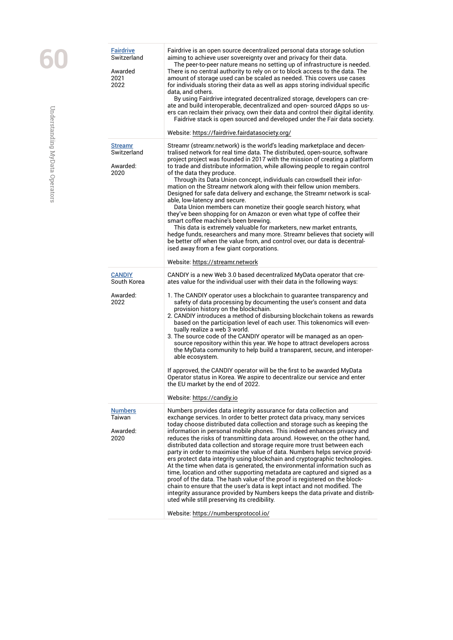| <b>Fairdrive</b><br>Switzerland<br>Awarded<br>2021<br>2022 | Fairdrive is an open source decentralized personal data storage solution<br>aiming to achieve user sovereignty over and privacy for their data.<br>The peer-to-peer nature means no setting up of infrastructure is needed.<br>There is no central authority to rely on or to block access to the data. The<br>amount of storage used can be scaled as needed. This covers use cases<br>for individuals storing their data as well as apps storing individual specific<br>data, and others.<br>By using Fairdrive integrated decentralized storage, developers can cre-<br>ate and build interoperable, decentralized and open- sourced dApps so us-<br>ers can reclaim their privacy, own their data and control their digital identity.<br>Faidrive stack is open sourced and developed under the Fair data society.<br>Website: https://fairdrive.fairdatasociety.org/                                                                                                                                                                           |
|------------------------------------------------------------|-----------------------------------------------------------------------------------------------------------------------------------------------------------------------------------------------------------------------------------------------------------------------------------------------------------------------------------------------------------------------------------------------------------------------------------------------------------------------------------------------------------------------------------------------------------------------------------------------------------------------------------------------------------------------------------------------------------------------------------------------------------------------------------------------------------------------------------------------------------------------------------------------------------------------------------------------------------------------------------------------------------------------------------------------------|
| <b>Streamr</b>                                             | Streamr (streamr.network) is the world's leading marketplace and decen-                                                                                                                                                                                                                                                                                                                                                                                                                                                                                                                                                                                                                                                                                                                                                                                                                                                                                                                                                                             |
| Switzerland<br>Awarded:<br>2020                            | tralised network for real time data. The distributed, open-source, software<br>project project was founded in 2017 with the mission of creating a platform<br>to trade and distribute information, while allowing people to regain control<br>of the data they produce.<br>Through its Data Union concept, individuals can crowdsell their infor-<br>mation on the Streamr network along with their fellow union members.<br>Designed for safe data delivery and exchange, the Streamr network is scal-<br>able, low-latency and secure.<br>Data Union members can monetize their google search history, what<br>they've been shopping for on Amazon or even what type of coffee their<br>smart coffee machine's been brewing.<br>This data is extremely valuable for marketers, new market entrants,<br>hedge funds, researchers and many more. Streamr believes that society will<br>be better off when the value from, and control over, our data is decentral-                                                                                  |
|                                                            | ised away from a few giant corporations.<br>Website: https://streamr.network                                                                                                                                                                                                                                                                                                                                                                                                                                                                                                                                                                                                                                                                                                                                                                                                                                                                                                                                                                        |
| <b>CANDIY</b><br>South Korea                               | CANDIY is a new Web 3.0 based decentralized MyData operator that cre-<br>ates value for the individual user with their data in the following ways:                                                                                                                                                                                                                                                                                                                                                                                                                                                                                                                                                                                                                                                                                                                                                                                                                                                                                                  |
| Awarded:<br>2022                                           | 1. The CANDIY operator uses a blockchain to guarantee transparency and<br>safety of data processing by documenting the user's consent and data<br>provision history on the blockchain.<br>2. CANDIY introduces a method of disbursing blockchain tokens as rewards<br>based on the participation level of each user. This tokenomics will even-<br>tually realize a web 3 world.<br>3. The source code of the CANDIY operator will be managed as an open-<br>source repository within this year. We hope to attract developers across<br>the MyData community to help build a transparent, secure, and interoper-<br>able ecosystem.<br>If approved, the CANDIY operator will be the first to be awarded MyData<br>Operator status in Korea. We aspire to decentralize our service and enter<br>the EU market by the end of 2022.<br>Website: https://candiy.io                                                                                                                                                                                     |
| <b>Numbers</b><br>Taiwan                                   | Numbers provides data integrity assurance for data collection and                                                                                                                                                                                                                                                                                                                                                                                                                                                                                                                                                                                                                                                                                                                                                                                                                                                                                                                                                                                   |
| Awarded:<br>2020                                           | exchange services. In order to better protect data privacy, many services<br>today choose distributed data collection and storage such as keeping the<br>information in personal mobile phones. This indeed enhances privacy and<br>reduces the risks of transmitting data around. However, on the other hand,<br>distributed data collection and storage require more trust between each<br>party in order to maximise the value of data. Numbers helps service provid-<br>ers protect data integrity using blockchain and cryptographic technologies.<br>At the time when data is generated, the environmental information such as<br>time, location and other supporting metadata are captured and signed as a<br>proof of the data. The hash value of the proof is registered on the block-<br>chain to ensure that the user's data is kept intact and not modified. The<br>integrity assurance provided by Numbers keeps the data private and distrib-<br>uted while still preserving its credibility.<br>Website: https://numbersprotocol.io/ |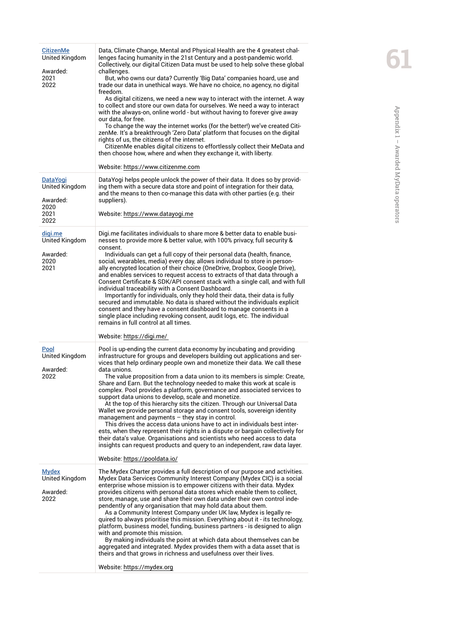| <u>CitizenMe</u><br>United Kingdom<br>Awarded:<br>2021<br>2022        | Data, Climate Change, Mental and Physical Health are the 4 greatest chal-<br>lenges facing humanity in the 21st Century and a post-pandemic world.<br>Collectively, our digital Citizen Data must be used to help solve these global<br>challenges.<br>But, who owns our data? Currently 'Big Data' companies hoard, use and<br>trade our data in unethical ways. We have no choice, no agency, no digital<br>freedom.<br>As digital citizens, we need a new way to interact with the internet. A way<br>to collect and store our own data for ourselves. We need a way to interact<br>with the always-on, online world - but without having to forever give away<br>our data, for free.<br>To change the way the internet works (for the better!) we've created Citi-<br>zenMe. It's a breakthrough 'Zero Data' platform that focuses on the digital<br>rights of us, the citizens of the internet.<br>CitizenMe enables digital citizens to effortlessly collect their MeData and<br>then choose how, where and when they exchange it, with liberty.<br>Website: https://www.citizenme.com |
|-----------------------------------------------------------------------|----------------------------------------------------------------------------------------------------------------------------------------------------------------------------------------------------------------------------------------------------------------------------------------------------------------------------------------------------------------------------------------------------------------------------------------------------------------------------------------------------------------------------------------------------------------------------------------------------------------------------------------------------------------------------------------------------------------------------------------------------------------------------------------------------------------------------------------------------------------------------------------------------------------------------------------------------------------------------------------------------------------------------------------------------------------------------------------------|
| <u>DataYoqi</u><br>United Kingdom<br>Awarded:<br>2020<br>2021<br>2022 | DataYogi helps people unlock the power of their data. It does so by provid-<br>ing them with a secure data store and point of integration for their data,<br>and the means to then co-manage this data with other parties (e.g. their<br>suppliers).<br>Website: https://www.datayogi.me                                                                                                                                                                                                                                                                                                                                                                                                                                                                                                                                                                                                                                                                                                                                                                                                     |
| digi.me<br>United Kingdom<br>Awarded:<br>2020<br>2021                 | Digi.me facilitates individuals to share more & better data to enable busi-<br>nesses to provide more & better value, with 100% privacy, full security &<br>consent.<br>Individuals can get a full copy of their personal data (health, finance,<br>social, wearables, media) every day, allows individual to store in person-<br>ally encrypted location of their choice (OneDrive, Dropbox, Google Drive),<br>and enables services to request access to extracts of that data through a<br>Consent Certificate & SDK/API consent stack with a single call, and with full<br>individual traceability with a Consent Dashboard.<br>Importantly for individuals, only they hold their data, their data is fully<br>secured and immutable. No data is shared without the individuals explicit<br>consent and they have a consent dashboard to manage consents in a<br>single place including revoking consent, audit logs, etc. The individual<br>remains in full control at all times.                                                                                                        |
|                                                                       | Website: https://digi.me/                                                                                                                                                                                                                                                                                                                                                                                                                                                                                                                                                                                                                                                                                                                                                                                                                                                                                                                                                                                                                                                                    |
| Pool<br>United Kingdom<br>Awarded:<br>2022                            | Pool is up-ending the current data economy by incubating and providing<br>infrastructure for groups and developers building out applications and ser-<br>vices that help ordinary people own and monetize their data. We call these<br>data unions.<br>The value proposition from a data union to its members is simple: Create,<br>Share and Earn. But the technology needed to make this work at scale is<br>complex. Pool provides a platform, governance and associated services to<br>support data unions to develop, scale and monetize.<br>At the top of this hierarchy sits the citizen. Through our Universal Data<br>Wallet we provide personal storage and consent tools, sovereign identity<br>management and payments $-$ they stay in control.<br>This drives the access data unions have to act in individuals best inter-<br>ests, when they represent their rights in a dispute or bargain collectively for<br>their data's value. Organisations and scientists who need access to data<br>insights can request products and query to an independent, raw data layer.       |
|                                                                       | Website: https://pooldata.io/                                                                                                                                                                                                                                                                                                                                                                                                                                                                                                                                                                                                                                                                                                                                                                                                                                                                                                                                                                                                                                                                |
| <b>Mydex</b><br>United Kingdom<br>Awarded:<br>2022                    | The Mydex Charter provides a full description of our purpose and activities.<br>Mydex Data Services Community Interest Company (Mydex CIC) is a social<br>enterprise whose mission is to empower citizens with their data. Mydex<br>provides citizens with personal data stores which enable them to collect,<br>store, manage, use and share their own data under their own control inde-<br>pendently of any organisation that may hold data about them.<br>As a Community Interest Company under UK law, Mydex is legally re-<br>quired to always prioritise this mission. Everything about it - its technology,<br>platform, business model, funding, business partners - is designed to align<br>with and promote this mission.<br>By making individuals the point at which data about themselves can be<br>aggregated and integrated. Mydex provides them with a data asset that is<br>theirs and that grows in richness and usefulness over their lives.<br>Website: https://mydex.org                                                                                                |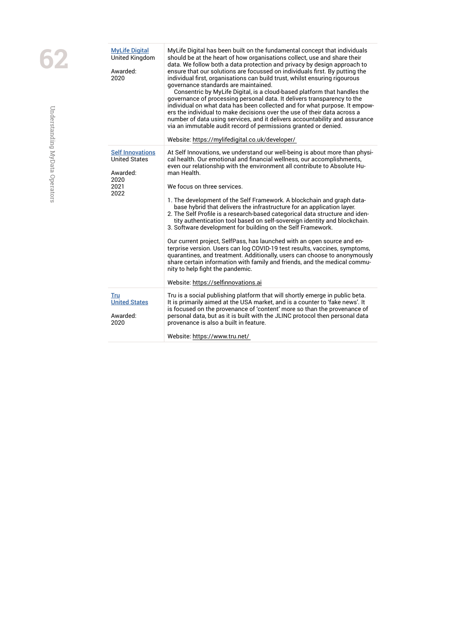| <b>MyLife Digital</b><br><b>United Kingdom</b><br>Awarded:<br>2020                  | MyLife Digital has been built on the fundamental concept that individuals<br>should be at the heart of how organisations collect, use and share their<br>data. We follow both a data protection and privacy by design approach to<br>ensure that our solutions are focussed on individuals first. By putting the<br>individual first, organisations can build trust, whilst ensuring rigourous<br>governance standards are maintained.<br>Consentric by MyLife Digital, is a cloud-based platform that handles the<br>governance of processing personal data. It delivers transparency to the<br>individual on what data has been collected and for what purpose. It empow-<br>ers the individual to make decisions over the use of their data across a<br>number of data using services, and it delivers accountability and assurance<br>via an immutable audit record of permissions granted or denied.<br>Website: https://mylifedigital.co.uk/developer/                                                                                                   |
|-------------------------------------------------------------------------------------|----------------------------------------------------------------------------------------------------------------------------------------------------------------------------------------------------------------------------------------------------------------------------------------------------------------------------------------------------------------------------------------------------------------------------------------------------------------------------------------------------------------------------------------------------------------------------------------------------------------------------------------------------------------------------------------------------------------------------------------------------------------------------------------------------------------------------------------------------------------------------------------------------------------------------------------------------------------------------------------------------------------------------------------------------------------|
| <b>Self Innovations</b><br><b>United States</b><br>Awarded:<br>2020<br>2021<br>2022 | At Self Innovations, we understand our well-being is about more than physi-<br>cal health. Our emotional and financial wellness, our accomplishments,<br>even our relationship with the environment all contribute to Absolute Hu-<br>man Health.<br>We focus on three services.<br>1. The development of the Self Framework. A blockchain and graph data-<br>base hybrid that delivers the infrastructure for an application layer.<br>2. The Self Profile is a research-based categorical data structure and iden-<br>tity authentication tool based on self-sovereign identity and blockchain.<br>3. Software development for building on the Self Framework.<br>Our current project, SelfPass, has launched with an open source and en-<br>terprise version. Users can log COVID-19 test results, vaccines, symptoms,<br>quarantines, and treatment. Additionally, users can choose to anonymously<br>share certain information with family and friends, and the medical commu-<br>nity to help fight the pandemic.<br>Website: https://selfinnovations.ai |
| Tru<br><b>United States</b><br>Awarded:<br>2020                                     | Tru is a social publishing platform that will shortly emerge in public beta.<br>It is primarily aimed at the USA market, and is a counter to 'fake news'. It<br>is focused on the provenance of 'content' more so than the provenance of<br>personal data, but as it is built with the JLINC protocol then personal data<br>provenance is also a built in feature.<br>Website: https://www.tru.net/                                                                                                                                                                                                                                                                                                                                                                                                                                                                                                                                                                                                                                                            |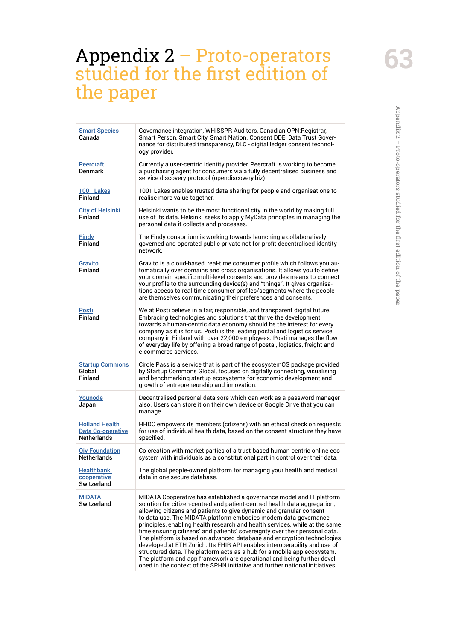# Appendix 2 - Proto-operators studied for the first edition of the paper Appendix  $2-{\rm Proto\text{-}operators}$  studied for the first edition of the paper

# <span id="page-62-0"></span>Appendix 2 – Proto-operators studied for the first edition of the paper

| <b>Smart Species</b><br>Canada                                   | Governance integration, WHiSSPR Auditors, Canadian OPN: Registrar,<br>Smart Person, Smart City, Smart Nation. Consent DDE, Data Trust Gover-<br>nance for distributed transparency, DLC - digital ledger consent technol-<br>oav provider.                                                                                                                                                                                                                                                                                                                                                                                                                                                                                                                                                                                                               |
|------------------------------------------------------------------|----------------------------------------------------------------------------------------------------------------------------------------------------------------------------------------------------------------------------------------------------------------------------------------------------------------------------------------------------------------------------------------------------------------------------------------------------------------------------------------------------------------------------------------------------------------------------------------------------------------------------------------------------------------------------------------------------------------------------------------------------------------------------------------------------------------------------------------------------------|
| <b>Peercraft</b><br><b>Denmark</b>                               | Currently a user-centric identity provider, Peercraft is working to become<br>a purchasing agent for consumers via a fully decentralised business and<br>service discovery protocol (opendiscovery.biz)                                                                                                                                                                                                                                                                                                                                                                                                                                                                                                                                                                                                                                                  |
| <b>1001 Lakes</b><br>Finland                                     | 1001 Lakes enables trusted data sharing for people and organisations to<br>realise more value together.                                                                                                                                                                                                                                                                                                                                                                                                                                                                                                                                                                                                                                                                                                                                                  |
| <b>City of Helsinki</b><br>Finland                               | Helsinki wants to be the most functional city in the world by making full<br>use of its data. Helsinki seeks to apply MyData principles in managing the<br>personal data it collects and processes.                                                                                                                                                                                                                                                                                                                                                                                                                                                                                                                                                                                                                                                      |
| Findy<br>Finland                                                 | The Findy consortium is working towards launching a collaboratively<br>governed and operated public-private not-for-profit decentralised identity<br>network.                                                                                                                                                                                                                                                                                                                                                                                                                                                                                                                                                                                                                                                                                            |
| Gravito<br><b>Finland</b>                                        | Gravito is a cloud-based, real-time consumer profile which follows you au-<br>tomatically over domains and cross organisations. It allows you to define<br>your domain specific multi-level consents and provides means to connect<br>your profile to the surrounding device(s) and "things". It gives organisa-<br>tions access to real-time consumer profiles/segments where the people<br>are themselves communicating their preferences and consents.                                                                                                                                                                                                                                                                                                                                                                                                |
| Posti<br><b>Finland</b>                                          | We at Posti believe in a fair, responsible, and transparent digital future.<br>Embracing technologies and solutions that thrive the development<br>towards a human-centric data economy should be the interest for every<br>company as it is for us. Posti is the leading postal and logistics service<br>company in Finland with over 22,000 employees. Posti manages the flow<br>of everyday life by offering a broad range of postal, logistics, freight and<br>e-commerce services.                                                                                                                                                                                                                                                                                                                                                                  |
| <b>Startup Commons</b><br>Global<br>Finland                      | Circle Pass is a service that is part of the ecosystemOS package provided<br>by Startup Commons Global, focused on digitally connecting, visualising<br>and benchmarking startup ecosystems for economic development and<br>growth of entrepreneurship and innovation.                                                                                                                                                                                                                                                                                                                                                                                                                                                                                                                                                                                   |
| <u>Younode</u><br>Japan                                          | Decentralised personal data sore which can work as a password manager<br>also. Users can store it on their own device or Google Drive that you can<br>manage.                                                                                                                                                                                                                                                                                                                                                                                                                                                                                                                                                                                                                                                                                            |
| <b>Holland Health</b><br>Data Co-operative<br><b>Netherlands</b> | HHDC empowers its members (citizens) with an ethical check on requests<br>for use of individual health data, based on the consent structure they have<br>specified.                                                                                                                                                                                                                                                                                                                                                                                                                                                                                                                                                                                                                                                                                      |
| <b>Qiy Foundation</b><br><b>Netherlands</b>                      | Co-creation with market parties of a trust-based human-centric online eco-<br>system with individuals as a constitutional part in control over their data.                                                                                                                                                                                                                                                                                                                                                                                                                                                                                                                                                                                                                                                                                               |
| <b>Healthbank</b><br>cooperative<br><b>Switzerland</b>           | The global people-owned platform for managing your health and medical<br>data in one secure database.                                                                                                                                                                                                                                                                                                                                                                                                                                                                                                                                                                                                                                                                                                                                                    |
| <b>MIDATA</b><br>Switzerland                                     | MIDATA Cooperative has established a governance model and IT platform<br>solution for citizen-centred and patient-centred health data aggregation,<br>allowing citizens and patients to give dynamic and granular consent<br>to data use. The MIDATA platform embodies modern data governance<br>principles, enabling health research and health services, while at the same<br>time ensuring citizens' and patients' sovereignty over their personal data.<br>The platform is based on advanced database and encryption technologies<br>developed at ETH Zurich. Its FHIR API enables interoperability and use of<br>structured data. The platform acts as a hub for a mobile app ecosystem.<br>The platform and app framework are operational and being further devel-<br>oped in the context of the SPHN initiative and further national initiatives. |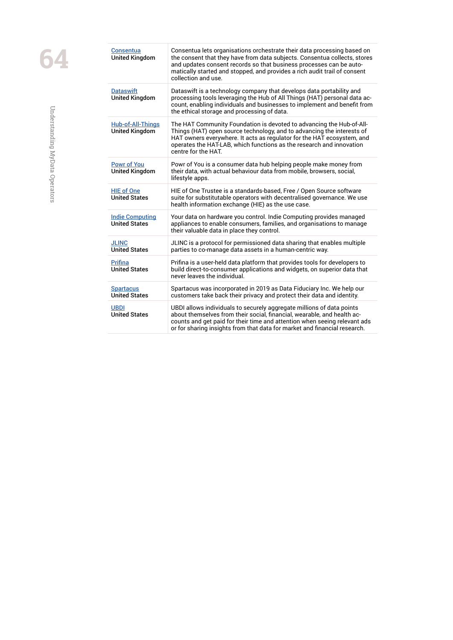| <b>Consentua</b><br><b>United Kingdom</b>         | Consentua lets organisations orchestrate their data processing based on<br>the consent that they have from data subjects. Consentua collects, stores<br>and updates consent records so that business processes can be auto-<br>matically started and stopped, and provides a rich audit trail of consent<br>collection and use. |
|---------------------------------------------------|---------------------------------------------------------------------------------------------------------------------------------------------------------------------------------------------------------------------------------------------------------------------------------------------------------------------------------|
| <b>Dataswift</b><br><b>United Kingdom</b>         | Dataswift is a technology company that develops data portability and<br>processing tools leveraging the Hub of All Things (HAT) personal data ac-<br>count, enabling individuals and businesses to implement and benefit from<br>the ethical storage and processing of data.                                                    |
| <b>Hub-of-All-Things</b><br><b>United Kingdom</b> | The HAT Community Foundation is devoted to advancing the Hub-of-All-<br>Things (HAT) open source technology, and to advancing the interests of<br>HAT owners everywhere. It acts as regulator for the HAT ecosystem, and<br>operates the HAT-LAB, which functions as the research and innovation<br>centre for the HAT.         |
| <b>Powr of You</b><br><b>United Kingdom</b>       | Powr of You is a consumer data hub helping people make money from<br>their data, with actual behaviour data from mobile, browsers, social,<br>lifestyle apps.                                                                                                                                                                   |
| <b>HIE of One</b><br><b>United States</b>         | HIE of One Trustee is a standards-based, Free / Open Source software<br>suite for substitutable operators with decentralised governance. We use<br>health information exchange (HIE) as the use case.                                                                                                                           |
| <b>Indie Computing</b><br><b>United States</b>    | Your data on hardware you control. Indie Computing provides managed<br>appliances to enable consumers, families, and organisations to manage<br>their valuable data in place they control.                                                                                                                                      |
| <b>JLINC</b><br><b>United States</b>              | JLINC is a protocol for permissioned data sharing that enables multiple<br>parties to co-manage data assets in a human-centric way.                                                                                                                                                                                             |
| <b>Prifina</b><br><b>United States</b>            | Prifina is a user-held data platform that provides tools for developers to<br>build direct-to-consumer applications and widgets, on superior data that<br>never leaves the individual.                                                                                                                                          |
| <b>Spartacus</b><br><b>United States</b>          | Spartacus was incorporated in 2019 as Data Fiduciary Inc. We help our<br>customers take back their privacy and protect their data and identity.                                                                                                                                                                                 |
| <b>UBDI</b><br><b>United States</b>               | UBDI allows individuals to securely aggregate millions of data points<br>about themselves from their social, financial, wearable, and health ac-<br>counts and get paid for their time and attention when seeing relevant ads<br>or for sharing insights from that data for market and financial research.                      |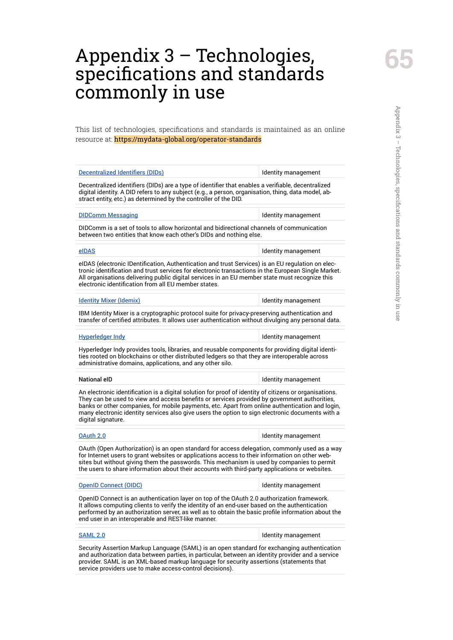# <span id="page-64-0"></span>Appendix 3 – Technologies, specifications and standards commonly in use

This list of technologies, specifications and standards is maintained as an online resource at: https://mydata-global.org/operator-standards

| <b>Decentralized Identifiers (DIDs)</b>                                                                                                                                                                                                                                                                                                                                                                                             | Identity management |
|-------------------------------------------------------------------------------------------------------------------------------------------------------------------------------------------------------------------------------------------------------------------------------------------------------------------------------------------------------------------------------------------------------------------------------------|---------------------|
| Decentralized identifiers (DIDs) are a type of identifier that enables a verifiable, decentralized<br>digital identity. A DID refers to any subject (e.g., a person, organisation, thing, data model, ab-<br>stract entity, etc.) as determined by the controller of the DID.                                                                                                                                                       |                     |
| <b>DIDComm Messaging</b>                                                                                                                                                                                                                                                                                                                                                                                                            | Identity management |
| DIDComm is a set of tools to allow horizontal and bidirectional channels of communication<br>between two entities that know each other's DIDs and nothing else.                                                                                                                                                                                                                                                                     |                     |
| eIDAS                                                                                                                                                                                                                                                                                                                                                                                                                               | Identity management |
| elDAS (electronic IDentification, Authentication and trust Services) is an EU regulation on elec-<br>tronic identification and trust services for electronic transactions in the European Single Market.<br>All organisations delivering public digital services in an EU member state must recognize this<br>electronic identification from all EU member states.                                                                  |                     |
| <b>Identity Mixer (Idemix)</b>                                                                                                                                                                                                                                                                                                                                                                                                      | Identity management |
| IBM Identity Mixer is a cryptographic protocol suite for privacy-preserving authentication and<br>transfer of certified attributes. It allows user authentication without divulging any personal data.                                                                                                                                                                                                                              |                     |
| <b>Hyperledger Indy</b>                                                                                                                                                                                                                                                                                                                                                                                                             | Identity management |
| Hyperledger Indy provides tools, libraries, and reusable components for providing digital identi-<br>ties rooted on blockchains or other distributed ledgers so that they are interoperable across<br>administrative domains, applications, and any other silo.                                                                                                                                                                     |                     |
| <b>National eID</b>                                                                                                                                                                                                                                                                                                                                                                                                                 | Identity management |
| An electronic identification is a digital solution for proof of identity of citizens or organisations.<br>They can be used to view and access benefits or services provided by government authorities,<br>banks or other companies, for mobile payments, etc. Apart from online authentication and login,<br>many electronic identity services also give users the option to sign electronic documents with a<br>digital signature. |                     |
| OAuth 2.0                                                                                                                                                                                                                                                                                                                                                                                                                           | Identity management |
| OAuth (Open Authorization) is an open standard for access delegation, commonly used as a way<br>for Internet users to grant websites or applications access to their information on other web-<br>sites but without giving them the passwords. This mechanism is used by companies to permit<br>the users to share information about their accounts with third-party applications or websites.                                      |                     |
| <b>OpenID Connect (OIDC)</b>                                                                                                                                                                                                                                                                                                                                                                                                        | Identity management |
| OpenID Connect is an authentication layer on top of the OAuth 2.0 authorization framework.<br>It allows computing clients to verify the identity of an end-user based on the authentication<br>performed by an authorization server, as well as to obtain the basic profile information about the<br>end user in an interoperable and REST-like manner.                                                                             |                     |
| <b>SAML 2.0</b>                                                                                                                                                                                                                                                                                                                                                                                                                     |                     |
|                                                                                                                                                                                                                                                                                                                                                                                                                                     | Identity management |

service providers use to make access-control decisions).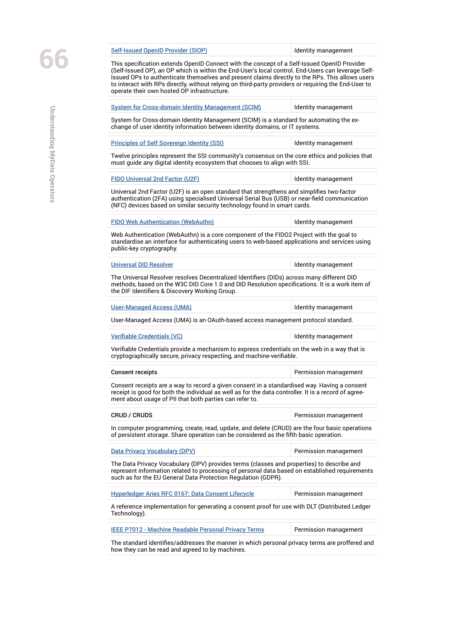[Self-Issued OpenID Provider \(SIOP\)](https://openid.net/specs/openid-connect-self-issued-v2-1_0.html) Self-Issued OpenID Provider (SIOP)

This specification extends OpenID Connect with the concept of a Self-Issued OpenID Provider (Self-Issued OP), an OP which is within the End-User's local control. End-Users can leverage Self-Issued OPs to authenticate themselves and present claims directly to the RPs. This allows users to interact with RPs directly, without relying on third-party providers or requiring the End-User to operate their own hosted OP infrastructure.

[System for Cross-domain Identity Management \(SCIM\)](https://datatracker.ietf.org/doc/html/rfc7643) ldentity management System for Cross-domain Identity Management (SCIM) is a standard for automating the exchange of user identity information between identity domains, or IT systems. [Principles of Self Sovereign Identity \(SSI\)](https://sovrin.org/principles-of-ssi/) **IDENTITY MANUSIC MANUSIC MANUSIC PRINCIPS** Twelve principles represent the SSI community's consensus on the core ethics and policies that must guide any digital identity ecosystem that chooses to align with SSI. [FIDO Universal 2nd Factor \(U2F\)](https://fidoalliance.org/specs/u2f-specs-master/fido-u2f-overview.html) **IDENETIC METAL CONTROL** Identity management Universal 2nd Factor (U2F) is an open standard that strengthens and simplifies two-factor authentication (2FA) using specialised Universal Serial Bus (USB) or near-field communication (NFC) devices based on similar security technology found in smart cards. [FIDO Web Authentication \(WebAuthn\)](https://www.w3.org/TR/webauthn/) The International Identity management Web Authentication (WebAuthn) is a core component of the FIDO2 Project with the goal to standardise an interface for authenticating users to web-based applications and services using public-key cryptography. [Universal DID Resolver](https://github.com/decentralized-identity/universal-resolver/) **In the Universal DID Resolver IDENTIFY** Management The Universal Resolver resolves Decentralized Identifiers (DIDs) across many different DID methods, based on the W3C DID Core 1.0 and DID Resolution specifications. It is a work item of the DIF Identifiers & Discovery Working Group. [User-Managed Access \(UMA\)](https://kantarainitiative.org/confluence/display/uma/Home) **If the above a strategies and the except** of the User-Management User-Managed Access (UMA) is an OAuth-based access management protocol standard. [Verifiable Credentials \(VC\)](https://www.w3.org/TR/vc-data-model/) and the Credentials (VC) and the Credential of Credentials (VC) and the Credential of Credentials (VC) and the Credentials (VC) and the Credentials (VC) and the Credentials (VC) and the Credenti Verifiable Credentials provide a mechanism to express credentials on the web in a way that is cryptographically secure, privacy respecting, and machine-verifiable. Consent receipts Permission management Consent receipts are a way to record a given consent in a standardised way. Having a consent receipt is good for both the individual as well as for the data controller. It is a record of agreement about usage of PII that both parties can refer to. CRUD / CRUDS Permission management In computer programming, create, read, update, and delete (CRUD) are the four basic operations of persistent storage. Share operation can be considered as the fifth basic operation. [Data Privacy Vocabulary \(DPV\)](https://www.w3.org/community/dpvcg/) errors and permission management The Data Privacy Vocabulary (DPV) provides terms (classes and properties) to describe and represent information related to processing of personal data based on established requirements such as for the EU General Data Protection Regulation (GDPR). [Hyperledger Aries RFC 0167: Data Consent Lifecycle](https://github.com/hyperledger/aries-rfcs/blob/main/concepts/0167-data-consent-lifecycle/README.md) Permission management A reference implementation for generating a consent proof for use with DLT (Distributed Ledger Technology). [IEEE P7012 - Machine Readable Personal Privacy Terms](https://standards.ieee.org/project/7012.html) Permission management The standard identifies/addresses the manner in which personal privacy terms are proffered and how they can be read and agreed to by machines.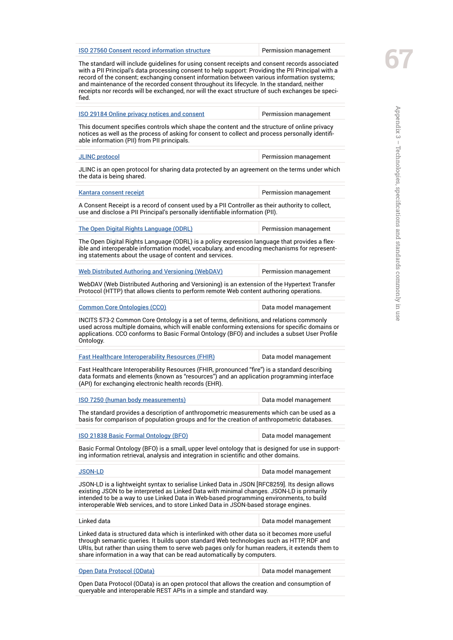[ISO 27560 Consent record information structure](https://www.iso.org/standard/80392.html)<br>The standard will include guidelines for using consent receipts and consent records associated<br>with a PII Principal's data processing consent to help support: Providing the PI The standard will include guidelines for using consent receipts and consent records associated record of the consent; exchanging consent information between various information systems; and maintenance of the recorded consent throughout its lifecycle. In the standard, neither receipts nor records will be exchanged, nor will the exact structure of such exchanges be specified.

| <b>ISO 29184 Online privacy notices and consent</b>                                                                                                                                                                                                                                                                                                                          | Permission management |
|------------------------------------------------------------------------------------------------------------------------------------------------------------------------------------------------------------------------------------------------------------------------------------------------------------------------------------------------------------------------------|-----------------------|
| This document specifies controls which shape the content and the structure of online privacy<br>notices as well as the process of asking for consent to collect and process personally identifi-<br>able information (PII) from PII principals.                                                                                                                              |                       |
| <b>JLINC</b> protocol                                                                                                                                                                                                                                                                                                                                                        | Permission management |
| JLINC is an open protocol for sharing data protected by an agreement on the terms under which<br>the data is being shared.                                                                                                                                                                                                                                                   |                       |
| Kantara consent receipt                                                                                                                                                                                                                                                                                                                                                      | Permission management |
| A Consent Receipt is a record of consent used by a PII Controller as their authority to collect,<br>use and disclose a PII Principal's personally identifiable information (PII).                                                                                                                                                                                            |                       |
| The Open Digital Rights Language (ODRL)                                                                                                                                                                                                                                                                                                                                      | Permission management |
| The Open Digital Rights Language (ODRL) is a policy expression language that provides a flex-<br>ible and interoperable information model, vocabulary, and encoding mechanisms for represent-<br>ing statements about the usage of content and services.                                                                                                                     |                       |
| <b>Web Distributed Authoring and Versioning (WebDAV)</b>                                                                                                                                                                                                                                                                                                                     | Permission management |
| WebDAV (Web Distributed Authoring and Versioning) is an extension of the Hypertext Transfer<br>Protocol (HTTP) that allows clients to perform remote Web content authoring operations.                                                                                                                                                                                       |                       |
| <b>Common Core Ontologies (CCO)</b>                                                                                                                                                                                                                                                                                                                                          | Data model management |
| INCITS 573-2 Common Core Ontology is a set of terms, definitions, and relations commonly<br>used across multiple domains, which will enable conforming extensions for specific domains or<br>applications. CCO conforms to Basic Formal Ontology (BFO) and includes a subset User Profile<br>Ontology.                                                                       |                       |
| <b>Fast Healthcare Interoperability Resources (FHIR)</b>                                                                                                                                                                                                                                                                                                                     | Data model management |
| Fast Healthcare Interoperability Resources (FHIR, pronounced "fire") is a standard describing<br>data formats and elements (known as "resources") and an application programming interface<br>(API) for exchanging electronic health records (EHR).                                                                                                                          |                       |
| ISO 7250 (human body measurements)                                                                                                                                                                                                                                                                                                                                           | Data model management |
| The standard provides a description of anthropometric measurements which can be used as a<br>basis for comparison of population groups and for the creation of anthropometric databases.                                                                                                                                                                                     |                       |
| ISO 21838 Basic Formal Ontology (BFO)                                                                                                                                                                                                                                                                                                                                        | Data model management |
| Basic Formal Ontology (BFO) is a small, upper level ontology that is designed for use in support-<br>ing information retrieval, analysis and integration in scientific and other domains.                                                                                                                                                                                    |                       |
| <b>JSON-LD</b>                                                                                                                                                                                                                                                                                                                                                               | Data model management |
| JSON-LD is a lightweight syntax to serialise Linked Data in JSON [RFC8259]. Its design allows<br>existing JSON to be interpreted as Linked Data with minimal changes. JSON-LD is primarily<br>intended to be a way to use Linked Data in Web-based programming environments, to build<br>interoperable Web services, and to store Linked Data in JSON-based storage engines. |                       |
| Linked data                                                                                                                                                                                                                                                                                                                                                                  | Data model management |
| Linked data is structured data which is interlinked with other data so it becomes more useful<br>through semantic queries. It builds upon standard Web technologies such as HTTP, RDF and<br>URIs, but rather than using them to serve web pages only for human readers, it extends them to<br>share information in a way that can be read automatically by computers.       |                       |
| Open Data Protocol (OData)                                                                                                                                                                                                                                                                                                                                                   | Data model management |
|                                                                                                                                                                                                                                                                                                                                                                              |                       |

Open Data Protocol (OData) is an open protocol that allows the creation and consumption of queryable and interoperable REST APIs in a simple and standard way.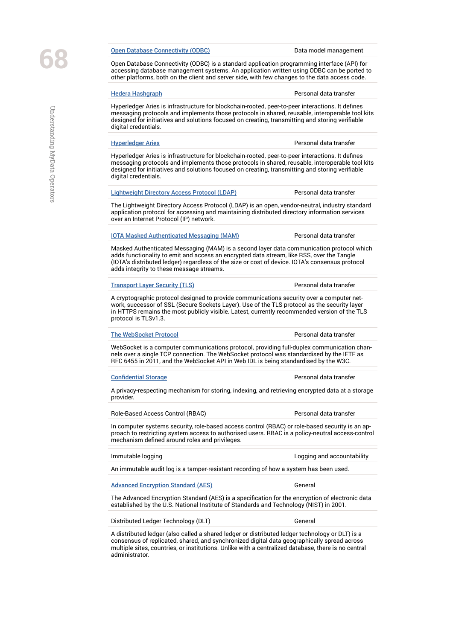Open Database Connectivity (ODBC) is a standard application programming interface (API) for accessing database management systems. An application written using ODBC can be ported to

| <b>Hedera Hashgraph</b>                                                                                                                                                                                                                                                                                                              | Personal data transfer     |
|--------------------------------------------------------------------------------------------------------------------------------------------------------------------------------------------------------------------------------------------------------------------------------------------------------------------------------------|----------------------------|
| Hyperledger Aries is infrastructure for blockchain-rooted, peer-to-peer interactions. It defines<br>messaging protocols and implements those protocols in shared, reusable, interoperable tool kits<br>designed for initiatives and solutions focused on creating, transmitting and storing verifiable<br>digital credentials.       |                            |
| <b>Hyperledger Aries</b>                                                                                                                                                                                                                                                                                                             | Personal data transfer     |
| Hyperledger Aries is infrastructure for blockchain-rooted, peer-to-peer interactions. It defines<br>messaging protocols and implements those protocols in shared, reusable, interoperable tool kits<br>designed for initiatives and solutions focused on creating, transmitting and storing verifiable<br>digital credentials.       |                            |
| <b>Lightweight Directory Access Protocol (LDAP)</b>                                                                                                                                                                                                                                                                                  | Personal data transfer     |
| The Lightweight Directory Access Protocol (LDAP) is an open, vendor-neutral, industry standard<br>application protocol for accessing and maintaining distributed directory information services<br>over an Internet Protocol (IP) network.                                                                                           |                            |
| <b>IOTA Masked Authenticated Messaging (MAM)</b>                                                                                                                                                                                                                                                                                     | Personal data transfer     |
| Masked Authenticated Messaging (MAM) is a second layer data communication protocol which<br>adds functionality to emit and access an encrypted data stream, like RSS, over the Tangle<br>(IOTA's distributed ledger) regardless of the size or cost of device. IOTA's consensus protocol<br>adds integrity to these message streams. |                            |
| <b>Transport Layer Security (TLS)</b>                                                                                                                                                                                                                                                                                                | Personal data transfer     |
| A cryptographic protocol designed to provide communications security over a computer net-<br>work, successor of SSL (Secure Sockets Layer). Use of the TLS protocol as the security layer<br>in HTTPS remains the most publicly visible. Latest, currently recommended version of the TLS<br>protocol is TLSv1.3.                    |                            |
| <b>The WebSocket Protocol</b>                                                                                                                                                                                                                                                                                                        | Personal data transfer     |
| WebSocket is a computer communications protocol, providing full-duplex communication chan-<br>nels over a single TCP connection. The WebSocket protocol was standardised by the IETF as<br>RFC 6455 in 2011, and the WebSocket API in Web IDL is being standardised by the W3C.                                                      |                            |
| <b>Confidential Storage</b>                                                                                                                                                                                                                                                                                                          | Personal data transfer     |
| A privacy-respecting mechanism for storing, indexing, and retrieving encrypted data at a storage<br>provider.                                                                                                                                                                                                                        |                            |
| Role-Based Access Control (RBAC)                                                                                                                                                                                                                                                                                                     | Personal data transfer     |
| In computer systems security, role-based access control (RBAC) or role-based security is an ap-<br>proach to restricting system access to authorised users. RBAC is a policy-neutral access-control<br>mechanism defined around roles and privileges.                                                                                |                            |
| Immutable logging                                                                                                                                                                                                                                                                                                                    | Logging and accountability |
|                                                                                                                                                                                                                                                                                                                                      |                            |
| An immutable audit log is a tamper-resistant recording of how a system has been used.                                                                                                                                                                                                                                                |                            |
|                                                                                                                                                                                                                                                                                                                                      | General                    |
| <b>Advanced Encryption Standard (AES)</b><br>The Advanced Encryption Standard (AES) is a specification for the encryption of electronic data<br>established by the U.S. National Institute of Standards and Technology (NIST) in 2001.                                                                                               |                            |

multiple sites, countries, or institutions. Unlike with a centralized database, there is no central administrator.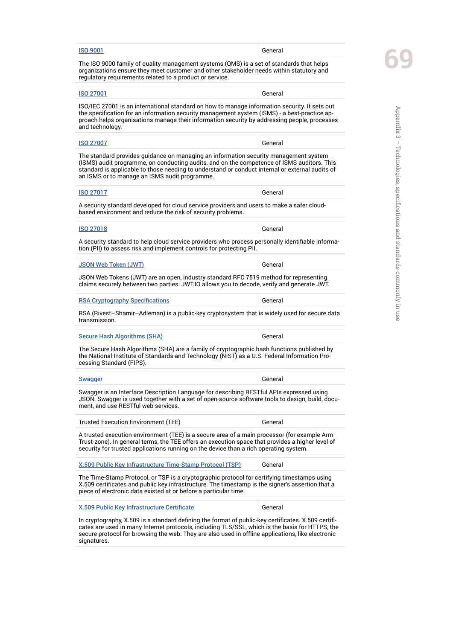| <b>ISO 9001</b>                                                                                                                                                                                                                                                                                                                        | General |
|----------------------------------------------------------------------------------------------------------------------------------------------------------------------------------------------------------------------------------------------------------------------------------------------------------------------------------------|---------|
| The ISO 9000 family of quality management systems (QMS) is a set of standards that helps<br>organizations ensure they meet customer and other stakeholder needs within statutory and<br>regulatory requirements related to a product or service.                                                                                       |         |
| <b>ISO 27001</b>                                                                                                                                                                                                                                                                                                                       | General |
| ISO/IEC 27001 is an international standard on how to manage information security. It sets out<br>the specification for an information security management system (ISMS) - a best-practice ap-<br>proach helps organisations manage their information security by addressing people, processes<br>and technology.                       |         |
| <b>ISO 27007</b>                                                                                                                                                                                                                                                                                                                       | General |
| The standard provides quidance on managing an information security management system<br>(ISMS) audit programme, on conducting audits, and on the competence of ISMS auditors. This<br>standard is applicable to those needing to understand or conduct internal or external audits of<br>an ISMS or to manage an ISMS audit programme. |         |
| <b>ISO 27017</b>                                                                                                                                                                                                                                                                                                                       | General |
| A security standard developed for cloud service providers and users to make a safer cloud-<br>based environment and reduce the risk of security problems.                                                                                                                                                                              |         |
| <b>ISO 27018</b>                                                                                                                                                                                                                                                                                                                       | General |
| A security standard to help cloud service providers who process personally identifiable informa-<br>tion (PII) to assess risk and implement controls for protecting PII.                                                                                                                                                               |         |
| <b>JSON Web Token (JWT)</b>                                                                                                                                                                                                                                                                                                            | General |
| JSON Web Tokens (JWT) are an open, industry standard RFC 7519 method for representing<br>claims securely between two parties. JWT.IO allows you to decode, verify and generate JWT.                                                                                                                                                    |         |
| <b>RSA Cryptography Specifications</b>                                                                                                                                                                                                                                                                                                 | General |
| RSA (Rivest-Shamir-Adleman) is a public-key cryptosystem that is widely used for secure data<br>transmission.                                                                                                                                                                                                                          |         |
| <b>Secure Hash Algorithms (SHA)</b>                                                                                                                                                                                                                                                                                                    | General |
| The Secure Hash Algorithms (SHA) are a family of cryptographic hash functions published by<br>the National Institute of Standards and Technology (NIST) as a U.S. Federal Information Pro-<br>cessing Standard (FIPS).                                                                                                                 |         |
| <b>Swagger</b>                                                                                                                                                                                                                                                                                                                         | General |
| Swagger is an Interface Description Language for describing RESTful APIs expressed using<br>JSON. Swagger is used together with a set of open-source software tools to design, build, docu-<br>ment, and use RESTful web services.                                                                                                     |         |
| Trusted Execution Environment (TEE)                                                                                                                                                                                                                                                                                                    | General |
| A trusted execution environment (TEE) is a secure area of a main processor (for example Arm<br>Trust-zone). In general terms, the TEE offers an execution space that provides a higher level of<br>security for trusted applications running on the device than a rich operating system.                                               |         |
| <u>X.509 Public Key Infrastructure Time-Stamp Protocol (TSP)</u>                                                                                                                                                                                                                                                                       | General |
| The Time-Stamp Protocol, or TSP is a cryptographic protocol for certifying timestamps using<br>X.509 certificates and public key infrastructure. The timestamp is the signer's assertion that a<br>piece of electronic data existed at or before a particular time.                                                                    |         |
| <b>X.509 Public Key Infrastructure Certificate</b>                                                                                                                                                                                                                                                                                     | General |
| In cryptography, X.509 is a standard defining the format of public-key certificates. X.509 certifi-<br>cates are used in many Internet protocols, including TLS/SSL, which is the basis for HTTPS, the<br>secure protocol for browsing the web. They are also used in offline applications, like electronic                            |         |

signatures.